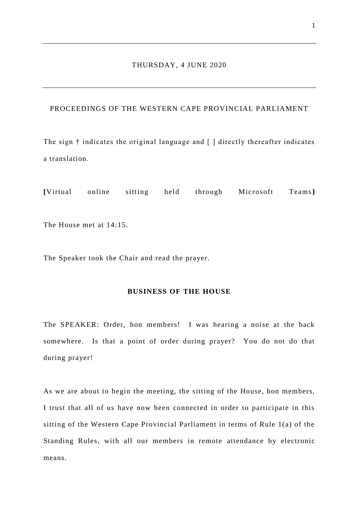### THURSDAY, 4 JUNE 2020

## PROCEEDINGS OF THE WESTERN CAPE PROVINCIAL PARLIAMENT

The sign † indicates the original language and [ ] directly thereafter indicates a translation.

**[**Virtual online sitting held through Microsoft Teams**]**

The House met at 14:15.

The Speaker took the Chair and read the prayer.

#### **BUSINESS OF THE HOUSE**

The SPEAKER: Order, hon members! I was hearing a noise at the back somewhere. Is that a point of order during prayer? You do not do that during prayer!

As we are about to begin the meeting, the sitting of the House, hon members, I trust that all of us have now been connected in order to participate in this sitting of the Western Cape Provincial Parliament in terms of Rule 1(a) of the Standing Rules, with all our members in remote attendance by electronic means.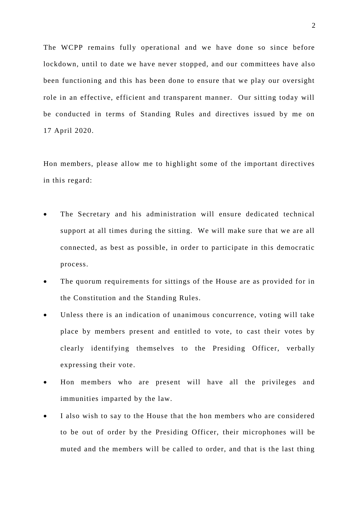The WCPP remains fully operational and we have done so since before lockdown, until to date we have never stopped, and our committees have also been functioning and this has been done to ensure that we play our oversight role in an effective, efficient and transparent manner. Our sitting today will be conducted in terms of Standing Rules and directives issued by me on 17 April 2020.

Hon members, please allow me to highlight some of the important directives in this regard:

- The Secretary and his administration will ensure dedicated technical support at all times during the sitting. We will make sure that we are all connected, as best as possible, in order to participate in this democratic process.
- The quorum requirements for sittings of the House are as provided for in the Constitution and the Standing Rules.
- Unless there is an indication of unanimous concurrence, voting will take place by members present and entitled to vote, to cast their votes by clearly identifying themselves to the Presiding Officer, verbally expressing their vote.
- Hon members who are present will have all the privileges and immunities imparted by the law.
- I also wish to say to the House that the hon members who are considered to be out of order by the Presiding Officer, their microphones will be muted and the members will be called to order, and that is the last thing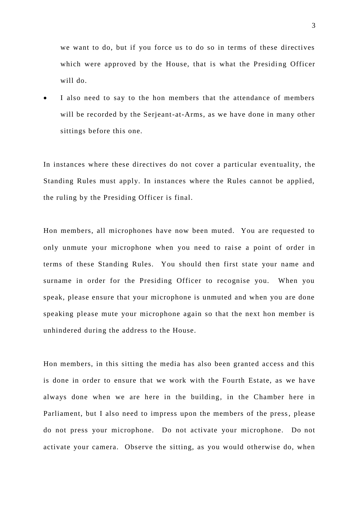we want to do, but if you force us to do so in terms of these directives which were approved by the House, that is what the Presiding Officer will do.

 I also need to say to the hon members that the attendance of members will be recorded by the Serjeant-at-Arms, as we have done in many other sittings before this one.

In instances where these directives do not cover a particular eventuality, the Standing Rules must apply. In instances where the Rules cannot be applied, the ruling by the Presiding Officer is final.

Hon members, all microphones have now been muted. You are requested to only unmute your microphone when you need to raise a point of order in terms of these Standing Rules. You should then first state your name and surname in order for the Presiding Officer to recognise you. When you speak, please ensure that your microphone is unmuted and when you are done speaking please mute your microphone again so that the next hon member is unhindered during the address to the House.

Hon members, in this sitting the media has also been granted access and this is done in order to ensure that we work with the Fourth Estate, as we ha ve always done when we are here in the building, in the Chamber here in Parliament, but I also need to impress upon the members of the press, please do not press your microphone. Do not activate your microphone. Do not activate your camera. Observe the sitting, as you would otherwise do, when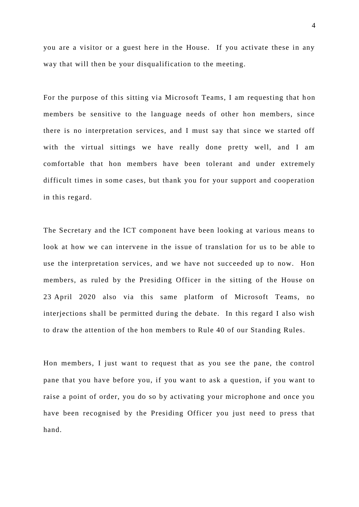you are a visitor or a guest here in the House. If you activate these in any way that will then be your disqualification to the meeting.

For the purpose of this sitting via Microsoft Teams, I am requesting that hon members be sensitive to the language needs of other hon members, since there is no interpretation services, and I must say that since we started off with the virtual sittings we have really done pretty well, and I am comfortable that hon members have been tolerant and under extremely difficult times in some cases, but thank you for your support and cooperation in this regard.

The Secretary and the ICT component have been looking at various means to look at how we can intervene in the issue of translation for us to be able to use the interpretation services, and we have not succeeded up to now. Hon members, as ruled by the Presiding Officer in the sitting of the House on 23 April 2020 also via this same platform of Microsoft Teams, no interjections shall be permitted during the debate. In this regard I also wish to draw the attention of the hon members to Rule 40 of our Standing Rules.

Hon members, I just want to request that as you see the pane, the control pane that you have before you, if you want to ask a question, if you want to raise a point of order, you do so by activating your microphone and once you have been recognised by the Presiding Officer you just need to press that hand.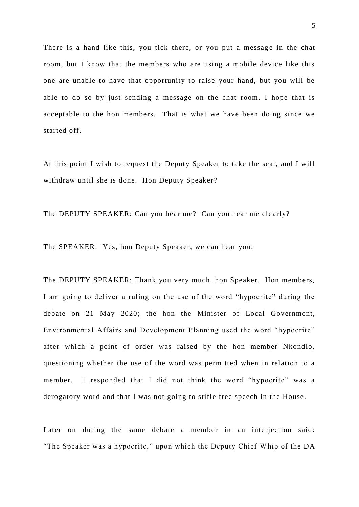There is a hand like this, you tick there, or you put a message in the chat room, but I know that the members who are using a mobile device like this one are unable to have that opportunity to raise your hand, but you will be able to do so by just sending a message on the chat room. I hope that is acceptable to the hon members. That is what we have been doing since we started off.

At this point I wish to request the Deputy Speaker to take the seat, and I will withdraw until she is done. Hon Deputy Speaker?

The DEPUTY SPEAKER: Can you hear me? Can you hear me clearly?

The SPEAKER: Yes, hon Deputy Speaker, we can hear you.

The DEPUTY SPEAKER: Thank you very much, hon Speaker. Hon members, I am going to deliver a ruling on the use of the word "hypocrite" during the debate on 21 May 2020; the hon the Minister of Local Government, Environmental Affairs and Development Planning used the word "hypocrite" after which a point of order was raised by the hon member Nkondlo, questioning whether the use of the word was permitted when in relation to a member. I responded that I did not think the word "hypocrite" was a derogatory word and that I was not going to stifle free speech in the House.

Later on during the same debate a member in an interjection said: "The Speaker was a hypocrite," upon which the Deputy Chief Whip of the DA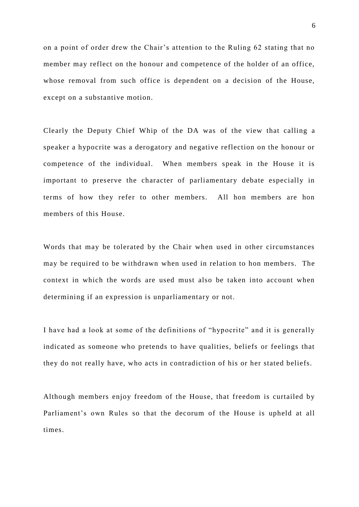on a point of order drew the Chair's attention to the Ruling 62 stating that no member may reflect on the honour and competence of the holder of an office, whose removal from such office is dependent on a decision of the House, except on a substantive motion.

Clearly the Deputy Chief Whip of the DA was of the view that calling a speaker a hypocrite was a derogatory and negative reflection on the honour or competence of the individual. When members speak in the House it is important to preserve the character of parliamentary debate especially in terms of how they refer to other members. All hon members are hon members of this House.

Words that may be tolerated by the Chair when used in other circumstances may be required to be withdrawn when used in relation to hon members. The context in which the words are used must also be taken into account when determining if an expression is unparliamentary or not.

I have had a look at some of the definitions of "hypocrite" and it is generally indicated as someone who pretends to have qualities, beliefs or feelings that they do not really have, who acts in contradiction of his or her stated beliefs.

Although members enjoy freedom of the House, that freedom is curtailed by Parliament's own Rules so that the decorum of the House is upheld at all times.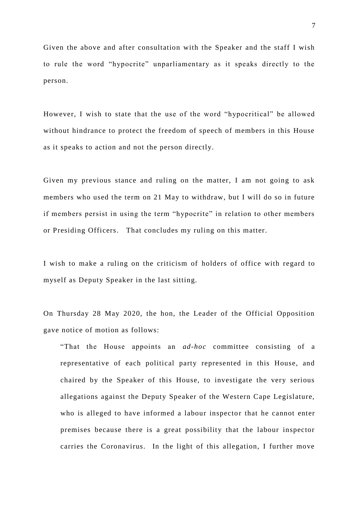Given the above and after consultation with the Speaker and the staff I wish to rule the word "hypocrite" unparliamentary as it speaks directly to the person.

However, I wish to state that the use of the word "hypocritical" be allowed without hindrance to protect the freedom of speech of members in this House as it speaks to action and not the person directly.

Given my previous stance and ruling on the matter, I am not going to ask members who used the term on 21 May to withdraw, but I will do so in future if members persist in using the term "hypocrite" in relation to other members or Presiding Officers. That concludes my ruling on this matter.

I wish to make a ruling on the criticism of holders of office with regard to myself as Deputy Speaker in the last sitting.

On Thursday 28 May 2020, the hon, the Leader of the Official Opposition gave notice of motion as follows:

"That the House appoints an *ad-hoc* committee consisting of a representative of each political party represented in this House, and chaired by the Speaker of this House, to investigate the very serious allegations against the Deputy Speaker of the Western Cape Legislature, who is alleged to have informed a labour inspector that he cannot enter premises because there is a great possibility that the labour inspector carries the Coronavirus. In the light of this allegation, I further move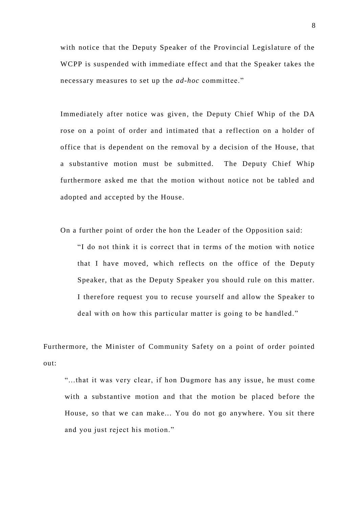with notice that the Deputy Speaker of the Provincial Legislature of the WCPP is suspended with immediate effect and that the Speaker takes the necessary measures to set up the *ad-hoc* committee."

Immediately after notice was given, the Deputy Chief Whip of the DA rose on a point of order and intimated that a reflection on a holder of office that is dependent on the removal by a decision of the House, that a substantive motion must be submitted. The Deputy Chief Whip furthermore asked me that the motion without notice not be tabled and adopted and accepted by the House.

On a further point of order the hon the Leader of the Opposition said:

"I do not think it is correct that in terms of the motion with notice that I have moved, which reflects on the office of the Deputy Speaker, that as the Deputy Speaker you should rule on this matter. I therefore request you to recuse yourself and allow the Speaker to deal with on how this particular matter is going to be handled."

Furthermore, the Minister of Community Safety on a point of order pointed out:

"...that it was very clear, if hon Dugmore has any issue, he must come with a substantive motion and that the motion be placed before the House, so that we can make... You do not go anywhere. You sit there and you just reject his motion."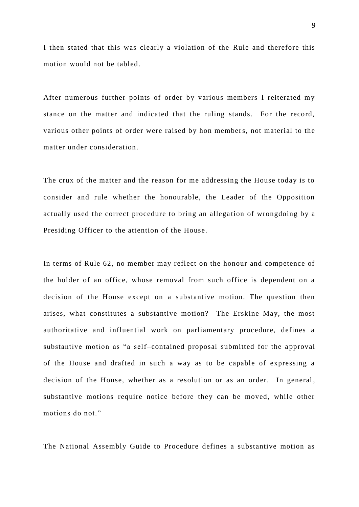I then stated that this was clearly a violation of the Rule and therefore this motion would not be tabled.

After numerous further points of order by various members I reiterated my stance on the matter and indicated that the ruling stands. For the record, various other points of order were raised by hon members, not material to the matter under consideration.

The crux of the matter and the reason for me addressing the House today is to consider and rule whether the honourable, the Leader of the Opposition actually used the correct procedure to bring an allegation of wrongdoing by a Presiding Officer to the attention of the House.

In terms of Rule 62, no member may reflect on the honour and competence of the holder of an office, whose removal from such office is dependent on a decision of the House except on a substantive motion. The question then arises, what constitutes a substantive motion? The Erskine May, the most authoritative and influential work on parliamentary procedure, defines a substantive motion as "a self-contained proposal submitted for the approval of the House and drafted in such a way as to be capable of expressing a decision of the House, whether as a resolution or as an order. In general, substantive motions require notice before they can be moved, while other motions do not."

The National Assembly Guide to Procedure defines a substantive motion as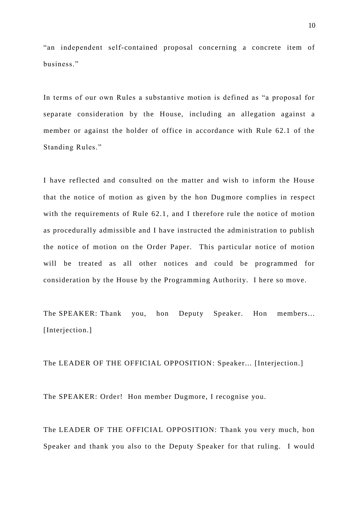"an independent self-contained proposal concerning a concrete item of business."

In terms of our own Rules a substantive motion is defined as "a proposal for separate consideration by the House, including an allegation against a member or against the holder of office in accordance with Rule 62.1 of the Standing Rules."

I have reflected and consulted on the matter and wish to inform the House that the notice of motion as given by the hon Dugmore complies in respect with the requirements of Rule 62.1, and I therefore rule the notice of motion as procedurally admissible and I have instructed the administration to publish the notice of motion on the Order Paper. This particular notice of motion will be treated as all other notices and could be programmed for consideration by the House by the Programming Authority. I here so move.

The SPEAKER: Thank you, hon Deputy Speaker. Hon members... [Interjection.]

The LEADER OF THE OFFICIAL OPPOSITION: Speaker... [Interjection.]

The SPEAKER: Order! Hon member Dugmore, I recognise you.

The LEADER OF THE OFFICIAL OPPOSITION: Thank you very much, hon Speaker and thank you also to the Deputy Speaker for that ruling. I would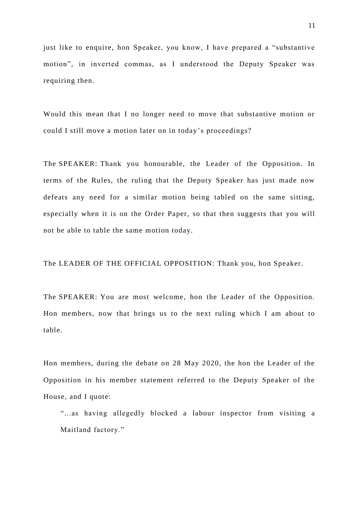just like to enquire, hon Speaker, you know, I have prepared a "substantive motion", in inverted commas, as I understood the Deputy Speaker was requiring then.

Would this mean that I no longer need to move that substantive motion or could I still move a motion later on in today's proceedings?

The SPEAKER: Thank you honourable, the Leader of the Opposition. In terms of the Rules, the ruling that the Deputy Speaker has just made now defeats any need for a similar motion being tabled on the same sitting, especially when it is on the Order Paper, so that then suggests that you will not be able to table the same motion today.

The LEADER OF THE OFFICIAL OPPOSITION: Thank you, hon Speaker.

The SPEAKER: You are most welcome, hon the Leader of the Opposition. Hon members, now that brings us to the next ruling which I am about to table.

Hon members, during the debate on 28 May 2020, the hon the Leader of the Opposition in his member statement referred to the Deputy Speaker of the House, and I quote:

"...as having allegedly blocked a labour inspector from visiting a Maitland factory."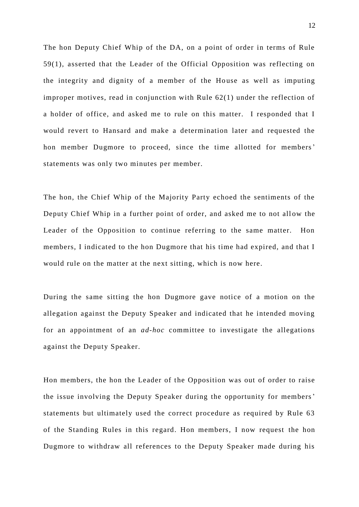The hon Deputy Chief Whip of the DA, on a point of order in terms of Rule 59(1), asserted that the Leader of the Official Opposition was reflecting on the integrity and dignity of a member of the House as well as imputing improper motives, read in conjunction with Rule 62(1) under the reflection of a holder of office, and asked me to rule on this matter. I responded that I would revert to Hansard and make a determination later and requested the hon member Dugmore to proceed, since the time allotted for members' statements was only two minutes per member.

The hon, the Chief Whip of the Majority Party echoed the sentiments of the Deputy Chief Whip in a further point of order, and asked me to not allow the Leader of the Opposition to continue referring to the same matter. Hon members, I indicated to the hon Dugmore that his time had expired, and that I would rule on the matter at the next sitting, which is now here.

During the same sitting the hon Dugmore gave notice of a motion on the allegation against the Deputy Speaker and indicated that he intended moving for an appointment of an *ad-hoc* committee to investigate the allegations against the Deputy Speaker.

Hon members, the hon the Leader of the Opposition was out of order to raise the issue involving the Deputy Speaker during the opportunity for members' statements but ultimately used the correct procedure as required by Rule 63 of the Standing Rules in this regard. Hon members, I now request the hon Dugmore to withdraw all references to the Deputy Speaker made during his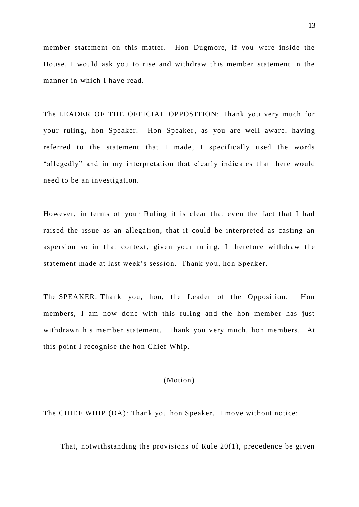member statement on this matter. Hon Dugmore, if you were inside the House, I would ask you to rise and withdraw this member statement in the manner in which I have read.

The LEADER OF THE OFFICIAL OPPOSITION: Thank you very much for your ruling, hon Speaker. Hon Speaker, as you are well aware, having referred to the statement that I made, I specifically used the words "allegedly" and in my interpretation that clearly indic ates that there would need to be an investigation.

However, in terms of your Ruling it is clear that even the fact that I had raised the issue as an allegation, that it could be interpreted as casting an aspersion so in that context, given your ruling, I therefore withdraw the statement made at last week's session. Thank you, hon Speaker.

The SPEAKER: Thank you, hon, the Leader of the Opposition. Hon members, I am now done with this ruling and the hon member has just withdrawn his member statement. Thank you very much, hon members. At this point I recognise the hon Chief Whip.

#### (Motion)

The CHIEF WHIP (DA): Thank you hon Speaker. I move without notice:

That, notwithstanding the provisions of Rule 20(1), precedence be given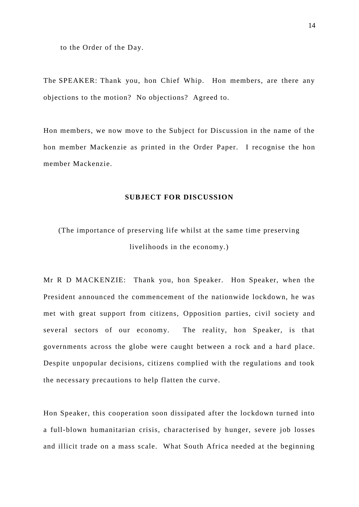to the Order of the Day.

The SPEAKER: Thank you, hon Chief Whip. Hon members, are there any objections to the motion? No objections? Agreed to.

Hon members, we now move to the Subject for Discussion in the name of the hon member Mackenzie as printed in the Order Paper. I recognise the hon member Mackenzie.

#### **SUBJECT FOR DISCUSSION**

# (The importance of preserving life whilst at the same time preserving livelihoods in the economy.)

Mr R D MACKENZIE: Thank you, hon Speaker. Hon Speaker, when the President announced the commencement of the nationwide lockdown, he was met with great support from citizens, Opposition parties, civil society and several sectors of our economy. The reality, hon Speaker, is that governments across the globe were caught between a rock and a hard place. Despite unpopular decisions, citizens complied with the regulations and took the necessary precautions to help flatten the curve.

Hon Speaker, this cooperation soon dissipated after the lockdown turned into a full-blown humanitarian crisis, characterised by hunger, severe job losses and illicit trade on a mass scale. What South Africa needed at the beginning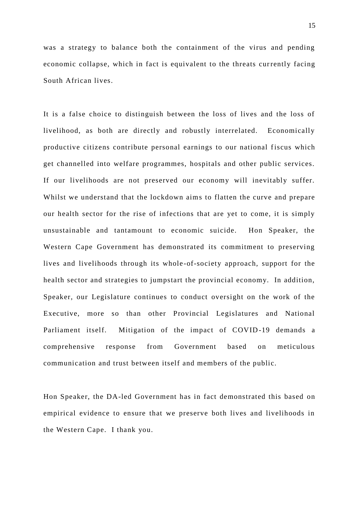was a strategy to balance both the containment of the virus and pending economic collapse, which in fact is equivalent to the threats currently facing South African lives.

It is a false choice to distinguish between the loss of lives and the loss of livelihood, as both are directly and robustly interrelated. Economically productive citizens contribute personal earnings to our national fiscus which get channelled into welfare programmes, hospitals and other public services. If our livelihoods are not preserved our economy will inevitably suffer. Whilst we understand that the lockdown aims to flatten the curve and prepare our health sector for the rise of infections that are yet to come, it is simply unsustainable and tantamount to economic suicide. Hon Speaker, the Western Cape Government has demonstrated its commitment to preserving lives and livelihoods through its whole -of-society approach, support for the health sector and strategies to jumpstart the provincial economy. In addition, Speaker, our Legislature continues to conduct oversight on the work of the Executive, more so than other Provincial Legislatures and National Parliament itself. Mitigation of the impact of COVID-19 demands a comprehensive response from Government based on meticulous communication and trust between itself and members of the public.

Hon Speaker, the DA-led Government has in fact demonstrated this based on empirical evidence to ensure that we preserve both lives and livelihoods in the Western Cape. I thank you.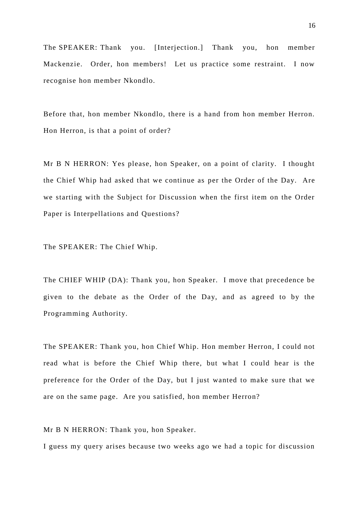The SPEAKER: Thank you. [Interjection.] Thank you, hon member Mackenzie. Order, hon members! Let us practice some restraint. I now recognise hon member Nkondlo.

Before that, hon member Nkondlo, there is a hand from hon member Herron. Hon Herron, is that a point of order?

Mr B N HERRON: Yes please, hon Speaker, on a point of clarity. I thought the Chief Whip had asked that we continue as per the Order of the Day. Are we starting with the Subject for Discussion when the first item on the Order Paper is Interpellations and Questions?

The SPEAKER: The Chief Whip.

The CHIEF WHIP (DA): Thank you, hon Speaker. I move that precedence be given to the debate as the Order of the Day, and as agreed to by the Programming Authority.

The SPEAKER: Thank you, hon Chief Whip. Hon member Herron, I could not read what is before the Chief Whip there, but what I could hear is the preference for the Order of the Day, but I just wanted to make sure that we are on the same page. Are you satisfied, hon member Herron?

Mr B N HERRON: Thank you, hon Speaker.

I guess my query arises because two weeks ago we had a topic for discussion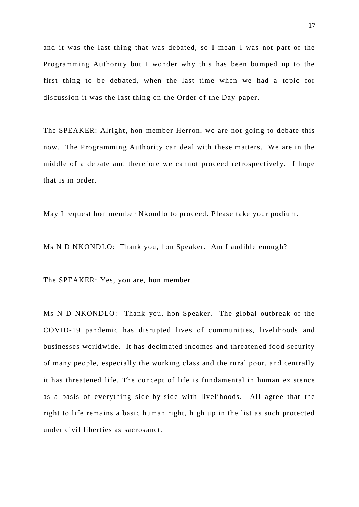and it was the last thing that was debated, so I mean I was not part of the Programming Authority but I wonder why this has been bumped up to the first thing to be debated, when the last time when we had a topic for discussion it was the last thing on the Order of the Day paper.

The SPEAKER: Alright, hon member Herron, we are not going to debate this now. The Programming Authority can deal with these matters. We are in the middle of a debate and therefore we cannot proceed retrospectively. I hope that is in order.

May I request hon member Nkondlo to proceed. Please take your podium.

Ms N D NKONDLO: Thank you, hon Speaker. Am I audible enough?

The SPEAKER: Yes, you are, hon member.

Ms N D NKONDLO: Thank you, hon Speaker. The global outbreak of the COVID-19 pandemic has disrupted lives of communities, livelihoods and businesses worldwide. It has decimated incomes and threatened food security of many people, especially the working class and the rural poor, and centrally it has threatened life. The concept of life is fundamental in human existence as a basis of everything side -by-side with livelihoods. All agree that the right to life remains a basic human right, high up in the list as such protected under civil liberties as sacrosanct.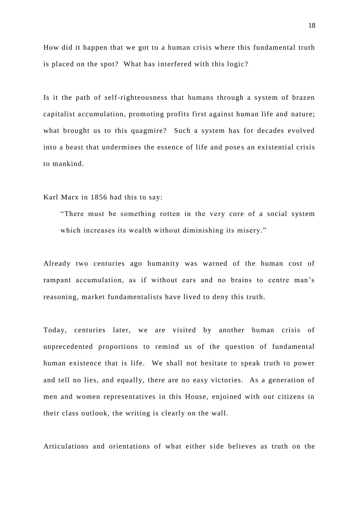How did it happen that we got to a human crisis where this fundamental truth is placed on the spot? What has interfered with this logic?

Is it the path of self-righteousness that humans through a system of brazen capitalist accumulation, promoting profits first against human life and nature; what brought us to this quagmire? Such a system has for decades evolved into a beast that undermines the essence of life and poses an existential crisis to mankind.

Karl Marx in 1856 had this to say:

"There must be something rotten in the very core of a social system which increases its wealth without diminishing its misery."

Already two centuries ago humanity was warned of the human cost of rampant accumulation, as if without ears and no brains to centre man's reasoning, market fundamentalists have lived to deny this truth.

Today, centuries later, we are visited by another human crisis of unprecedented proportions to remind us of the question of fundamental human existence that is life. We shall not hesitate to speak truth to power and tell no lies, and equally, there are no easy victories. As a generation of men and women representatives in this House, enjoined with our citizens in their class outlook, the writing is clearly on the wall.

Articulations and orientations of what either side believes as truth on the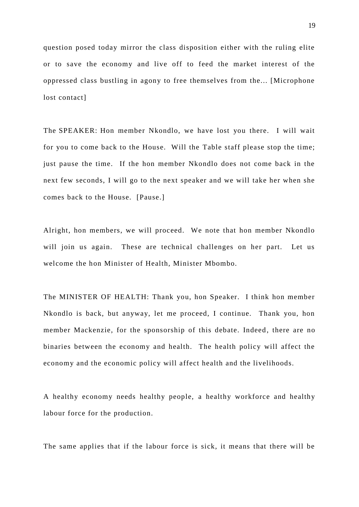question posed today mirror the class disposition either with the ruling elite or to save the economy and live off to feed the market interest of the oppressed class bustling in agony to free themselves from the... [Microphone lost contact]

The SPEAKER: Hon member Nkondlo, we have lost you there. I will wait for you to come back to the House. Will the Table staff please stop the time; just pause the time. If the hon member Nkondlo does not come back in the next few seconds, I will go to the next speaker and we will take her when she comes back to the House. [Pause.]

Alright, hon members, we will proceed. We note that hon member Nkondlo will join us again. These are technical challenges on her part. Let us welcome the hon Minister of Health, Minister Mbombo.

The MINISTER OF HEALTH: Thank you, hon Speaker. I think hon member Nkondlo is back, but anyway, let me proceed, I continue. Thank you, hon member Mackenzie, for the sponsorship of this debate. Indeed, there are no binaries between the economy and health. The health policy will affect the economy and the economic policy will affect health and the livelihoods.

A healthy economy needs healthy people, a healthy workforce and healthy labour force for the production.

The same applies that if the labour force is sick, it means that there will be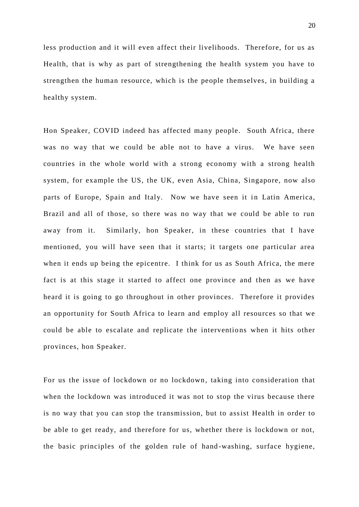less production and it will even affect their livelihoods. Therefore, for us as Health, that is why as part of strengthening the health system you have to strengthen the human resource, which is the people themselves, in building a healthy system.

Hon Speaker, COVID indeed has affected many people. South Africa, there was no way that we could be able not to have a virus. We have seen countries in the whole world with a strong economy with a strong health system, for example the US, the UK, even Asia, China, Singapore, now also parts of Europe, Spain and Italy. Now we have seen it in Latin America, Brazil and all of those, so there was no way that we could be able to run away from it. Similarly, hon Speaker, in these countries that I have mentioned, you will have seen that it starts; it targets one particular area when it ends up being the epicentre. I think for us as South Africa, the mere fact is at this stage it started to affect one province and then as we have heard it is going to go throughout in other provinces. Therefore it provides an opportunity for South Africa to learn and employ all resources so that we could be able to escalate and replicate the interventions when it hits other provinces, hon Speaker.

For us the issue of lockdown or no lockdown , taking into consideration that when the lockdown was introduced it was not to stop the virus because there is no way that you can stop the transmission, but to assist Health in order to be able to get ready, and therefore for us, whether there is lockdown or not, the basic principles of the golden rule of hand -washing, surface hygiene,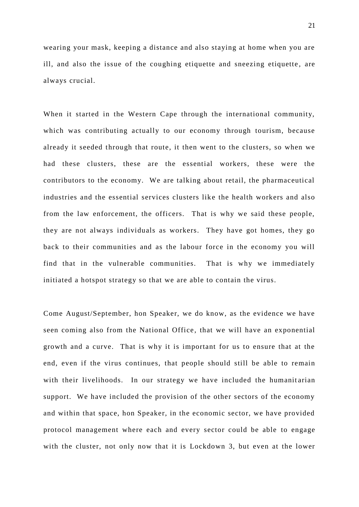wearing your mask, keeping a distance and also staying at home when you are ill, and also the issue of the coughing etiquette and sneezing etiquette, are always crucial.

When it started in the Western Cape through the international community, which was contributing actually to our economy through tourism, because already it seeded through that route, it then went to the clusters, so when we had these clusters, these are the essential workers, these were the contributors to the economy. We are talking about retail, the pharmaceutical industries and the essential services clusters like the health workers and also from the law enforcement, the officers. That is why we said these people, they are not always individuals as workers. They have got homes, they go back to their communities and as the labour force in the economy you will find that in the vulnerable communities. That is why we immediately initiated a hotspot strategy so that we are able to contain the virus.

Come August/September, hon Speaker, we do know, as the evidence we have seen coming also from the National Office, that we will have an exponential growth and a curve. That is why it is important for us to ensure that at the end, even if the virus continues, that people should still be able to remain with their livelihoods. In our strategy we have included the humanit arian support. We have included the provision of the other sectors of the economy and within that space, hon Speaker, in the economic sector, we have provided protocol management where each and every sector could be able to engage with the cluster, not only now that it is Lockdown 3, but even at the lower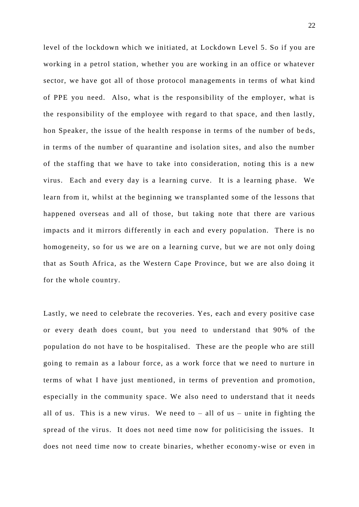level of the lockdown which we initiated, at Lockdown Level 5. So if you are working in a petrol station, whether you are working in an office or whatever sector, we have got all of those protocol managements in terms of what kind of PPE you need. Also, what is the responsibility of the employer, what is the responsibility of the employee with regard to that space, and then lastly, hon Speaker, the issue of the health response in terms of the number of be ds, in terms of the number of quarantine and isolation sites, and also the number of the staffing that we have to take into consideration, noting this is a new virus. Each and every day is a learning curve. It is a learning phase. We learn from it, whilst at the beginning we transplanted some of the lessons that happened overseas and all of those, but taking note that there are various impacts and it mirrors differently in each and every population. There is no homogeneity, so for us we are on a learning curve, but we are not only doing that as South Africa, as the Western Cape Province, but we are also doing it for the whole country.

Lastly, we need to celebrate the recoveries. Yes, each and every positive case or every death does count, but you need to understand that 90% of the population do not have to be hospitalised. These are the people who are still going to remain as a labour force, as a work force that we need to nurture in terms of what I have just mentioned, in terms of prevention and promotion, especially in the community space. We also need to understand that it needs all of us. This is a new virus. We need to  $-$  all of us  $-$  unite in fighting the spread of the virus. It does not need time now for politicising the issues. It does not need time now to create binaries, whether economy-wise or even in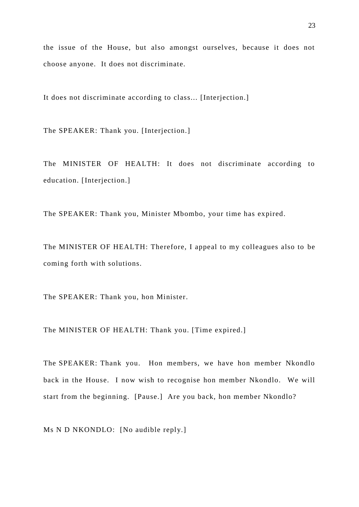the issue of the House, but also amongst ourselves, because it does not choose anyone. It does not discriminate.

It does not discriminate according to class... [Interjection.]

The SPEAKER: Thank you. [Interjection.]

The MINISTER OF HEALTH: It does not discriminate according to education. [Interjection.]

The SPEAKER: Thank you, Minister Mbombo, your time has expired.

The MINISTER OF HEALTH: Therefore, I appeal to my colleagues also to be coming forth with solutions.

The SPEAKER: Thank you, hon Minister.

The MINISTER OF HEALTH: Thank you. [Time expired.]

The SPEAKER: Thank you. Hon members, we have hon member Nkondlo back in the House. I now wish to recognise hon member Nkondlo. We will start from the beginning. [Pause.] Are you back, hon member Nkondlo?

Ms N D NKONDLO: [No audible reply.]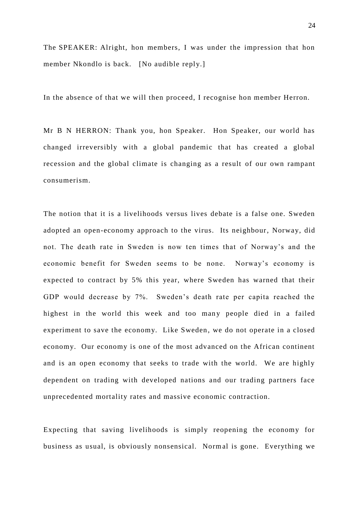The SPEAKER: Alright, hon members, I was under the impression that hon member Nkondlo is back. [No audible reply.]

In the absence of that we will then proceed, I recognise hon member Herron.

Mr B N HERRON: Thank you, hon Speaker. Hon Speaker, our world has changed irreversibly with a global pandemic that has created a global recession and the global climate is changing as a result of our own rampant consumerism.

The notion that it is a livelihoods versus lives debate is a false one. Sweden adopted an open-economy approach to the virus. Its neighbour, Norway, did not. The death rate in Sweden is now ten times that of Norway's and the economic benefit for Sweden seems to be none. Norway's economy is expected to contract by 5% this year, where Sweden has warned that their GDP would decrease by 7%. Sweden's death rate per capita reached the highest in the world this week and too many people died in a failed experiment to save the economy. Like Sweden, we do not operate in a closed economy. Our economy is one of the most advanced on the African continent and is an open economy that seeks to trade with the world. We are highly dependent on trading with developed nations and our trading partners face unprecedented mortality rates and massive economic contraction.

Expecting that saving livelihoods is simply reopening the economy for business as usual, is obviously nonsensical. Normal is gone. Everything we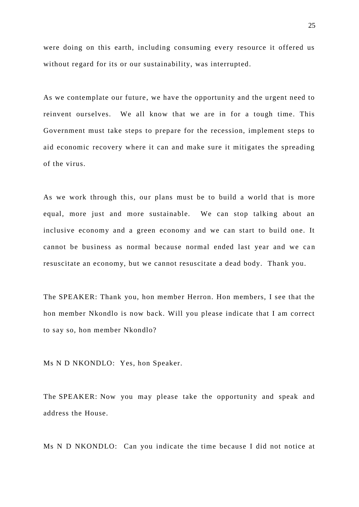were doing on this earth, including consuming every resource it offered us without regard for its or our sustainability, was interrupted.

As we contemplate our future, we have the opportunity and the urgent need to reinvent ourselves. We all know that we are in for a tough time. This Government must take steps to prepare for the recession, implement steps to aid economic recovery where it can and make sure it mitigates the spreading of the virus.

As we work through this, our plans must be to build a world that is more equal, more just and more sustainable. We can stop talking about an inclusive economy and a green economy and we can start to build one. It cannot be business as normal because normal ended last year and we can resuscitate an economy, but we cannot resuscitate a dead body. Thank you.

The SPEAKER: Thank you, hon member Herron. Hon members, I see that the hon member Nkondlo is now back. Will you please indicate that I am correct to say so, hon member Nkondlo?

Ms N D NKONDLO: Yes, hon Speaker.

The SPEAKER: Now you may please take the opportunity and speak and address the House.

Ms N D NKONDLO: Can you indicate the time because I did not notice at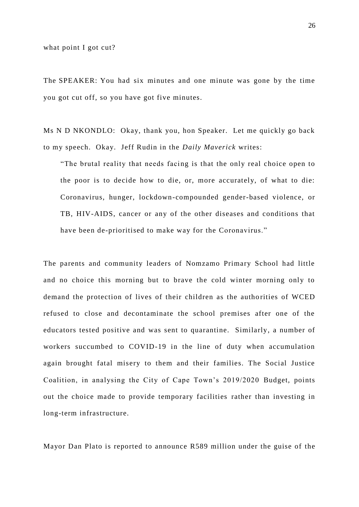what point I got cut?

The SPEAKER: You had six minutes and one minute was gone by the time you got cut off, so you have got five minutes.

Ms N D NKONDLO: Okay, thank you, hon Speaker. Let me quickly go back to my speech. Okay. Jeff Rudin in the *Daily Maverick* writes:

"The brutal reality that needs facing is that the only real choice open to the poor is to decide how to die, or, more accurately, of what to die: Coronavirus, hunger, lockdown-compounded gender-based violence, or TB, HIV-AIDS, cancer or any of the other diseases and conditions that have been de-prioritised to make way for the Coronavirus."

The parents and community leaders of Nomzamo Primary School had little and no choice this morning but to brave the cold winter morning only to demand the protection of lives of their children as the authorities of WCED refused to close and decontaminate the school premises after one of the educators tested positive and was sent to quarantine. Similarly, a number of workers succumbed to COVID-19 in the line of duty when accumulation again brought fatal misery to them and their families. The Social Justice Coalition, in analysing the City of Cape Town's 2019/2020 Budget, points out the choice made to provide temporary facilities rather than investing in long-term infrastructure.

Mayor Dan Plato is reported to announce R589 million under the guise of the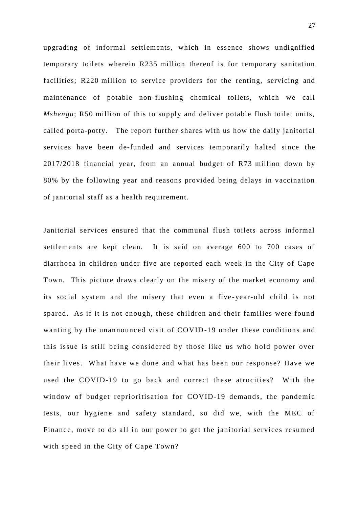upgrading of informal settlements, which in essence shows undignified temporary toilets wherein R235 million thereof is for temporary sanitation facilities; R220 million to service providers for the renting, servicing and maintenance of potable non-flushing chemical toilets, which we call *Mshengu*; R50 million of this to supply and deliver potable flush toilet units, called porta-potty. The report further shares with us how the daily janitorial services have been de-funded and services temporarily halted since the 2017/2018 financial year, from an annual budget of R73 million down by 80% by the following year and reasons provided being delays in vaccination of janitorial staff as a health requirement.

Janitorial services ensured that the communal flush toilets across informal settlements are kept clean. It is said on average 600 to 700 cases of diarrhoea in children under five are reported each week in the City of Cape Town. This picture draws clearly on the misery of the market economy and its social system and the misery that even a five -year-old child is not spared. As if it is not enough, these children and their families were found wanting by the unannounced visit of COVID-19 under these conditions and this issue is still being considered by those like us who hold power over their lives. What have we done and what has been our response? Have we used the COVID-19 to go back and correct these atrocities? With the window of budget reprioritisation for COVID-19 demands, the pandemic tests, our hygiene and safety standard, so did we, with the MEC of Finance, move to do all in our power to get the janitorial services resumed with speed in the City of Cape Town?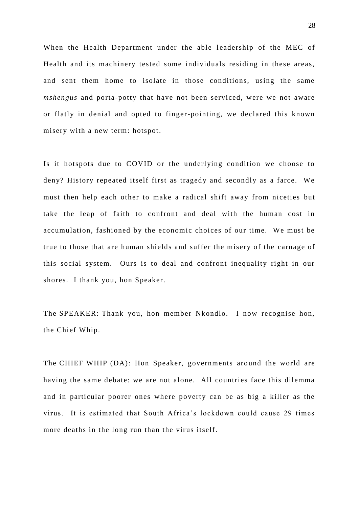When the Health Department under the able leadership of the MEC of Health and its machinery tested some individuals residing in these areas, and sent them home to isolate in those conditions, using the same *mshengus* and porta-potty that have not been serviced, were we not aware or flatly in denial and opted to finger-pointing, we declared this known misery with a new term: hotspot.

Is it hotspots due to COVID or the underlying condition we choose to deny? History repeated itself first as tragedy and secondly as a farce. We must then help each other to make a radical shift away from niceties but take the leap of faith to confront and deal with the human cost in accumulation, fashioned by the economic choices of our time. We must be true to those that are human shields and suffer the misery of the carnage of this social system. Ours is to deal and confront inequality right in our shores. I thank you, hon Speaker.

The SPEAKER: Thank you, hon member Nkondlo. I now recognise hon, the Chief Whip.

The CHIEF WHIP (DA): Hon Speaker, governments around the world are having the same debate: we are not alone. All countries face this dilemma and in particular poorer ones where poverty can be as big a killer as the virus. It is estimated that South Africa's lockdown could cause 29 times more deaths in the long run than the virus itself.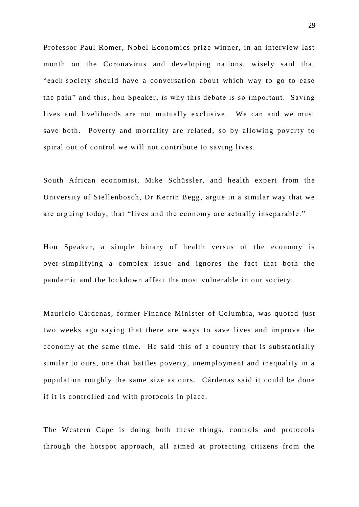Professor Paul Romer, Nobel Economics prize winner, in an interview last month on the Coronavirus and developing nations, wisely said that "each society should have a conversation about which way to go to ease the pain" and this, hon Speaker, is why this debate is so important. Saving lives and livelihoods are not mutually exclusive. We can and we must save both. Poverty and mortality are related, so by allowing poverty to spiral out of control we will not contribute to saving lives.

South African economist, Mike Schüssler, and health expert from the University of Stellenbosch, Dr Kerrin Begg, argue in a similar way that we are arguing today, that "lives and the economy are actually inseparable."

Hon Speaker, a simple binary of health versus of the economy is over-simplifying a complex issue and ignores the fact that both the pandemic and the lockdown affect the most vulnerable in our society.

Mauricio Cárdenas, former Finance Minister of Columbia, was quoted just two weeks ago saying that there are ways to save lives and improve the economy at the same time. He said this of a country that is substantially similar to ours, one that battles poverty, unemployment and inequality in a population roughly the same size as ours. Cárdenas said it could be done if it is controlled and with protocols in place.

The Western Cape is doing both these things, controls and protocols through the hotspot approach, all aimed at protecting citizens from the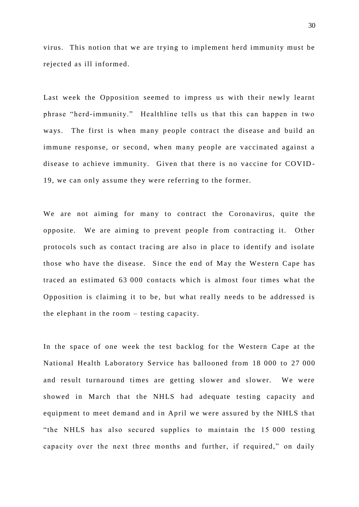virus. This notion that we are trying to implement herd immunity must be rejected as ill informed.

Last week the Opposition seemed to impress us with their newly learnt phrase "herd-immunity." Healthline tells us that this can happen in two ways. The first is when many people contract the disease and build an immune response, or second, when many people are vaccinated against a disease to achieve immunity. Given that there is no vaccine for COVID - 19, we can only assume they were referring to the former.

We are not aiming for many to contract the Coronavirus, quite the opposite. We are aiming to prevent people from contracting it. Other protocols such as contact tracing are also in place to identify and isolate those who have the disease. Since the end of May the We stern Cape has traced an estimated 63 000 contacts which is almost four times what the Opposition is claiming it to be, but what really needs to be addressed is the elephant in the room – testing capacity.

In the space of one week the test backlog for the Western Cape at the National Health Laboratory Service has ballooned from 18 000 to 27 000 and result turnaround times are getting slower and slower. We were showed in March that the NHLS had adequate testing capacity and equipment to meet demand and in April we were assured by the NHLS that "the NHLS has also secured supplies to maintain the 15 000 testing capacity over the next three months and further, if required," on daily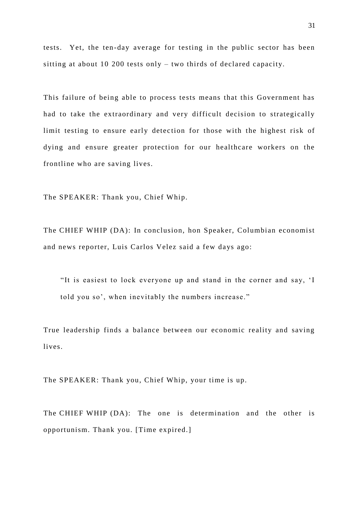tests. Yet, the ten-day average for testing in the public sector has been sitting at about 10 200 tests only – two thirds of declared capacity.

This failure of being able to process tests means that this Government has had to take the extraordinary and very difficult decision to strategically limit testing to ensure early detection for those with the highest risk of dying and ensure greater protection for our healthcare workers on the frontline who are saving lives.

The SPEAKER: Thank you, Chief Whip.

The CHIEF WHIP (DA): In conclusion, hon Speaker, Columbian economist and news reporter, Luis Carlos Velez said a few days ago:

"It is easiest to lock everyone up and stand in the corner and say, 'I told you so', when inevitably the numbers increase."

True leadership finds a balance between our economic reality and saving lives.

The SPEAKER: Thank you, Chief Whip, your time is up.

The CHIEF WHIP (DA): The one is determination and the other is opportunism. Thank you. [Time expired.]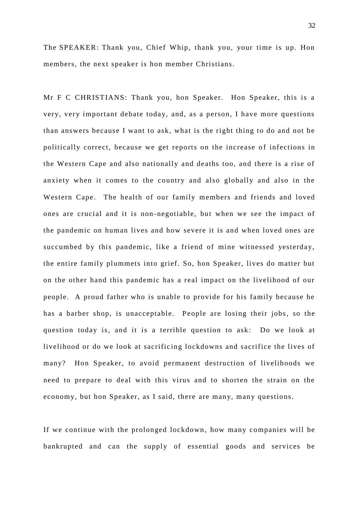The SPEAKER: Thank you, Chief Whip, thank you, your time is up. Hon members, the next speaker is hon member Christians.

Mr F C CHRISTIANS: Thank you, hon Speaker. Hon Speaker, this is a very, very important debate today, and, as a person, I have more questions than answers because I want to ask, what is the right thing to do and not be politically correct, because we get reports on the increase of infections in the Western Cape and also nationally and deaths too, and there is a rise of anxiety when it comes to the country and also globally and also in the Western Cape. The health of our family members and friends and loved ones are crucial and it is non -negotiable, but when we see the impact of the pandemic on human lives and how severe it is and when loved ones are succumbed by this pandemic, like a friend of mine witnessed yesterday, the entire family plummets into grief. So, hon Speaker, lives do matter but on the other hand this pandemic has a real impact on the livelihood of our people. A proud father who is unable to provide for his family because he has a barber shop, is unacceptable. People are losing their jobs, so the question today is, and it is a terrible question to ask: Do we look at livelihood or do we look at sacrificing lockdowns and sacrifice the lives of many? Hon Speaker, to avoid permanent destruction of livelihoods we need to prepare to deal with this virus and to shorten the strain on the economy, but hon Speaker, as I said, there are many, many questions.

If we continue with the prolonged lockdown, how many companies will be bankrupted and can the supply of essential goods and services be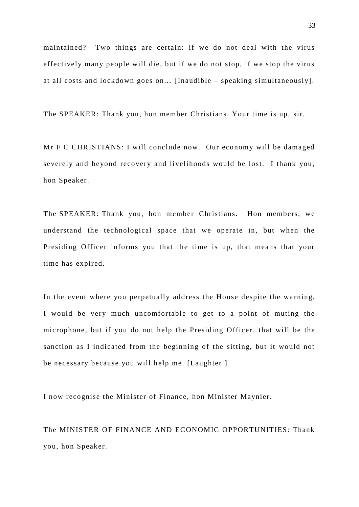maintained? Two things are certain: if we do not deal with the virus effectively many people will die, but if we do not stop, if we stop the virus at all costs and lockdown goes on... [Inaudible – speaking simultaneously].

The SPEAKER: Thank you, hon member Christians. Your time is up, sir.

Mr F C CHRISTIANS: I will conclude now. Our economy will be damaged severely and beyond recovery and livelihoods would be lost. I thank you, hon Speaker.

The SPEAKER: Thank you, hon member Christians. Hon members, we understand the technological space that we operate in, but when the Presiding Officer informs you that the time is up, that means that your time has expired.

In the event where you perpetually address the House despite the warning, I would be very much uncomfortable to get to a point of muting the microphone, but if you do not help the Presiding Officer, that will be the sanction as I indicated from the beginning of the sitting, but it would not be necessary because you will help me. [Laughter.]

I now recognise the Minister of Finance, hon Minister Maynier.

The MINISTER OF FINANCE AND ECONOMIC OPPORTUNITIES: Thank you, hon Speaker.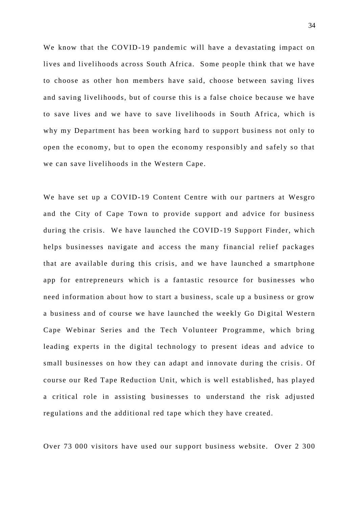We know that the COVID-19 pandemic will have a devastating impact on lives and livelihoods across South Africa. Some people think that we have to choose as other hon members have said, choose between saving lives and saving livelihoods, but of course this is a false choice because we have to save lives and we have to save livelihoods in South Africa, which is why my Department has been working hard to support business not only to open the economy, but to open the economy responsibly and safely so that we can save livelihoods in the Western Cape.

We have set up a COVID-19 Content Centre with our partners at Wesgro and the City of Cape Town to provide support and advice for business during the crisis. We have launched the COVID-19 Support Finder, which helps businesses navigate and access the many financial relief packages that are available during this crisis, and we have launched a smartphone app for entrepreneurs which is a fantastic resource for businesses who need information about how to start a business, scale up a business or grow a business and of course we have launched the weekly Go Digital Western Cape Webinar Series and the Tech Volunteer Programme, which bring leading experts in the digital technology to present ideas and advice to small businesses on how they can adapt and innovate during the crisis. Of course our Red Tape Reduction Unit, which is well established, has played a critical role in assisting businesses to understand the risk adjusted regulations and the additional red tape which they have created.

Over 73 000 visitors have used our support business website. Over 2 300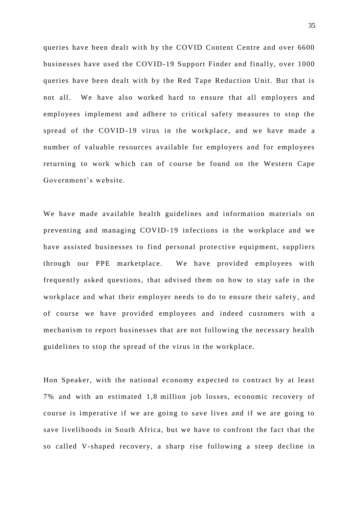queries have been dealt with by the COVID Content Centre and over 6600 businesses have used the COVID-19 Support Finder and finally, over 1000 queries have been dealt with by the Red Tape Reduction Unit. But that is not all. We have also worked hard to ensure that all employers and employees implement and adhere to critical safety measures to stop the spread of the COVID-19 virus in the workplace, and we have made a number of valuable resources available for employers and for employees returning to work which can of course be found on the Western Cape Government's website.

We have made available health guidelines and information materials on preventing and managing COVID-19 infections in the workplace and we have assisted businesses to find personal protective equipment, suppliers through our PPE marketplace. We have provided employees with frequently asked questions, that advised them on how to stay safe in the workplace and what their employer needs to do to ensure their safety, and of course we have provided employees and indeed customers with a mechanism to report businesses that are not following the necessary health guidelines to stop the spread of the virus in the workplace.

Hon Speaker, with the national economy expected to contract by at least 7% and with an estimated 1,8 million job losses, economic recovery of course is imperative if we are going to save lives and if we are going to save livelihoods in South Africa, but we have to confront the fact that the so called V-shaped recovery, a sharp rise following a steep decline in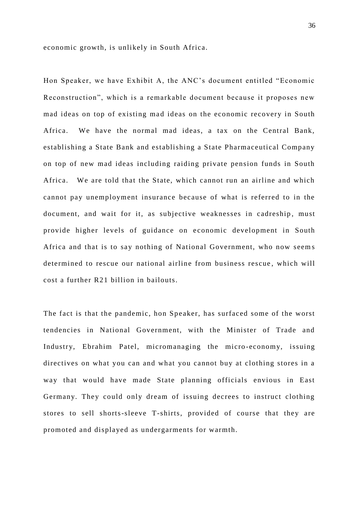economic growth, is unlikely in South Africa.

Hon Speaker, we have Exhibit A, the ANC's document entitled "Economic Reconstruction", which is a remarkable document because it proposes new mad ideas on top of existing mad ideas on the economic recovery in South Africa. We have the normal mad ideas, a tax on the Central Bank, establishing a State Bank and establishing a State Pharmaceutical Company on top of new mad ideas including raiding private pension funds in South Africa. We are told that the State, which cannot run an airline and which cannot pay unemployment insurance because of what is referred to in the document, and wait for it, as subjective weaknesses in cadreship, must provide higher levels of guidance on e conomic development in South Africa and that is to say nothing of National Government, who now seem s determined to rescue our national airline from business rescue , which will cost a further R21 billion in bailouts.

The fact is that the pandemic, hon Speaker, has surfaced some of the worst tendencies in National Government, with the Minister of Trade and Industry, Ebrahim Patel, micromanaging the micro -economy, issuing directives on what you can and what you cannot buy at clothing stores in a way that would have made State planning officials envious in East Germany. They could only dream of issuing decrees to instruct clothing stores to sell shorts-sleeve T-shirts, provided of course that they are promoted and displayed as undergarments for warmth.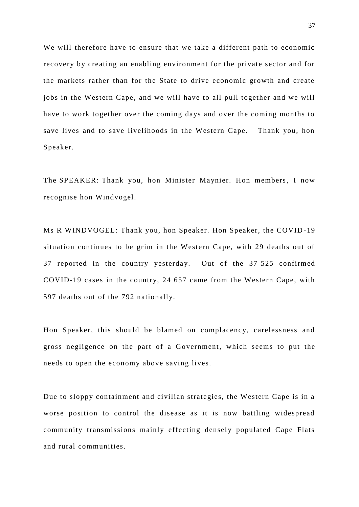We will therefore have to ensure that we take a different path to economic recovery by creating an enabling environment for the private sector and for the markets rather than for the State to drive economic growth and create jobs in the Western Cape, and we will have to all pull together and we will have to work together over the coming days and over the coming months to save lives and to save livelihoods in the Western Cape. Thank you, hon Speaker.

The SPEAKER: Thank you, hon Minister Maynier. Hon members, I now recognise hon Windvogel.

Ms R WINDVOGEL: Thank you, hon Speaker. Hon Speaker, the COVID -19 situation continues to be grim in the Western Cape, with 29 deaths out of 37 reported in the country yesterday. Out of the 37 525 confirmed COVID-19 cases in the country, 24 657 came from the Western Cape, with 597 deaths out of the 792 nationally.

Hon Speaker, this should be blamed on complacency, carelessness and gross negligence on the part of a Government, which seems to put the needs to open the economy above saving lives.

Due to sloppy containment and civilian strategies, the Western Cape is in a worse position to control the disease as it is now battling widespread community transmissions mainly effecting densely populated Cape Flats and rural communities.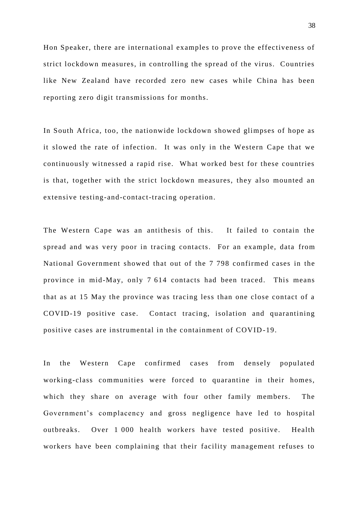Hon Speaker, there are international examples to prove the effectiveness of strict lockdown measures, in controlling the spread of the virus. Countries like New Zealand have recorded zero new cases while China has been reporting zero digit transmissions for months.

In South Africa, too, the nationwide lockdown showed glimpses of hope as it slowed the rate of infection. It was only in the Western Cape that we continuously witnessed a rapid rise. What worked best for these countries is that, together with the strict lockdown measures, they also mounted an extensive testing-and-contact-tracing operation.

The Western Cape was an antithesis of this. It failed to contain the spread and was very poor in tracing contacts. For an example, data from National Government showed that out of the 7 798 confirmed cases in the province in mid-May, only 7 614 contacts had been traced. This means that as at 15 May the province was tracing less than one close contact of a COVID-19 positive case. Contact tracing, isolation and quarantining positive cases are instrumental in the containment of COVID -19.

In the Western Cape confirmed cases from densely populated working-class communities were forced to quarantine in their homes, which they share on average with four other family members. The Government's complacency and gross negligence have led to hospital outbreaks. Over 1 000 health workers have tested positive. Health workers have been complaining that their facility management refuses to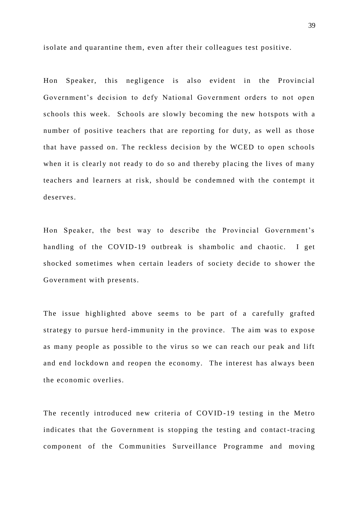isolate and quarantine them, even after their colleagues test positive.

Hon Speaker, this negligence is also evident in the Provincial Government's decision to defy National Government orders to not open schools this week. Schools are slowly becoming the new hotspots with a number of positive teachers that are reporting for duty, as well as those that have passed on. The reckless decision by the WCED to open schools when it is clearly not ready to do so and thereby placing the lives of many teachers and learners at risk, should be condemned with the contempt it deserves.

Hon Speaker, the best way to describe the Provincial Government's handling of the COVID-19 outbreak is shambolic and chaotic. I get shocked sometimes when certain leaders of society decide to shower the Government with presents.

The issue highlighted above seems to be part of a carefully grafted strategy to pursue herd-immunity in the province. The aim was to expose as many people as possible to the virus so we can reach our peak and lift and end lockdown and reopen the economy. The interest has always been the economic overlies.

The recently introduced new criteria of COVID -19 testing in the Metro indicates that the Government is stopping the testing and contact -tracing component of the Communities Surveillance Programme and moving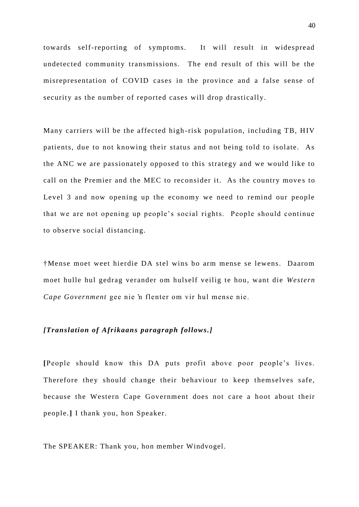towards self-reporting of symptoms. It will result in widespread undetected community transmissions. The end result of this will be the misrepresentation of COVID cases in the province and a false sense of security as the number of reported cases will drop drastically.

Many carriers will be the affected high -risk population, including TB, HIV patients, due to not knowing their status and not being told to isolate. As the ANC we are passionately opposed to this strategy and we would like to call on the Premier and the MEC to reconsider it. As the country moves to Level 3 and now opening up the economy we need to remind our people that we are not opening up people's social rights. People should continue to observe social distancing.

†Mense moet weet hierdie DA stel wins bo arm mense se lewens. Daarom moet hulle hul gedrag verander om hulself veilig te hou, want die *Western Cape Government* gee nie 'n flenter om vir hul mense nie.

## *[Translation of Afrikaans paragraph follows.]*

**[**People should know this DA puts profit above poor people's lives. Therefore they should change their behaviour to keep themselves safe, because the Western Cape Government does not care a hoot about their people.**]** I thank you, hon Speaker.

The SPEAKER: Thank you, hon member Windvogel.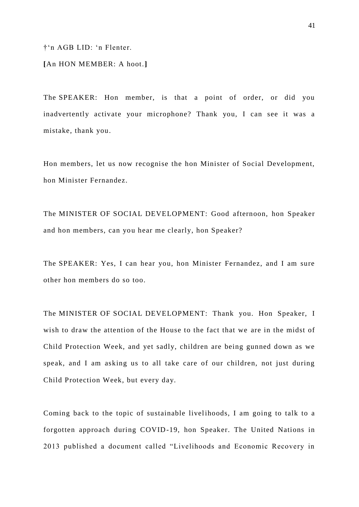†'n AGB LID: 'n Flenter.

**[**An HON MEMBER: A hoot.**]**

The SPEAKER: Hon member, is that a point of order, or did you inadvertently activate your microphone? Thank you, I can see it was a mistake, thank you.

Hon members, let us now recognise the hon Minister of Social Development, hon Minister Fernandez.

The MINISTER OF SOCIAL DEVELOPMENT: Good afternoon, hon Speaker and hon members, can you hear me clearly, hon Speaker?

The SPEAKER: Yes, I can hear you, hon Minister Fernandez, and I am sure other hon members do so too.

The MINISTER OF SOCIAL DEVELOPMENT: Thank you. Hon Speaker, I wish to draw the attention of the House to the fact that we are in the midst of Child Protection Week, and yet sadly, children are being gunned down as we speak, and I am asking us to all take care of our children, not just during Child Protection Week, but every day.

Coming back to the topic of sustainable livel ihoods, I am going to talk to a forgotten approach during COVID-19, hon Speaker. The United Nations in 2013 published a document called "Livelihoods and Economic Recovery in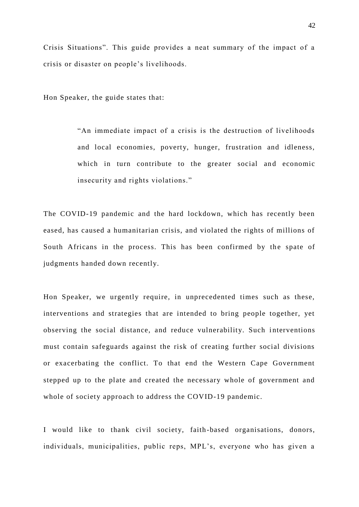Crisis Situations". This guide provides a neat summary of the impact of a crisis or disaster on people's livelihoods.

Hon Speaker, the guide states that:

"An immediate impact of a crisis is the destruction of livelihoods and local economies, poverty, hunger, frustration and idleness, which in turn contribute to the greater social and economic insecurity and rights violations."

The COVID-19 pandemic and the hard lockdown, which has recently been eased, has caused a humanitarian crisis, and violated the rights of millions of South Africans in the process. This has been confirmed by the spate of judgments handed down recently.

Hon Speaker, we urgently require, in unprecedented times such as these, interventions and strategies that are intended to bring people together, yet observing the social distance, and reduce vulnerability. Such interventions must contain safeguards against the risk of creating further social divisions or exacerbating the conflict. To that end the Western Cape Government stepped up to the plate and created the necessary whole of government and whole of society approach to address the COVID-19 pandemic.

I would like to thank civil society, faith-based organisations, donors, individuals, municipalities, public reps, MPL's, everyone who has given a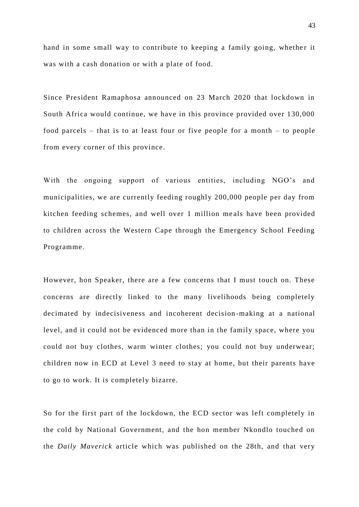hand in some small way to contribute to keeping a family going, whether it was with a cash donation or with a plate of food.

Since President Ramaphosa announced on 23 March 2020 that lockdown in South Africa would continue, we have in this province provided over 130,000 food parcels – that is to at least four or five people for a month – to people from every corner of this province.

With the ongoing support of various entities, including NGO's and municipalities, we are currently feeding roughly 200,000 people per day from kitchen feeding schemes, and well over 1 million me als have been provided to children across the Western Cape through the Emergency School Feeding Programme.

However, hon Speaker, there are a few concerns that I must touch on. These concerns are directly linked to the many livelihoods being completely decimated by indecisiveness and incoherent decision -making at a national level, and it could not be evidenced more than in the family space, where you could not buy clothes, warm winter clothes; you could not buy underwear; children now in ECD at Level 3 need to stay at home, but their parents have to go to work. It is completely bizarre.

So for the first part of the lockdown, the ECD sector was left completely in the cold by National Government, and the hon member Nkondlo touched on the *Daily Maverick* article which was published on the 28th, and that very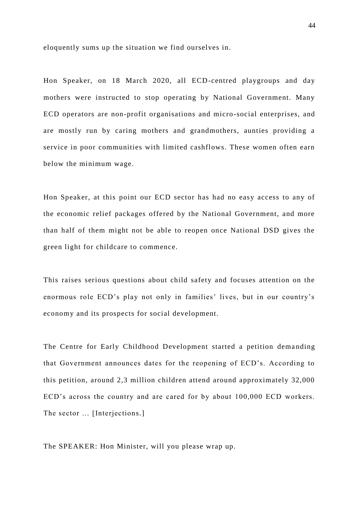eloquently sums up the situation we find ourselves in.

Hon Speaker, on 18 March 2020, all ECD-centred playgroups and day mothers were instructed to stop operating by National Government. Many ECD operators are non-profit organisations and micro-social enterprises, and are mostly run by caring mothers and grandmothers, aunties providing a service in poor communities with limited cashflows. These women often earn below the minimum wage.

Hon Speaker, at this point our ECD sector has had no easy access to any of the economic relief packages offered by the National Government, and more than half of them might not be able to reopen once National DSD gives the green light for childcare to commence.

This raises serious questions about child safety and focuses attention on the enormous role ECD's play not only in families' lives, but in our country's economy and its prospects for social development.

The Centre for Early Childhood Development started a petition demanding that Government announces dates for the reopening of ECD's. According to this petition, around 2,3 million children attend around approximately 32,000 ECD's across the country and are cared for by about 100,000 ECD workers. The sector ... [Interjections.]

The SPEAKER: Hon Minister, will you please wrap up.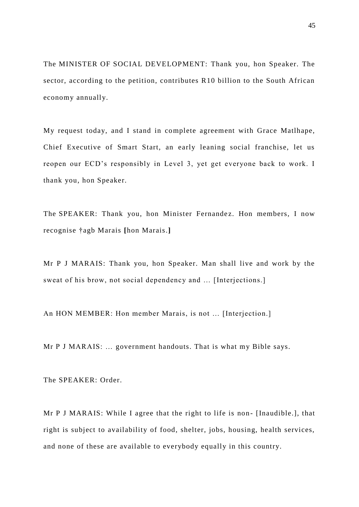The MINISTER OF SOCIAL DEVELOPMENT: Thank you, hon Speaker. The sector, according to the petition, contributes R10 billion to the South African economy annually.

My request today, and I stand in complete agreement with Grace Matlhape, Chief Executive of Smart Start, an early leaning social franchise, let us reopen our ECD's responsibly in Level 3, yet get everyone back to work. I thank you, hon Speaker.

The SPEAKER: Thank you, hon Minister Fernandez. Hon members, I now recognise †agb Marais **[**hon Marais.**]**

Mr P J MARAIS: Thank you, hon Speaker. Man shall live and work by the sweat of his brow, not social dependency and … [Interjections.]

An HON MEMBER: Hon member Marais, is not … [Interjection.]

Mr P J MARAIS: … government handouts. That is what my Bible says.

The SPEAKER: Order.

Mr P J MARAIS: While I agree that the right to life is non- [Inaudible.], that right is subject to availability of food, shelter, jobs, housing, health services, and none of these are available to everybody equally in this country.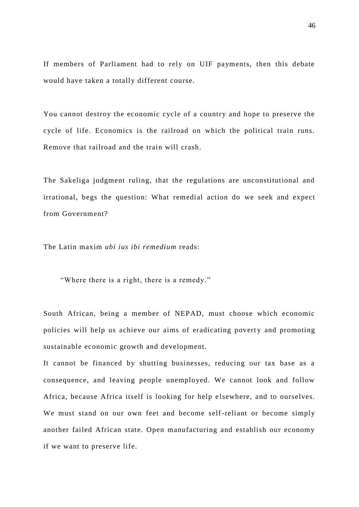If members of Parliament had to rely on UIF payments, then this debate would have taken a totally different course.

You cannot destroy the economic cycle of a country and hope to preserve the cycle of life. Economics is the railroad on which the political train runs. Remove that railroad and the train will crash.

The Sakeliga judgment ruling, that the regulations are unconstitutional and irrational, begs the question: What remedial action do we seek and expect from Government?

The Latin maxim *ubi ius ibi remedium* reads:

"Where there is a right, there is a remedy."

South African, being a member of NEPAD, must choose which economic policies will help us achieve our aims of eradicating poverty and promoting sustainable economic growth and development.

It cannot be financed by shutting businesses, reducing our tax base as a consequence, and leaving people unemployed. We cannot look and follow Africa, because Africa itself is looking for help elsewhere, and to ourselves. We must stand on our own feet and become self-reliant or become simply another failed African state. Open manufacturing and establish our economy if we want to preserve life.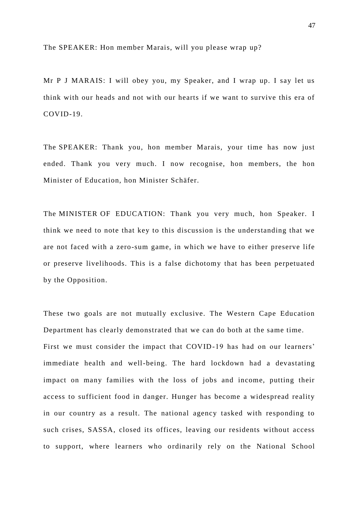The SPEAKER: Hon member Marais, will you please wrap up?

Mr P J MARAIS: I will obey you, my Speaker, and I wrap up. I say let us think with our heads and not with our hearts if we want to survive this era of COVID-19.

The SPEAKER: Thank you, hon member Marais, your time has now just ended. Thank you very much. I now recognise, hon members, the hon Minister of Education, hon Minister Schäfer.

The MINISTER OF EDUCATION: Thank you very much, hon Speaker. I think we need to note that key to this discussion is the understanding that we are not faced with a zero-sum game, in which we have to either preserve life or preserve livelihoods. This is a false dichotomy that has been perpetuated by the Opposition.

These two goals are not mutually exclusive. The Western Cape Education Department has clearly demonstrated that we can do both at the same time. First we must consider the impact that COVID-19 has had on our learners' immediate health and well-being. The hard lockdown had a devastating impact on many families with the loss of jobs and income, putting their access to sufficient food in danger. Hunger has become a widespread reality in our country as a result. The national agency tasked with responding to such crises, SASSA, closed its offices, leaving our residents without access to support, where learners who ordinarily rely on the National School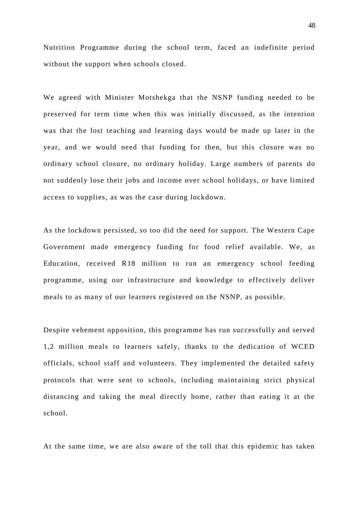Nutrition Programme during the school term, faced an indefinite period without the support when schools closed.

We agreed with Minister Motshekga that the NSNP funding needed to be preserved for term time when this was initially discussed, as the intention was that the lost teaching and learning days would be made up later in the year, and we would need that funding for then, but this closure was no ordinary school closure, no ordinary holiday. Large numbers of parents do not suddenly lose their jobs and income over school holidays, or have limited access to supplies, as was the case during lockdown.

As the lockdown persisted, so too did the need for support. The Western Cape Government made emergency funding for food relief available. We, as Education, received R18 million to run an emergency school feeding programme, using our infrastructure and knowledge to effectively deliver meals to as many of our learners registered on the NSNP, as possible.

Despite vehement opposition, this programme has run successfully and served 1,2 million meals to learners safely, thanks to the dedication of WCED officials, school staff and volunteers. They implemented the detailed safety protocols that were sent to schools, including maintaining strict physical distancing and taking the meal directly home, rather than eating it at the school.

At the same time, we are also aware of the toll that this epidemic has taken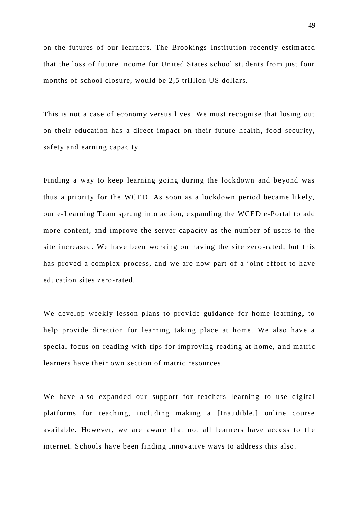on the futures of our learners. The Brookings Institution recently estim ated that the loss of future income for United States school students from just four months of school closure, would be 2,5 trillion US dollars.

This is not a case of economy versus lives. We must recognise that losing out on their education has a direct impact on their future health, food security, safety and earning capacity.

Finding a way to keep learning going during the lockdown and beyond was thus a priority for the WCED. As soon as a lockdown period became likely, our e-Learning Team sprung into action, expanding the WCED e-Portal to add more content, and improve the server capacity as the number of users to the site increased. We have been working on having the site zero -rated, but this has proved a complex process, and we are now part of a joint effort to have education sites zero-rated.

We develop weekly lesson plans to provide guidance for home learning, to help provide direction for learning taking place at home. We also have a special focus on reading with tips for improving reading at home, and matric learners have their own section of matric resources.

We have also expanded our support for teachers learning to use digital platforms for teaching, including making a [Inaudible.] online course available. However, we are aware that not all learners have access to the internet. Schools have been finding innovative ways to address this also.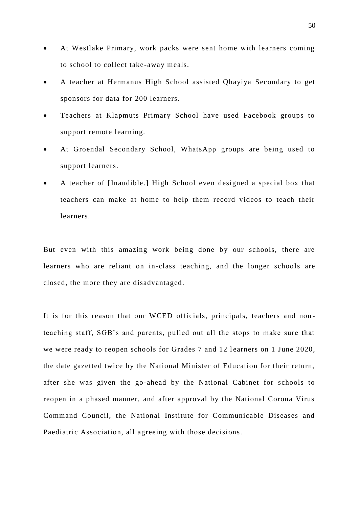- At Westlake Primary, work packs were sent home with learners coming to school to collect take-away meals.
- A teacher at Hermanus High School assisted Qhayiya Secondary to get sponsors for data for 200 learners.
- Teachers at Klapmuts Primary School have used Facebook groups to support remote learning.
- At Groendal Secondary School, WhatsApp groups are being used to support learners.
- A teacher of [Inaudible.] High School even designed a special box that teachers can make at home to help them record videos to teach their learners.

But even with this amazing work being done by our schools, there are learners who are reliant on in-class teaching, and the longer schools are closed, the more they are disadvantaged.

It is for this reason that our WCED officials, principals, teachers and non teaching staff, SGB's and parents, pulled out all the stops to make sure that we were ready to reopen schools for Grades 7 and 12 learners on 1 June 2020, the date gazetted twice by the National Minister of Education for their return, after she was given the go-ahead by the National Cabinet for schools to reopen in a phased manner, and after approval by the National Corona Virus Command Council, the National Institute for Communicable Diseases and Paediatric Association, all agreeing with those decisions.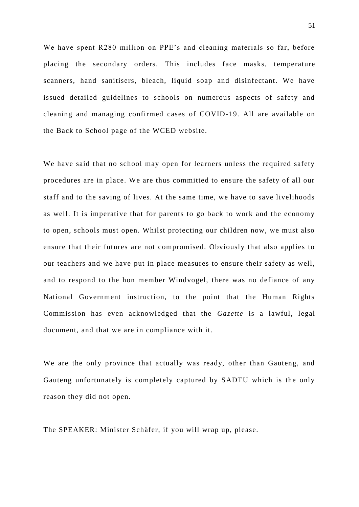We have spent R280 million on PPE's and cleaning materials so far, before placing the secondary orders. This includes face masks, temperature scanners, hand sanitisers, bleach, liquid soap and disinfectant. We have issued detailed guidelines to schools on numerous aspects of safety and cleaning and managing confirmed cases of COVID-19. All are available on the Back to School page of the WCED website.

We have said that no school may open for learners unless the required safety procedures are in place. We are thus committed to ensure the safety of all our staff and to the saving of lives. At the same time, we have to save livelihoods as well. It is imperative that for parents to go back to work and the economy to open, schools must open. Whilst protecting our children now, we must also ensure that their futures are not compromised. Obviously that also applies to our teachers and we have put in place measures to ensure their safety as well, and to respond to the hon member Windvogel, there was no defiance of any National Government instruction, to the point that the Human Rights Commission has even acknowledged that the *Gazette* is a lawful, legal document, and that we are in compliance with it.

We are the only province that actually was ready, other than Gauteng, and Gauteng unfortunately is completely captured by SADTU which is the only reason they did not open.

The SPEAKER: Minister Schäfer, if you will wrap up, please.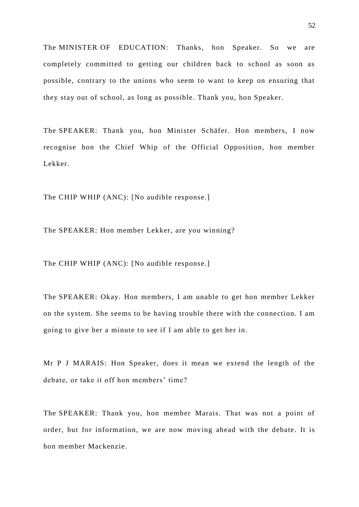The MINISTER OF EDUCATION: Thanks, hon Speaker. So we are completely committed to getting our children back to school as soon as possible, contrary to the unions who seem to want to keep on ensuring that they stay out of school, as long as possible. Thank you, hon Speaker.

The SPEAKER: Thank you, hon Minister Schäfer. Hon members, I now recognise hon the Chief Whip of the Official Opposition, hon member Lekker.

The CHIP WHIP (ANC): [No audible response.]

The SPEAKER: Hon member Lekker, are you winning?

The CHIP WHIP (ANC): [No audible response.]

The SPEAKER: Okay. Hon members, I am unable to get hon member Lekker on the system. She seems to be having trouble there with the connection. I am going to give her a minute to see if I am able to get her in.

Mr P J MARAIS: Hon Speaker, does it mean we extend the length of the debate, or take it off hon members' time?

The SPEAKER: Thank you, hon member Marais. That was not a point of order, but for information, we are now moving ahead with the debate. It is hon member Mackenzie.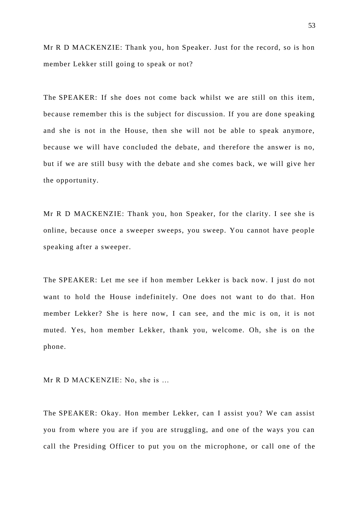Mr R D MACKENZIE: Thank you, hon Speaker. Just for the record, so is hon member Lekker still going to speak or not?

The SPEAKER: If she does not come back whilst we are still on this item, because remember this is the subject for discussion. If you are done speaking and she is not in the House, then she will not be able to speak anymore, because we will have concluded the debate, and therefore the answer is no, but if we are still busy with the debate and she comes back, we will give her the opportunity.

Mr R D MACKENZIE: Thank you, hon Speaker, for the clarity. I see she is online, because once a sweeper sweeps, you sweep. You cannot have people speaking after a sweeper.

The SPEAKER: Let me see if hon member Lekker is back now. I just do not want to hold the House indefinitely. One does not want to do that. Hon member Lekker? She is here now, I can see, and the mic is on, it is not muted. Yes, hon member Lekker, thank you, welcome. Oh, she is on the phone.

Mr R D MACKENZIE: No, she is …

The SPEAKER: Okay. Hon member Lekker, can I assist you? We can assist you from where you are if you are struggling, and one of the ways you can call the Presiding Officer to put you on the microphone, or call one of the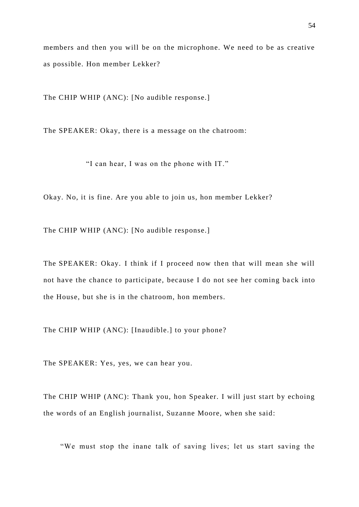members and then you will be on the microphone. We need to be as creative as possible. Hon member Lekker?

The CHIP WHIP (ANC): [No audible response.]

The SPEAKER: Okay, there is a message on the chatroom:

"I can hear, I was on the phone with IT."

Okay. No, it is fine. Are you able to join us, hon member Lekker?

The CHIP WHIP (ANC): [No audible response.]

The SPEAKER: Okay. I think if I proceed now then that will mean she will not have the chance to participate, because I do not see her coming ba ck into the House, but she is in the chatroom, hon members.

The CHIP WHIP (ANC): [Inaudible.] to your phone?

The SPEAKER: Yes, yes, we can hear you.

The CHIP WHIP (ANC): Thank you, hon Speaker. I will just start by echoing the words of an English journalist, Suzanne Moore, when she said:

"We must stop the inane talk of saving lives; let us start saving the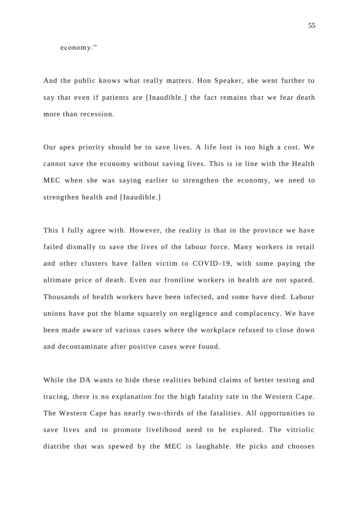economy."

And the public knows what really matters. Hon Speaker, she went further to say that even if patients are [Inaudible.] the fact remains that we fear death more than recession.

Our apex priority should be to save lives. A life lost is too high a cost. We cannot save the economy without saving lives. This is in line with the Health MEC when she was saying earlier to strengthen the economy, we need to strengthen health and [Inaudible.]

This I fully agree with. However, the reality is that in the province we have failed dismally to save the lives of the labour force. Many workers in retail and other clusters have fallen victim to COVID-19, with some paying the ultimate price of death. Even our frontline workers in health are not spared. Thousands of health workers have been infected, and some have died. Labour unions have put the blame squarely on negligence and complacency. We have been made aware of various cases where the workplace refused to close down and decontaminate after positive cases were found.

While the DA wants to hide these realities behind claims of better testing and tracing, there is no explanation for the high fatality rate in the Western Cape. The Western Cape has nearly two-thirds of the fatalities. All opportunities to save lives and to promote livelihood need to be explored. The vitriolic diatribe that was spewed by the MEC is laughable. He picks and chooses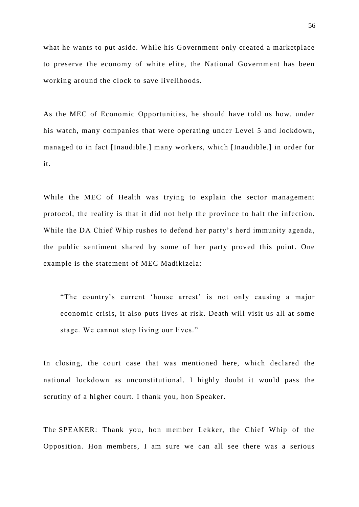what he wants to put aside. While his Government only created a marketplace to preserve the economy of white elite, the National Government has been working around the clock to save livelihoods.

As the MEC of Economic Opportunities, he should have told us how, under his watch, many companies that were operating under Level 5 and lockdown, managed to in fact [Inaudible.] many workers, which [Inaudible.] in order for it.

While the MEC of Health was trying to explain the sector management protocol, the reality is that it did not help the province to halt the infection. While the DA Chief Whip rushes to defend her party's herd immunity agenda, the public sentiment shared by some of her party proved this point. One example is the statement of MEC Madikizela:

"The country's current 'house arrest' is not only causing a major economic crisis, it also puts lives at risk. Death will visit us all at some stage. We cannot stop living our lives."

In closing, the court case that was mentioned here, which declared the national lockdown as unconstitutional. I highly doubt it would pass the scrutiny of a higher court. I thank you, hon Speaker.

The SPEAKER: Thank you, hon member Lekker, the Chief Whip of the Opposition. Hon members, I am sure we can all see there was a serious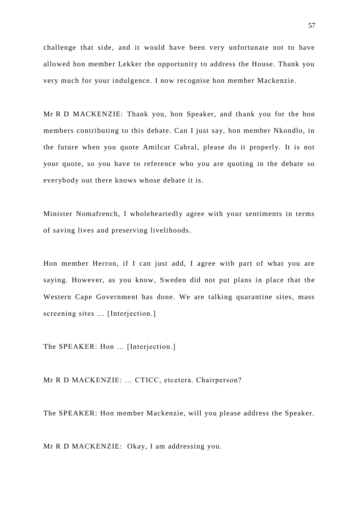challenge that side, and it would have been very unfortunate not to have allowed hon member Lekker the opportunity to address the House. Thank you very much for your indulgence. I now recognise hon member Mackenzie.

Mr R D MACKENZIE: Thank you, hon Speaker, and thank you for the hon members contributing to this debate. Can I just say, hon member Nkondlo, in the future when you quote Amilcar Cabral, please do it properly. It is not your quote, so you have to reference who you are quoting in the debate so everybody out there knows whose debate it is.

Minister Nomafrench, I wholeheartedly agree with your sentiments in terms of saving lives and preserving livelihoods.

Hon member Herron, if I can just add, I agree with part of what you are saying. However, as you know, Sweden did not put plans in place that the Western Cape Government has done. We are talking quarantine sites, mass screening sites ... [Interjection.]

The SPEAKER: Hon ... [Interjection.]

Mr R D MACKENZIE: … CTICC, etcetera. Chairperson?

The SPEAKER: Hon member Mackenzie, will you please address the Speaker.

Mr R D MACKENZIE: Okay, I am addressing you.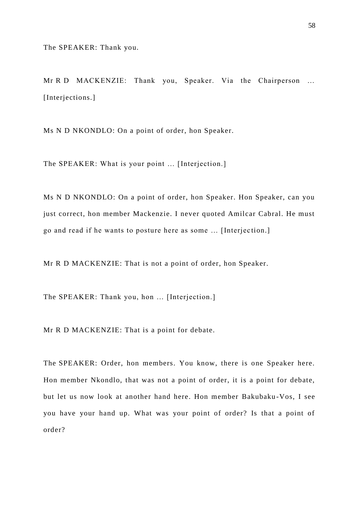Mr R D MACKENZIE: Thank you, Speaker. Via the Chairperson … [Interjections.]

Ms N D NKONDLO: On a point of order, hon Speaker.

The SPEAKER: What is your point … [Interjection.]

Ms N D NKONDLO: On a point of order, hon Speaker. Hon Speaker, can you just correct, hon member Mackenzie. I never quoted Amilcar Cabral. He must go and read if he wants to posture here as some … [Interjec tion.]

Mr R D MACKENZIE: That is not a point of order, hon Speaker.

The SPEAKER: Thank you, hon … [Interjection.]

Mr R D MACKENZIE: That is a point for debate.

The SPEAKER: Order, hon members. You know, there is one Speaker here. Hon member Nkondlo, that was not a point of order, it is a point for debate, but let us now look at another hand here. Hon member Bakubaku -Vos, I see you have your hand up. What was your point of order? Is that a point of order?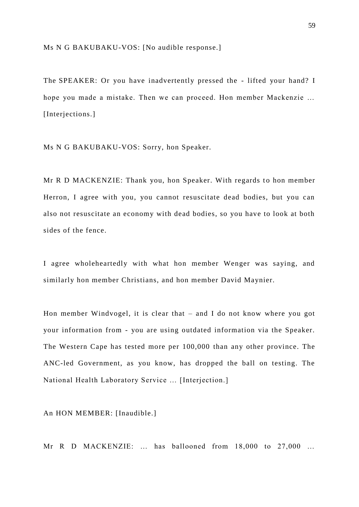Ms N G BAKUBAKU-VOS: [No audible response.]

The SPEAKER: Or you have inadvertently pressed the - lifted your hand? I hope you made a mistake. Then we can proceed. Hon member Mackenzie … [Interjections.]

Ms N G BAKUBAKU-VOS: Sorry, hon Speaker.

Mr R D MACKENZIE: Thank you, hon Speaker. With regards to hon member Herron, I agree with you, you cannot resuscitate dead bodies, but you can also not resuscitate an economy with dead bodies, so you have to look at both sides of the fence.

I agree wholeheartedly with what hon member Wenger was saying, and similarly hon member Christians, and hon member David Maynier.

Hon member Windvogel, it is clear that – and I do not know where you got your information from - you are using outdated information via the Speaker. The Western Cape has tested more per 100,000 than any other province. The ANC-led Government, as you know, has dropped the ball on testing. The National Health Laboratory Service … [Interjection.]

An HON MEMBER: [Inaudible.]

Mr R D MACKENZIE: ... has ballooned from 18,000 to 27,000 ...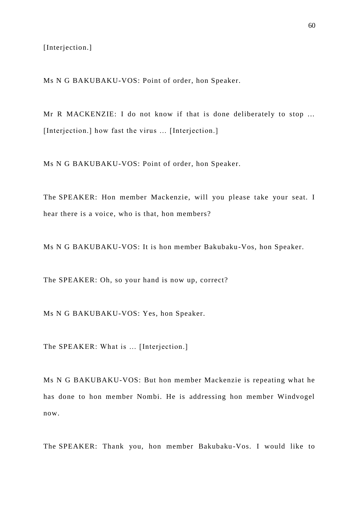[Interjection.]

Ms N G BAKUBAKU-VOS: Point of order, hon Speaker.

Mr R MACKENZIE: I do not know if that is done deliberately to stop ... [Interjection.] how fast the virus ... [Interjection.]

Ms N G BAKUBAKU-VOS: Point of order, hon Speaker.

The SPEAKER: Hon member Mackenzie, will you please take your seat. I hear there is a voice, who is that, hon members?

Ms N G BAKUBAKU-VOS: It is hon member Bakubaku-Vos, hon Speaker.

The SPEAKER: Oh, so your hand is now up, correct?

Ms N G BAKUBAKU-VOS: Yes, hon Speaker.

The SPEAKER: What is ... [Interjection.]

Ms N G BAKUBAKU-VOS: But hon member Mackenzie is repeating what he has done to hon member Nombi. He is addressing hon member Windvogel now.

The SPEAKER: Thank you, hon member Bakubaku -Vos. I would like to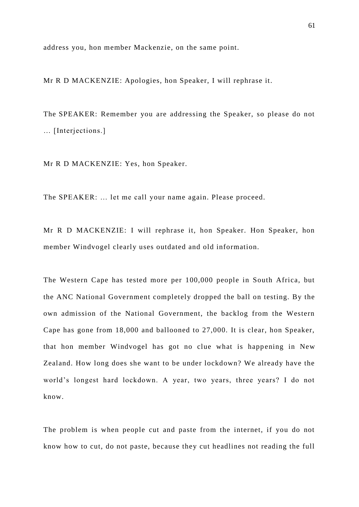address you, hon member Mackenzie, on the same point.

Mr R D MACKENZIE: Apologies, hon Speaker, I will rephrase it.

The SPEAKER: Remember you are addressing the Speaker, so please do not … [Interjections.]

Mr R D MACKENZIE: Yes, hon Speaker.

The SPEAKER: … let me call your name again. Please proceed.

Mr R D MACKENZIE: I will rephrase it, hon Speaker. Hon Speaker, hon member Windvogel clearly uses outdated and old information.

The Western Cape has tested more per 100,000 people in South Africa, but the ANC National Government completely dropped the ball on testing. By the own admission of the National Government, the backlog from the Western Cape has gone from 18,000 and ballooned to 27,000. It is clear, hon Speaker, that hon member Windvogel has got no clue what is happening in New Zealand. How long does she want to be under lockdown? We already have the world's longest hard lockdown. A year, two years, three years? I do not know.

The problem is when people cut and paste from the internet, if you do not know how to cut, do not paste, because they cut headlines not reading the full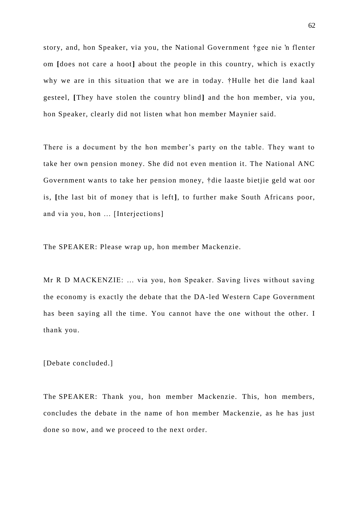story, and, hon Speaker, via you, the National Government †gee nie 'n flenter om **[**does not care a hoot**]** about the people in this country, which is exactly why we are in this situation that we are in today. †Hulle het die land kaal gesteel, [They have stolen the country blind] and the hon member, via you, hon Speaker, clearly did not listen what hon member Maynier said.

There is a document by the hon member's party on the table. They want to take her own pension money. She did not even mention it. The National ANC Government wants to take her pension money, †die laaste bietjie geld wat oor is, **[**the last bit of money that is left**]***,* to further make South Africans poor, and via you, hon … [Interjections]

The SPEAKER: Please wrap up, hon member Mackenzie.

Mr R D MACKENZIE: … via you, hon Speaker. Saving lives without saving the economy is exactly the debate that the DA-led Western Cape Government has been saying all the time. You cannot have the one without the other. I thank you.

[Debate concluded.]

The SPEAKER: Thank you, hon member Mackenzie. This, hon members, concludes the debate in the name of hon member Mackenzie, as he has just done so now, and we proceed to the next order.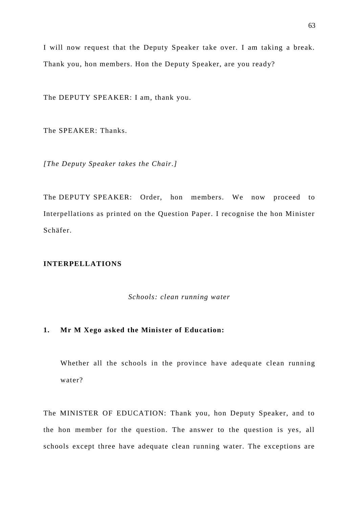I will now request that the Deputy Speaker take over. I am taking a break. Thank you, hon members. Hon the Deputy Speaker, are you ready?

The DEPUTY SPEAKER: I am, thank you.

The SPEAKER: Thanks.

*[The Deputy Speaker takes the Chair.]*

The DEPUTY SPEAKER: Order, hon members. We now proceed to Interpellations as printed on the Question Paper. I recognise the hon Minister Schäfer.

## **INTERPELLATIONS**

*Schools: clean running water*

## **1. Mr M Xego asked the Minister of Education:**

Whether all the schools in the province have adequate clean running water?

The MINISTER OF EDUCATION: Thank you, hon Deputy Speaker, and to the hon member for the question. The answer to the question is yes, all schools except three have adequate clean running water. The exceptions are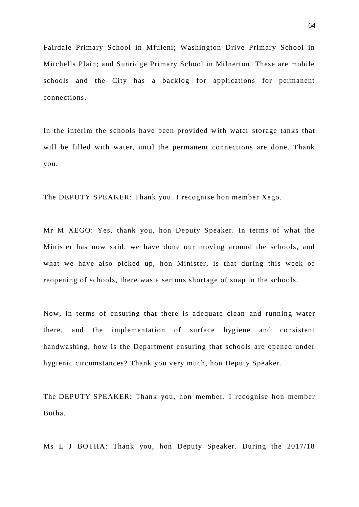Fairdale Primary School in Mfuleni; Washington Drive Primary School in Mitchells Plain; and Sunridge Primary School in Milnerton. These are mobile schools and the City has a backlog for applications for permanent connections.

In the interim the schools have been provided with water storage tanks that will be filled with water, until the permanent connections are done. Thank you.

The DEPUTY SPEAKER: Thank you. I recognise hon member Xego.

Mr M XEGO: Yes, thank you, hon Deputy Speaker. In terms of what the Minister has now said, we have done our moving around the schools, and what we have also picked up, hon Minister, is that during this week of reopening of schools, there was a serious shortage of soap in the schools.

Now, in terms of ensuring that there is adequate clean and running water there, and the implementation of surface hygiene and consistent handwashing, how is the Department ensuring that schools are opened under hygienic circumstances? Thank you very much, hon Deputy Speaker.

The DEPUTY SPEAKER: Thank you, hon member. I recognise hon member Botha.

Ms L J BOTHA: Thank you, hon Deputy Speaker. During the 2017/18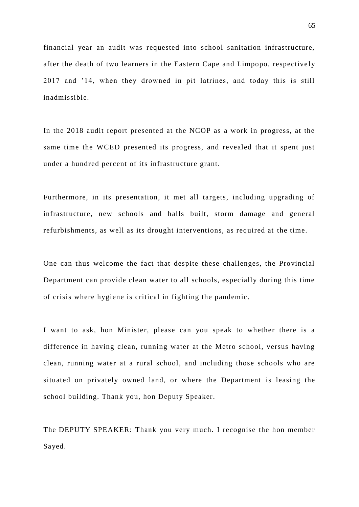financial year an audit was requested into school sanitation infrastructure, after the death of two learners in the Eastern Cape and Limpopo, respective ly 2017 and '14, when they drowned in pit latrines, and today this is still inadmissible.

In the 2018 audit report presented at the NCOP as a work in progress, at the same time the WCED presented its progress, and revealed that it spent just under a hundred percent of its infrastructure grant.

Furthermore, in its presentation, it met all targets, including upgrading of infrastructure, new schools and halls built, storm damage and general refurbishments, as well as its drought interventions, as required at the time.

One can thus welcome the fact that despite these challenges, the Provincial Department can provide clean water to all schools, especially during this time of crisis where hygiene is critical in fighting the pandemic.

I want to ask, hon Minister, please can you speak to whether there is a difference in having clean, running water at the Metro school, versus having clean, running water at a rural school, and including those schools who are situated on privately owned land, or where the Department is leasing the school building. Thank you, hon Deputy Speaker.

The DEPUTY SPEAKER: Thank you very much. I recognise the hon member Sayed.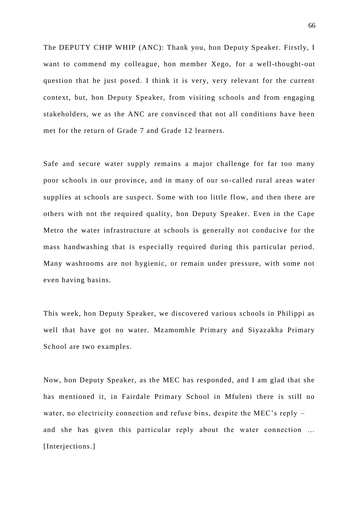The DEPUTY CHIP WHIP (ANC): Thank you, hon Deputy Speaker. Firstly, I want to commend my colleague, hon member Xego, for a well-thought-out question that he just posed. I think it is very, very relevant for the current context, but, hon Deputy Speaker, from visiting schools and from engaging stakeholders, we as the ANC are convinced that not all conditions have been met for the return of Grade 7 and Grade 12 learners.

Safe and secure water supply remains a major challenge for far too many poor schools in our province, and in many of our so -called rural areas water supplies at schools are suspect. Some with too little flow, and then there are others with not the required quality, hon Deputy Speaker. Even in the Cape Metro the water infrastructure at schools is generally not conducive for the mass handwashing that is especially required during this particular period. Many washrooms are not hygienic, or remain under pressure, with some not even having basins.

This week, hon Deputy Speaker, we discovered various schools in Philippi as well that have got no water. Mzamomhle Primary and Siyazakha Primary School are two examples.

Now, hon Deputy Speaker, as the MEC has responded, and I am glad that she has mentioned it, in Fairdale Primary School in Mfuleni there is still no water, no electricity connection and refuse bins, despite the MEC's reply – and she has given this particular reply about the water connection … [Interjections.]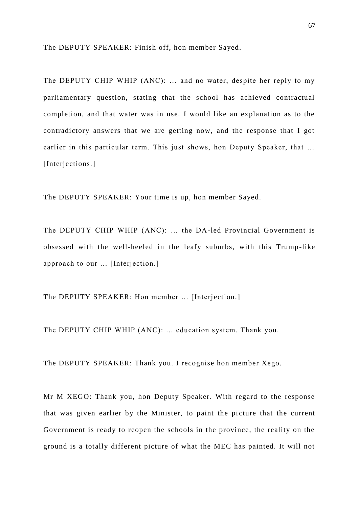The DEPUTY SPEAKER: Finish off, hon member Sayed.

The DEPUTY CHIP WHIP (ANC): … and no water, despite her reply to my parliamentary question, stating that the school has achieved contractual completion, and that water was in use. I would like an explanation as to the contradictory answers that we are getting now, and the response that I got earlier in this particular term. This just shows, hon Deputy Speaker, that … [Interjections.]

The DEPUTY SPEAKER: Your time is up, hon member Sayed.

The DEPUTY CHIP WHIP (ANC): … the DA-led Provincial Government is obsessed with the well-heeled in the leafy suburbs, with this Trump -like approach to our … [Interjection.]

The DEPUTY SPEAKER: Hon member ... [Interjection.]

The DEPUTY CHIP WHIP (ANC): … education system. Thank you.

The DEPUTY SPEAKER: Thank you. I recognise hon member Xego.

Mr M XEGO: Thank you, hon Deputy Speaker. With regard to the response that was given earlier by the Minister, to paint the picture that the current Government is ready to reopen the schools in the province, the reality on the ground is a totally different picture of what the MEC has painted. It will not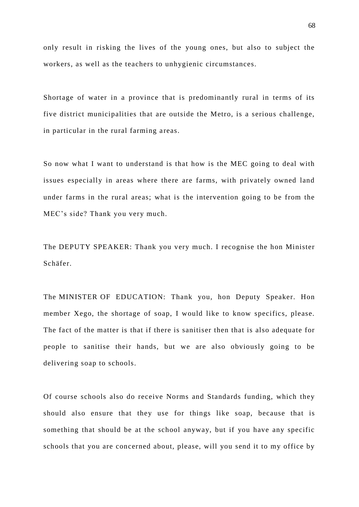only result in risking the lives of the young ones, but also to subject the workers, as well as the teachers to unhygienic circumstances.

Shortage of water in a province that is predominantly rural in terms of its five district municipalities that are outside the Metro, is a serious challenge, in particular in the rural farming areas.

So now what I want to understand is that how is the MEC going to deal with issues especially in areas where there are farms, with privately owned land under farms in the rural areas; what is the intervention going to be from the MEC's side? Thank you very much.

The DEPUTY SPEAKER: Thank you very much. I recognise the hon Minister Schäfer.

The MINISTER OF EDUCATION: Thank you, hon Deputy Speaker. Hon member Xego, the shortage of soap, I would like to know specifics, please. The fact of the matter is that if there is sanitiser then that is also adequate for people to sanitise their hands, but we are also obviously going to be delivering soap to schools.

Of course schools also do receive Norms and Standards funding, which they should also ensure that they use for things like soap, because that is something that should be at the school anyway, but if you have any specific schools that you are concerned about, please, will you send it to my office by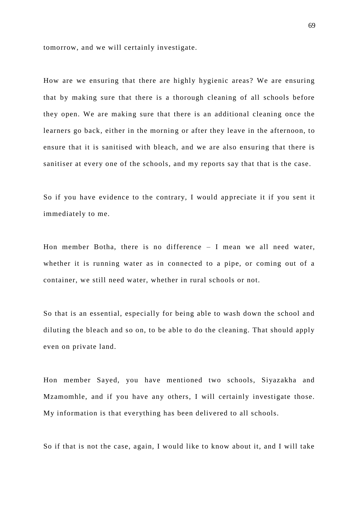tomorrow, and we will certainly investigate.

How are we ensuring that there are highly hygienic areas? We are ensuring that by making sure that there is a thorough cleaning of all schools before they open. We are making sure that there is an additional cleaning once the learners go back, either in the morning or after they leave in the afternoon, to ensure that it is sanitised with bleach, and we are also ensuring that there is sanitiser at every one of the schools, and my reports say that that is the case.

So if you have evidence to the contrary, I would appreciate it if you sent it immediately to me.

Hon member Botha, there is no difference – I mean we all need water, whether it is running water as in connected to a pipe, or coming out of a container, we still need water, whether in rural schools or not.

So that is an essential, especially for being able to wash down the school and diluting the bleach and so on, to be able to do the cleaning. That should apply even on private land.

Hon member Sayed, you have mentioned two schools, Siyazakha and Mzamomhle, and if you have any others, I will certainly investigate those. My information is that everything has been delivered to all schools.

So if that is not the case, again, I would like to know about it, and I will take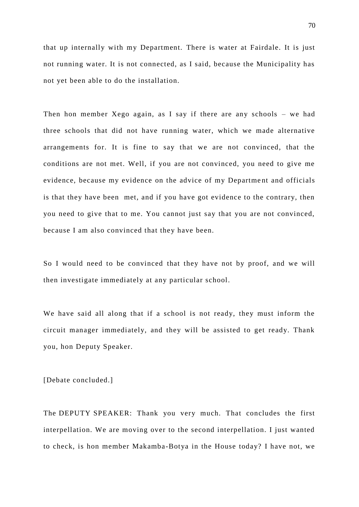that up internally with my Department. There is water at Fairdale. It is just not running water. It is not connected, as I said, because the Municipality has not yet been able to do the installation.

Then hon member Xego again, as I say if there are any schools – we had three schools that did not have running water, which we made alternative arrangements for. It is fine to say that we are not convinced, that the conditions are not met. Well, if you are not convinced, you need to give me evidence, because my evidence on the advice of my Department and officials is that they have been met, and if you have got evidence to the contrary, then you need to give that to me. You cannot just say that you are not convinced, because I am also convinced that they have been.

So I would need to be convinced that they have not by proof, and we will then investigate immediately at any particular school.

We have said all along that if a school is not ready, they must inform the circuit manager immediately, and they will be assisted to get ready. Thank you, hon Deputy Speaker.

[Debate concluded.]

The DEPUTY SPEAKER: Thank you very much. That concludes the first interpellation. We are moving over to the second interpellation. I just wanted to check, is hon member Makamba-Botya in the House today? I have not, we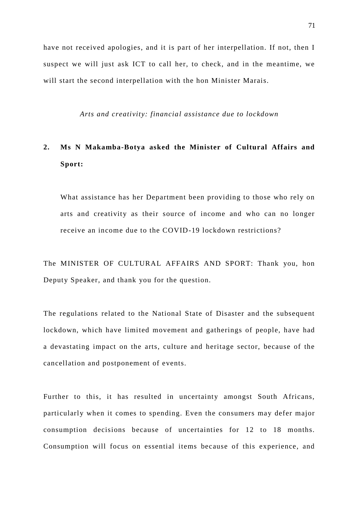have not received apologies, and it is part of her interpellation. If not, then I suspect we will just ask ICT to call her, to check, and in the meantime, we will start the second interpellation with the hon Minister Marais.

*Arts and creativity: financial assistance due to lockdown* 

## **2. Ms N Makamba-Botya asked the Minister of Cultural Affairs and Sport:**

What assistance has her Department been providing to those who rely on arts and creativity as their source of income and who can no longer receive an income due to the COVID-19 lockdown restrictions?

The MINISTER OF CULTURAL AFFAIRS AND SPORT: Thank you, hon Deputy Speaker, and thank you for the question.

The regulations related to the National State of Disaster and the subsequent lockdown, which have limited movement and gatherings of people, have had a devastating impact on the arts, culture and heritage sector, because of the cancellation and postponement of events.

Further to this, it has resulted in uncertainty amongst South Africans, particularly when it comes to spending. Even the consumers may defer major consumption decisions because of uncertainties for 12 to 18 months. Consumption will focus on essential items because of this experience, and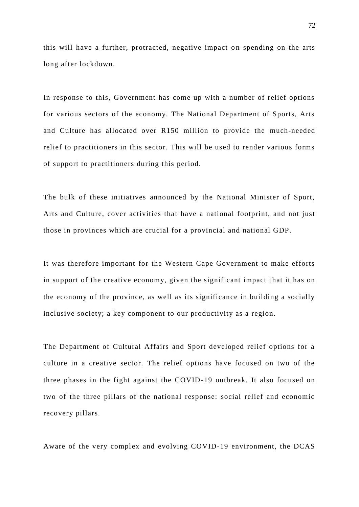this will have a further, protracted, negative impact on spending on the arts long after lockdown.

In response to this, Government has come up with a number of relief options for various sectors of the economy. The National Department of Sports, Arts and Culture has allocated over R150 million to provide the much-needed relief to practitioners in this sector. This will be used to render various forms of support to practitioners during this period.

The bulk of these initiatives announced by the National Minister of Sport, Arts and Culture, cover activities that have a national footprint, and not just those in provinces which are crucial for a provincial and national GDP.

It was therefore important for the Western Cape Government to make efforts in support of the creative economy, given the significant impact that it has on the economy of the province, as well as its significance in building a socially inclusive society; a key component to our productivity as a region.

The Department of Cultural Affairs and Sport developed relief options for a culture in a creative sector. The relief options have focused on two of the three phases in the fight against the COVID-19 outbreak. It also focused on two of the three pillars of the national response: social relief and economic recovery pillars.

Aware of the very complex and evolving COVID-19 environment, the DCAS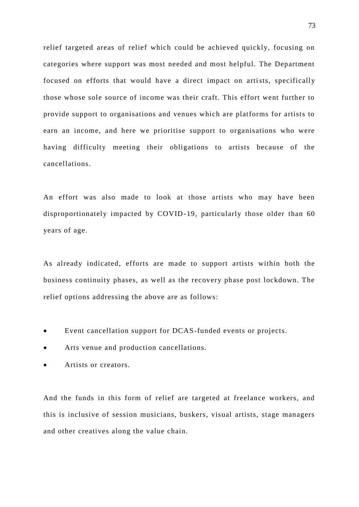relief targeted areas of relief which could be achieved quickly, focusing on categories where support was most needed and most helpful. The Department focused on efforts that would have a direct impact on artists, specifically those whose sole source of income was their craft. This effort went further to provide support to organisations and venues which are platforms for artists to earn an income, and here we prioritise support to organisations who were having difficulty meeting their obligations to artists because of the cancellations.

An effort was also made to look at those artists who may have been disproportionately impacted by COVID-19, particularly those older than 60 years of age.

As already indicated, efforts are made to support artists within both the business continuity phases, as well as the recovery phase post lockdown. The relief options addressing the above are as follows:

- Event cancellation support for DCAS-funded events or projects.
- Arts venue and production cancellations.
- Artists or creators.

And the funds in this form of relief are targeted at freelance workers, and this is inclusive of session musicians, buskers, visual artists, stage managers and other creatives along the value chain.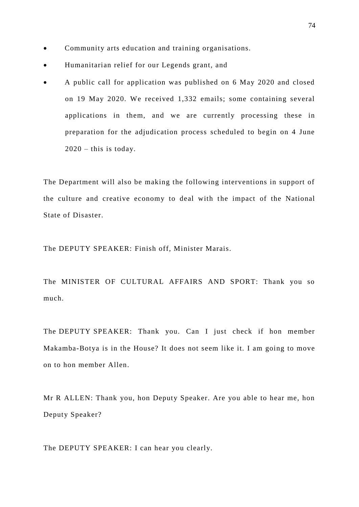- Community arts education and training organisations.
- Humanitarian relief for our Legends grant, and
- A public call for application was published on 6 May 2020 and closed on 19 May 2020. We received 1,332 emails; some containing several applications in them, and we are currently processing these in preparation for the adjudication process scheduled to begin on 4 June  $2020 -$  this is today.

The Department will also be making the following interventions in support of the culture and creative economy to deal with the impact of the National State of Disaster.

The DEPUTY SPEAKER: Finish off, Minister Marais.

The MINISTER OF CULTURAL AFFAIRS AND SPORT: Thank you so much.

The DEPUTY SPEAKER: Thank you. Can I just check if hon member Makamba-Botya is in the House? It does not seem like it. I am going to move on to hon member Allen.

Mr R ALLEN: Thank you, hon Deputy Speaker. Are you able to hear me, hon Deputy Speaker?

The DEPUTY SPEAKER: I can hear you clearly.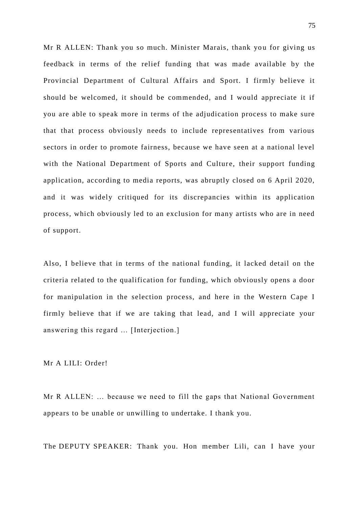Mr R ALLEN: Thank you so much. Minister Marais, thank you for giving us feedback in terms of the relief funding that was made available by the Provincial Department of Cultural Affairs and Sport. I firmly believe it should be welcomed, it should be commended, and I would appreciate it if you are able to speak more in terms of the adjudication process to make sure that that process obviously needs to include representatives from various sectors in order to promote fairness, because we have seen at a national level with the National Department of Sports and Culture, their support funding application, according to media reports, was abruptly closed on 6 April 2020, and it was widely critiqued for its discrepancies within its application process, which obviously led to an exclusion for many artists who are in need of support.

Also, I believe that in terms of the national funding, it lacked detail on the criteria related to the qualification for funding, which obviously opens a door for manipulation in the selection process, and here in the Western Cape I firmly believe that if we are taking that lead, and I will appreciate your answering this regard … [Interjection.]

Mr A LILI: Order!

Mr R ALLEN: … because we need to fill the gaps that National Government appears to be unable or unwilling to undertake. I thank you.

The DEPUTY SPEAKER: Thank you. Hon member Lili, can I have your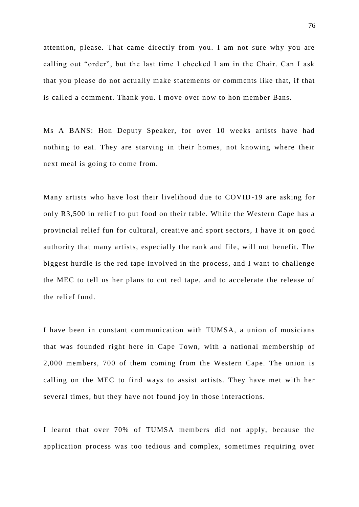attention, please. That came directly from you. I am not sure why you are calling out "order", but the last time I checked I am in the Chair. Can I ask that you please do not actually make statements or comments like that, if that is called a comment. Thank you. I move over now to hon member Bans.

Ms A BANS: Hon Deputy Speaker, for over 10 weeks artists have had nothing to eat. They are starving in their homes, not knowing where their next meal is going to come from.

Many artists who have lost their livelihood due to COVID -19 are asking for only R3,500 in relief to put food on their table. While the Western Cape has a provincial relief fun for cultural, creative and sport sectors, I have it on good authority that many artists, especially the rank and file, will not benefit. The biggest hurdle is the red tape involved in the process, and I want to challenge the MEC to tell us her plans to cut red tape, and to accelerate the release of the relief fund.

I have been in constant communication with TUMSA, a union of musicians that was founded right here in Cape Town, with a national membership of 2,000 members, 700 of them coming from the Western Cape. The union is calling on the MEC to find ways to assist artists. They have met with her several times, but they have not found joy in those interactions.

I learnt that over 70% of TUMSA members did not apply, because the application process was too tedious and complex, sometimes requiring over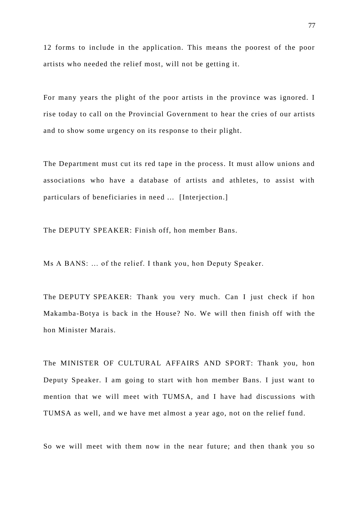12 forms to include in the application. This means the poorest of the poor artists who needed the relief most, will not be getting it.

For many years the plight of the poor artists in the province was ignored. I rise today to call on the Provincial Government to hear the cries of our artists and to show some urgency on its response to their plight.

The Department must cut its red tape in the process. It must allow unions and associations who have a database of artists and athletes, to assist with particulars of beneficiaries in need ... [Interjection.]

The DEPUTY SPEAKER: Finish off, hon member Bans.

Ms A BANS: … of the relief. I thank you, hon Deputy Speaker.

The DEPUTY SPEAKER: Thank you very much. Can I just check if hon Makamba-Botya is back in the House? No. We will then finish off with the hon Minister Marais.

The MINISTER OF CULTURAL AFFAIRS AND SPORT: Thank you, hon Deputy Speaker. I am going to start with hon member Bans. I just want to mention that we will meet with TUMSA, and I have had discussions with TUMSA as well, and we have met almost a year ago, not on the relief fund.

So we will meet with them now in the near future; and then thank you so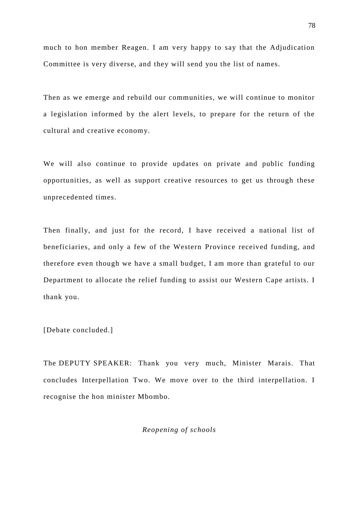much to hon member Reagen. I am very happy to say that the Adjudication Committee is very diverse, and they will send you the list of names.

Then as we emerge and rebuild our communities, we will continue to monitor a legislation informed by the alert levels, to prepare for the return of the cultural and creative economy.

We will also continue to provide updates on private and public funding opportunities, as well as support creative resources to get us through these unprecedented times.

Then finally, and just for the record, I have received a national list of beneficiaries, and only a few of the Western Province received funding, and therefore even though we have a small budget, I am more than grateful to our Department to allocate the relief funding to assist our Western Cape artists. I thank you.

[Debate concluded.]

The DEPUTY SPEAKER: Thank you very much, Minister Marais. That concludes Interpellation Two. We move over to the third interpellation. I recognise the hon minister Mbombo.

*Reopening of schools*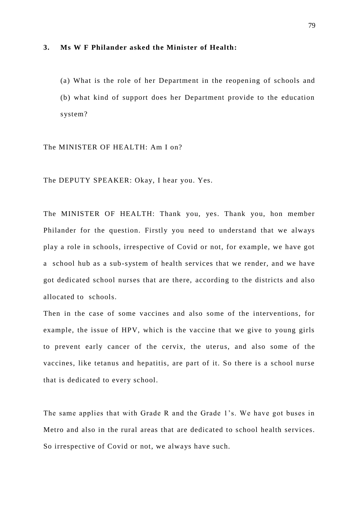#### **3. Ms W F Philander asked the Minister of Health:**

(a) What is the role of her Department in the reopening of schools and (b) what kind of support does her Department provide to the education system?

The MINISTER OF HEALTH: Am I on?

The DEPUTY SPEAKER: Okay, I hear you. Yes.

The MINISTER OF HEALTH: Thank you, yes. Thank you, hon member Philander for the question. Firstly you need to understand that we always play a role in schools, irrespective of Covid or not, for example, we have got a school hub as a sub-system of health services that we render, and we have got dedicated school nurses that are there, according to the districts and also allocated to schools.

Then in the case of some vaccines and also some of the interventions, for example, the issue of HPV, which is the vaccine that we give to young girls to prevent early cancer of the cervix, the uterus, and also some of the vaccines, like tetanus and hepatitis, are part of it. So there is a school nurse that is dedicated to every school.

The same applies that with Grade R and the Grade 1's. We have got buses in Metro and also in the rural areas that are dedicated to school health services. So irrespective of Covid or not, we always have such.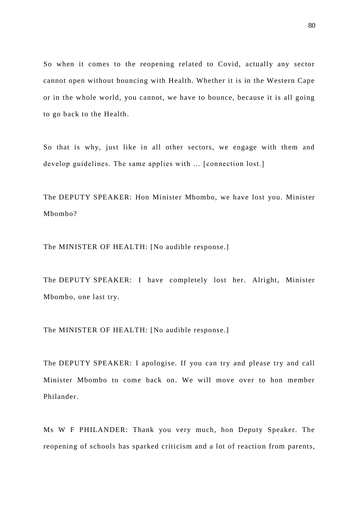So when it comes to the reopening related to Covid, actually any sector cannot open without bouncing with Health. Whether it is in the Western Cape or in the whole world, you cannot, we have to bounce, because it is all going to go back to the Health.

So that is why, just like in all other sectors, we engage with them and develop guidelines. The same applies with … [connection lost.]

The DEPUTY SPEAKER: Hon Minister Mbombo, we have lost you. Minister Mbombo?

The MINISTER OF HEALTH: [No audible response.]

The DEPUTY SPEAKER: I have completely lost her. Alright, Minister Mbombo, one last try.

The MINISTER OF HEALTH: [No audible response.]

The DEPUTY SPEAKER: I apologise. If you can try and please try and call Minister Mbombo to come back on. We will move over to hon member Philander.

Ms W F PHILANDER: Thank you very much, hon Deputy Speaker. The reopening of schools has sparked criticism and a lot of reaction from parents,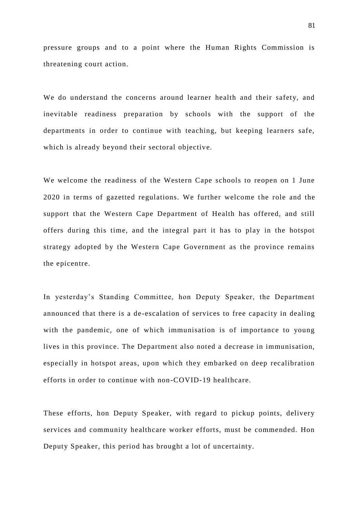pressure groups and to a point where the Human Rights Commission is threatening court action.

We do understand the concerns around learner health and their safety, and inevitable readiness preparation by schools with the support of the departments in order to continue with teaching, but keeping learners safe, which is already beyond their sectoral objective.

We welcome the readiness of the Western Cape schools to reopen on 1 June 2020 in terms of gazetted regulations. We further welcome the role and the support that the Western Cape Department of Health has offered, and still offers during this time, and the integral part it has to play in the hotspot strategy adopted by the Western Cape Government as the province remains the epicentre.

In yesterday's Standing Committee, hon Deputy Speaker, the Department announced that there is a de-escalation of services to free capacity in dealing with the pandemic, one of which immunisation is of importance to young lives in this province. The Department also noted a decrease in immunisation, especially in hotspot areas, upon which they embarked on deep recalibration efforts in order to continue with non-COVID-19 healthcare.

These efforts, hon Deputy Speaker, with regard to pickup points, delivery services and community healthcare worker efforts, must be commended. Hon Deputy Speaker, this period has brought a lot of uncertainty.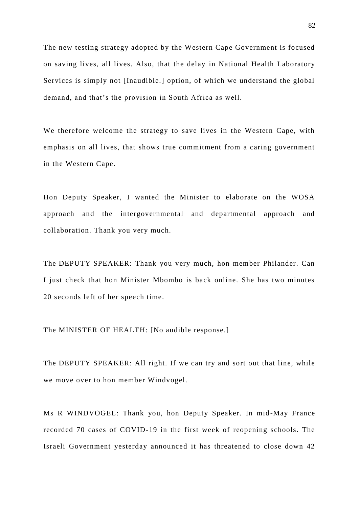The new testing strategy adopted by the Western Cape Government is focused on saving lives, all lives. Also, that the delay in National Health Laboratory Services is simply not [Inaudible.] option, of which we understand the global demand, and that's the provision in South Africa as well.

We therefore welcome the strategy to save lives in the Western Cape, with emphasis on all lives, that shows true commitment from a caring government in the Western Cape.

Hon Deputy Speaker, I wanted the Minister to elaborate on the WOSA approach and the intergovernmental and departmental approach and collaboration. Thank you very much.

The DEPUTY SPEAKER: Thank you very much, hon member Philander. Can I just check that hon Minister Mbombo is back online. She has two minutes 20 seconds left of her speech time.

The MINISTER OF HEALTH: [No audible response.]

The DEPUTY SPEAKER: All right. If we can try and sort out that line, while we move over to hon member Windvogel.

Ms R WINDVOGEL: Thank you, hon Deputy Speaker. In mid -May France recorded 70 cases of COVID-19 in the first week of reopening schools. The Israeli Government yesterday announced it has threatened to close down 42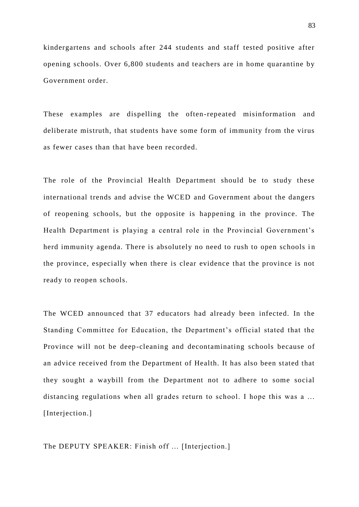kindergartens and schools after 244 students and staff tested positive after opening schools. Over 6,800 students and teachers are in home quarantine by Government order.

These examples are dispelling the often-repeated misinformation and deliberate mistruth, that students have some form of immunity from the virus as fewer cases than that have been recorded.

The role of the Provincial Health Department should be to study these international trends and advise the WCED and Government about the dangers of reopening schools, but the opposite is happening in the province. The Health Department is playing a central role in the Provincial Government's herd immunity agenda. There is absolutely no need to rush to open schools in the province, especially when there is clear evidence that the province is not ready to reopen schools.

The WCED announced that 37 educators had already been infected. In the Standing Committee for Education, the Department's official stated that the Province will not be deep-cleaning and decontaminating schools because of an advice received from the Department of Health. It has also been stated that they sought a waybill from the Department not to adhere to some social distancing regulations when all grades return to school. I hope this was a ... [Interjection.]

The DEPUTY SPEAKER: Finish off ... [Interjection.]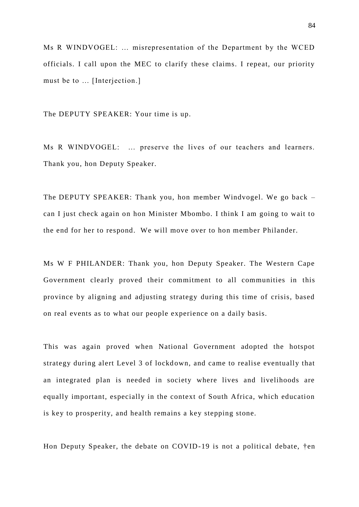Ms R WINDVOGEL: … misrepresentation of the Department by the WCED officials. I call upon the MEC to clarify these claims. I repeat, our priority must be to … [Interjection.]

The DEPUTY SPEAKER: Your time is up.

Ms R WINDVOGEL: … preserve the lives of our teachers and learners. Thank you, hon Deputy Speaker.

The DEPUTY SPEAKER: Thank you, hon member Windvogel. We go back – can I just check again on hon Minister Mbombo. I think I am going to wait to the end for her to respond. We will move over to hon member Philander.

Ms W F PHILANDER: Thank you, hon Deputy Speaker. The Western Cape Government clearly proved their commitment to all communities in this province by aligning and adjusting strategy during this time of crisis, based on real events as to what our people experience on a daily basis.

This was again proved when National Government adopted the hotspot strategy during alert Level 3 of lockdown, and came to realise eventually that an integrated plan is needed in society where lives and livelihoods are equally important, especially in the context of South Africa, which education is key to prosperity, and health remains a key stepping stone.

Hon Deputy Speaker, the debate on COVID-19 is not a political debate, †en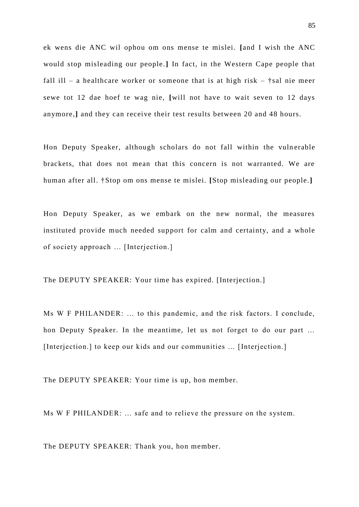ek wens die ANC wil ophou om ons mense te mislei. **[**and I wish the ANC would stop misleading our people.**]** In fact, in the Western Cape people that fall ill – a healthcare worker or someone that is at high risk –  $\dagger$ sal nie meer sewe tot 12 dae hoef te wag nie, **[**will not have to wait seven to 12 days anymore*,***]** and they can receive their test results between 20 and 48 hours.

Hon Deputy Speaker, although scholars do not fall within the vulnerable brackets, that does not mean that this concern is not warranted. We are human after all. †Stop om ons mense te mislei. **[**Stop misleading our people.**]**

Hon Deputy Speaker, as we embark on the new normal, the measures instituted provide much needed support for calm and certainty, and a whole of society approach … [Interjection.]

The DEPUTY SPEAKER: Your time has expired. [Interjection.]

Ms W F PHILANDER: … to this pandemic, and the risk factors. I conclude, hon Deputy Speaker. In the meantime, let us not forget to do our part … [Interjection.] to keep our kids and our communities ... [Interjection.]

The DEPUTY SPEAKER: Your time is up, hon member.

Ms W F PHILANDER: … safe and to relieve the pressure on the system.

The DEPUTY SPEAKER: Thank you, hon member.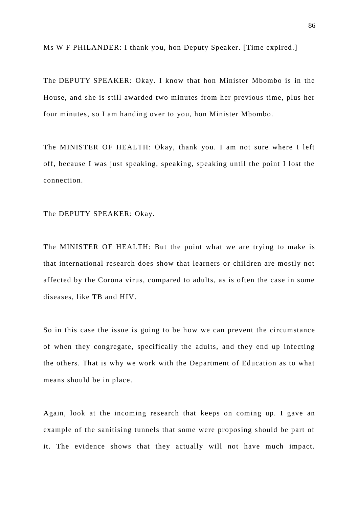Ms W F PHILANDER: I thank you, hon Deputy Speaker. [Time expired.]

The DEPUTY SPEAKER: Okay. I know that hon Minister Mbombo is in the House, and she is still awarded two minutes from her previous time, plus her four minutes, so I am handing over to you, hon Minister Mbombo.

The MINISTER OF HEALTH: Okay, thank you. I am not sure where I left off, because I was just speaking, speaking, speaking until the point I lost the connection.

The DEPUTY SPEAKER: Okay.

The MINISTER OF HEALTH: But the point what we are trying to make is that international research does show that learners or children are mostly not affected by the Corona virus, compared to adults, as is often the case in some diseases, like TB and HIV.

So in this case the issue is going to be how we can prevent the circumstance of when they congregate, specifically the adults, and they end up infecting the others. That is why we work with the Department of Education as to what means should be in place.

Again, look at the incoming research that keeps on coming up. I gave an example of the sanitising tunnels that some were proposing should be part of it. The evidence shows that they actually will not have much impact.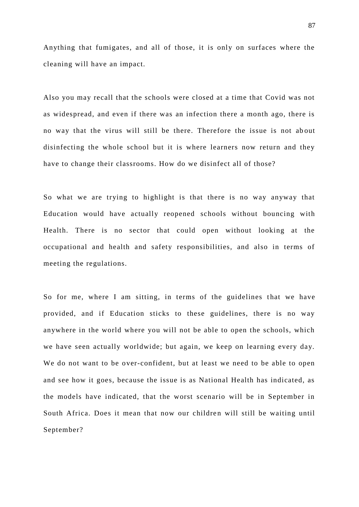Anything that fumigates, and all of those, it is only on surfaces where the cleaning will have an impact.

Also you may recall that the schools were closed at a time that Covid was not as widespread, and even if there was an infection there a month ago, there is no way that the virus will still be there. Therefore the issue is not ab out disinfecting the whole school but it is where learners now return and they have to change their classrooms. How do we disinfect all of those?

So what we are trying to highlight is that there is no way anyway that Education would have actually reopened schools without bouncing with Health. There is no sector that could open without looking at the occupational and health and safety responsibilities, and also in terms of meeting the regulations.

So for me, where I am sitting, in terms of the guidelines that we have provided, and if Education sticks to these guidelines, there is no way anywhere in the world where you will not be able to open the schools, which we have seen actually worldwide; but again, we keep on learning every day. We do not want to be over-confident, but at least we need to be able to open and see how it goes, because the issue is as National Health has indicated, as the models have indicated, that the worst scenario will be in September in South Africa. Does it mean that now our children will still be waiting until September?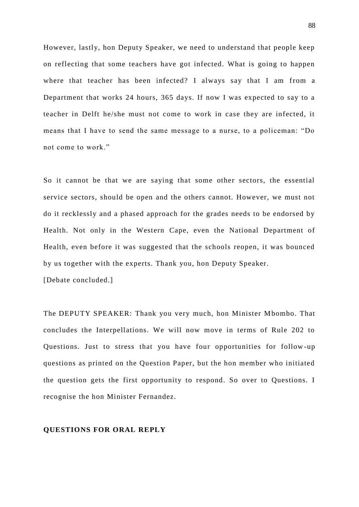However, lastly, hon Deputy Speaker, we need to understand that people keep on reflecting that some teachers have got infected. What is going to happen where that teacher has been infected? I always say that I am from a Department that works 24 hours, 365 days. If now I was expected to say to a teacher in Delft he/she must not come to work in case they are infected, it means that I have to send the same message to a nurse, to a policeman: "Do not come to work."

So it cannot be that we are saying that some other sectors, the essential service sectors, should be open and the others cannot. However, we must not do it recklessly and a phased approach for the grades needs to be endorsed by Health. Not only in the Western Cape, even the National Department of Health, even before it was suggested that the schools reopen, it was bounced by us together with the experts. Thank you, hon Deputy Speaker. [Debate concluded.]

The DEPUTY SPEAKER: Thank you very much, hon Minister Mbombo. That concludes the Interpellations. We will now move in terms of Rule 202 to Questions. Just to stress that you have four opportunities for follow -up questions as printed on the Question Paper, but the hon member who initiated the question gets the first opportunity to respond. So over to Questions. I recognise the hon Minister Fernandez.

## **QUESTIONS FOR ORAL REPLY**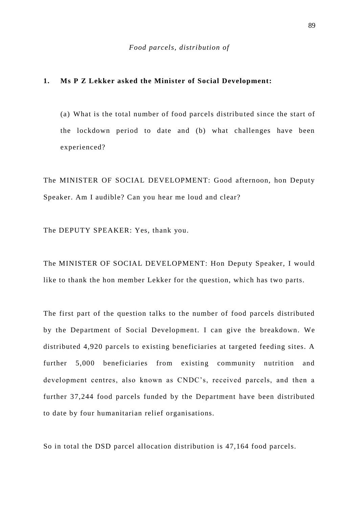## **1. Ms P Z Lekker asked the Minister of Social Development:**

(a) What is the total number of food parcels distribu ted since the start of the lockdown period to date and (b) what challenges have been experienced?

The MINISTER OF SOCIAL DEVELOPMENT: Good afternoon, hon Deputy Speaker. Am I audible? Can you hear me loud and clear?

The DEPUTY SPEAKER: Yes, thank you.

The MINISTER OF SOCIAL DEVELOPMENT: Hon Deputy Speaker, I would like to thank the hon member Lekker for the question, which has two parts.

The first part of the question talks to the number of food parcels distributed by the Department of Social Development. I can give the breakdown. We distributed 4,920 parcels to existing beneficiaries at targeted feeding sites. A further 5,000 beneficiaries from existing community nutrition and development centres, also known as CNDC's, received parcels, and then a further 37,244 food parcels funded by the Department have been distributed to date by four humanitarian relief organisations.

So in total the DSD parcel allocation distribution is 47,164 food parcels.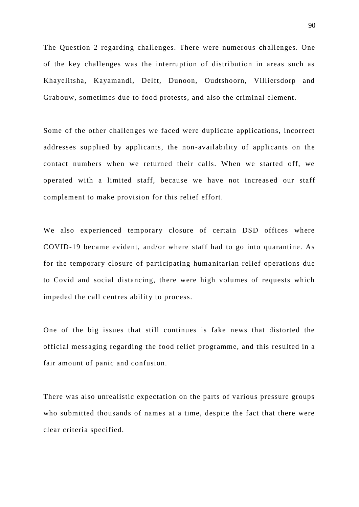The Question 2 regarding challenges. There were numerous ch allenges. One of the key challenges was the interruption of distribution in areas such as Khayelitsha, Kayamandi, Delft, Dunoon, Oudtshoorn, Villiersdorp and Grabouw, sometimes due to food protests, and also the criminal element.

Some of the other challenges we faced were duplicate applications, incorrect addresses supplied by applicants, the non-availability of applicants on the contact numbers when we returned their calls. When we started off, we operated with a limited staff, because we have not increas ed our staff complement to make provision for this relief effort.

We also experienced temporary closure of certain DSD offices where COVID-19 became evident, and/or where staff had to go into quarantine. As for the temporary closure of participating humanitarian relief operations due to Covid and social distancing, there were high volumes of requests which impeded the call centres ability to process.

One of the big issues that still continues is fake news that distorted the official messaging regarding the food relief programme, and this resulted in a fair amount of panic and confusion.

There was also unrealistic expectation on the parts of various pressure groups who submitted thousands of names at a time, despite the fact that there were clear criteria specified.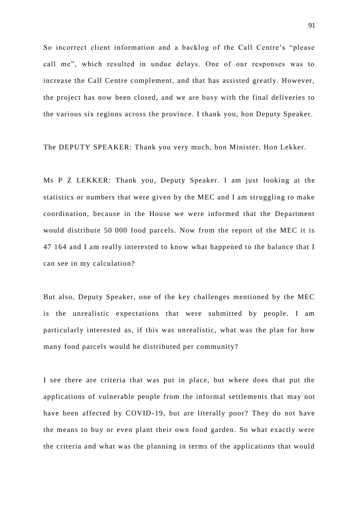So incorrect client information and a backlog of the Call Centre's "please call me", which resulted in undue delays. One of our responses was to increase the Call Centre complement, and that has assisted greatly. However, the project has now been closed, and we are busy with the final deliveries to the various six regions across the province. I thank you, hon Deputy Speaker.

The DEPUTY SPEAKER: Thank you very much, hon Minister. Hon Lekker.

Ms P Z LEKKER: Thank you, Deputy Speaker. I am just looking at the statistics or numbers that were given by the MEC and I am struggling to make coordination, because in the House we were informed that the Department would distribute 50 000 food parcels. Now from the report of the MEC it is 47 164 and I am really interested to know what happened to the balance that I can see in my calculation?

But also, Deputy Speaker, one of the key challenges mentioned by the MEC is the unrealistic expectations that were submitted by people. I am particularly interested as, if this was unrealistic, what was the plan for how many food parcels would be distributed per community?

I see there are criteria that was put in place, but where does that put the applications of vulnerable people from the informal settlements that may not have been affected by COVID-19, but are literally poor? They do not have the means to buy or even plant their own food garden. So what exactly were the criteria and what was the planning in terms of the applications that would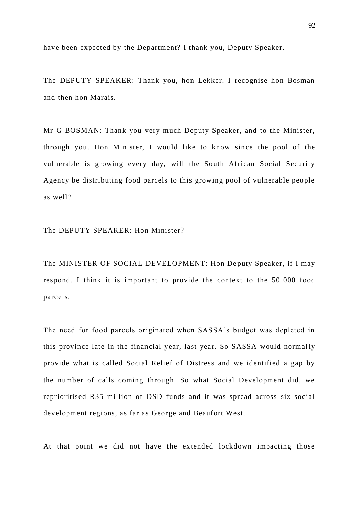have been expected by the Department? I thank you, Deputy Speaker.

The DEPUTY SPEAKER: Thank you, hon Lekker. I recognise hon Bosman and then hon Marais.

Mr G BOSMAN: Thank you very much Deputy Speaker, and to the Minister, through you. Hon Minister, I would like to know since the pool of the vulnerable is growing every day, will the South African Social Security Agency be distributing food parcels to this growing pool of vulnerable people as well?

The DEPUTY SPEAKER: Hon Minister?

The MINISTER OF SOCIAL DEVELOPMENT: Hon Deputy Speaker, if I may respond. I think it is important to provide the context to the 50 000 food parcels.

The need for food parcels originated when SASSA's budget was depleted in this province late in the financial year, last year. So SASSA would normally provide what is called Social Relief of Distress and we identified a gap by the number of calls coming through. So what Social Development did, we reprioritised R35 million of DSD funds and it was spread across six social development regions, as far as George and Beaufort West.

At that point we did not have the extended lockdown impacting those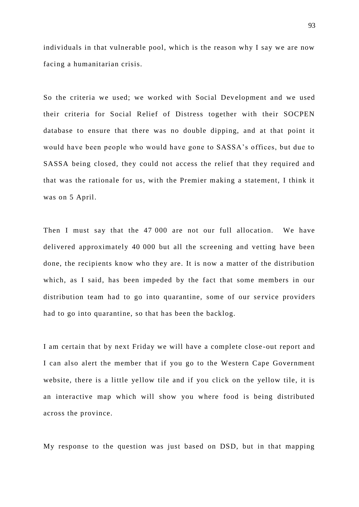individuals in that vulnerable pool, which is the reason why I say we are now facing a humanitarian crisis.

So the criteria we used; we worked with Social Development and we used their criteria for Social Relief of Distress together with their SOCPEN database to ensure that there was no double dipping, and at that point it would have been people who would have gone to SASSA's offices, but due to SASSA being closed, they could not access the relief that they required and that was the rationale for us, with the Premier making a statement, I think it was on 5 April.

Then I must say that the 47 000 are not our full allocation. We have delivered approximately 40 000 but all the screening and vetting have been done, the recipients know who they are. It is now a matter of the distribution which, as I said, has been impeded by the fact that some members in our distribution team had to go into quarantine, some of our service providers had to go into quarantine, so that has been the backlog.

I am certain that by next Friday we will have a complete close -out report and I can also alert the member that if you go to the Western Cape Government website, there is a little yellow tile and if you click on the yellow tile, it is an interactive map which will show you where food is being distributed across the province.

My response to the question was just based on DSD, but in that mapping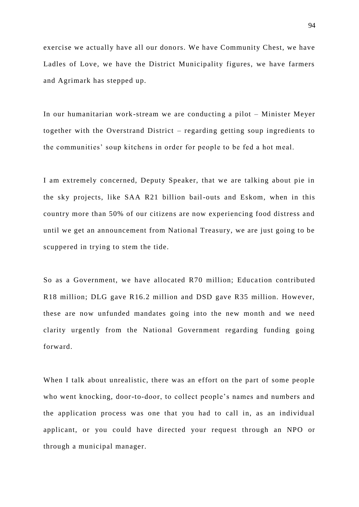exercise we actually have all our donors. We have Community Chest, we have Ladles of Love, we have the District Municipality figures, we have farmers and Agrimark has stepped up.

In our humanitarian work-stream we are conducting a pilot – Minister Meyer together with the Overstrand District – regarding getting soup ingredients to the communities' soup kitchens in order for people to be fed a hot meal.

I am extremely concerned, Deputy Speaker, that we are talking about pie in the sky projects, like SAA R21 billion bail-outs and Eskom, when in this country more than 50% of our citizens are now experiencing food distress and until we get an announcement from National Treasury, we are just going to be scuppered in trying to stem the tide.

So as a Government, we have allocated R70 million; Education contributed R18 million; DLG gave R16.2 million and DSD gave R35 million. However, these are now unfunded mandates going into the new month and we need clarity urgently from the National Government regarding funding going forward.

When I talk about unrealistic, there was an effort on the part of some people who went knocking, door-to-door, to collect people's names and numbers and the application process was one that you had to call in, as an individual applicant, or you could have directed your request through an NPO or through a municipal manager.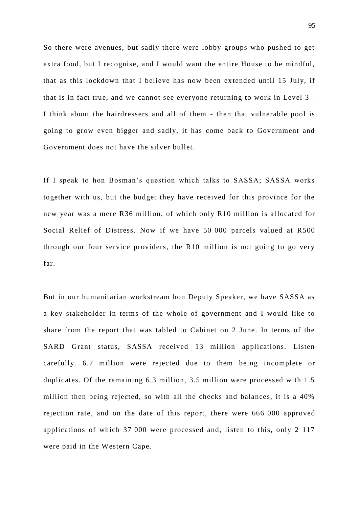So there were avenues, but sadly there were lobby groups who pushed to get extra food, but I recognise, and I would want the entire House to be mindful, that as this lockdown that I believe has now been ex tended until 15 July, if that is in fact true, and we cannot see everyone returning to work in Level 3 - I think about the hairdressers and all of them - then that vulnerable pool is going to grow even bigger and sadly, it has come back to Government and Government does not have the silver bullet.

If I speak to hon Bosman's question which talks to SASSA; SASSA works together with us, but the budget they have received for this province for the new year was a mere R36 million, of which only R10 million is al located for Social Relief of Distress. Now if we have 50 000 parcels valued at R500 through our four service providers, the R10 million is not going to go very far.

But in our humanitarian workstream hon Deputy Speaker, we have SASSA as a key stakeholder in terms of the whole of government and I would like to share from the report that was tabled to Cabinet on 2 June. In terms of the SARD Grant status, SASSA received 13 million applications. Listen carefully. 6.7 million were rejected due to them being incomplete or duplicates. Of the remaining 6.3 million, 3.5 million were processed with 1.5 million then being rejected, so with all the checks and balances, it is a 40% rejection rate, and on the date of this report, there were 666 000 approved applications of which 37 000 were processed and, listen to this, only 2 117 were paid in the Western Cape.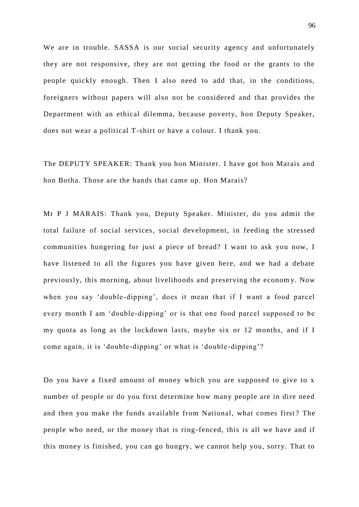We are in trouble. SASSA is our social security agency and unfortunately they are not responsive, they are not getting the food or the grants to the people quickly enough. Then I also need to add that, in the conditions, foreigners without papers will also not be considered and that provides the Department with an ethical dilemma, because poverty, hon Deputy Speaker, does not wear a political T-shirt or have a colour. I thank you.

The DEPUTY SPEAKER: Thank you hon Minister. I have got hon Marais and hon Botha. Those are the hands that came up. Hon Marais?

Mr P J MARAIS: Thank you, Deputy Speaker. Minister, do you admit the total failure of social services, social development, in feeding the stressed communities hungering for just a piece of bread? I want to ask you now, I have listened to all the figures you have given here, and we had a debate previously, this morning, about livelihoods and preserving the econom y. Now when you say 'double-dipping', does it mean that if I want a food parcel every month I am 'double-dipping' or is that one food parcel supposed to be my quota as long as the lockdown lasts, maybe six or 12 months, and if I come again, it is 'double-dipping' or what is 'double -dipping'?

Do you have a fixed amount of money which you are supposed to give to x number of people or do you first determine how many people are in dire need and then you make the funds available from National, what comes first? The people who need, or the money that is ring-fenced, this is all we have and if this money is finished, you can go hungry, we cannot help you, sorry. That to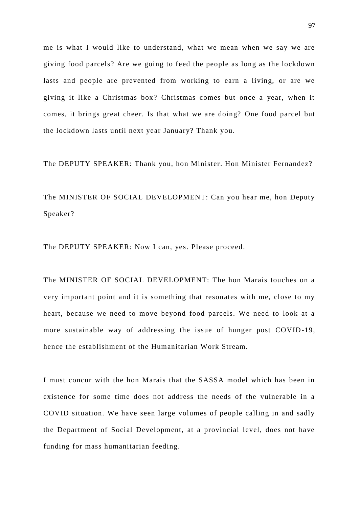me is what I would like to understand, what we mean when we say we are giving food parcels? Are we going to feed the people as long as the lockdown lasts and people are prevented from working to earn a living, or are we giving it like a Christmas box? Christmas comes but once a year, when it comes, it brings great cheer. Is that what we are doing? One food parcel but the lockdown lasts until next year January? Thank you.

The DEPUTY SPEAKER: Thank you, hon Minister. Hon Minister Fernandez?

The MINISTER OF SOCIAL DEVELOPMENT: Can you hear me, hon Deputy Speaker?

The DEPUTY SPEAKER: Now I can, yes. Please proceed.

The MINISTER OF SOCIAL DEVELOPMENT: The hon Marais touches on a very important point and it is something that resonates with me, close to my heart, because we need to move beyond food parcels. We need to look at a more sustainable way of addressing the issue of hunger post COVID-19, hence the establishment of the Humanitarian Work Stream.

I must concur with the hon Marais that the SASSA model which has been in existence for some time does not address the needs of the vulnerable in a COVID situation. We have seen large volumes of people calling in and sadly the Department of Social Development, at a provincial level, does not have funding for mass humanitarian feeding.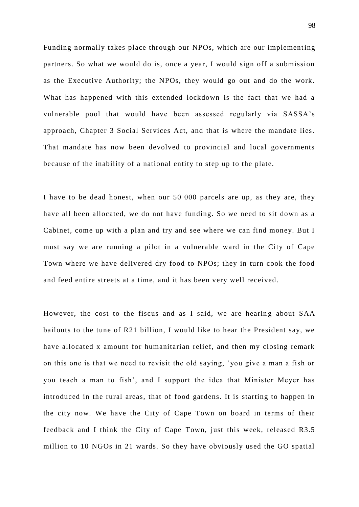Funding normally takes place through our NPOs, which are our implementing partners. So what we would do is, once a year, I would sign off a submission as the Executive Authority; the NPOs, they would go out and do the work. What has happened with this extended lockdown is the fact that we had a vulnerable pool that would have been assessed regularly via SASSA's approach, Chapter 3 Social Services Act, and that is where the mandate lies. That mandate has now been devolved to provincial and local governments because of the inability of a national entity to step up to the plate.

I have to be dead honest, when our 50 000 parcels are up, as they are, they have all been allocated, we do not have funding. So we need to sit down as a Cabinet, come up with a plan and try and see where we can find money. But I must say we are running a pilot in a vulnerable ward in the City of Cape Town where we have delivered dry food to NPOs; they in turn cook the food and feed entire streets at a time, and it has been very well received.

However, the cost to the fiscus and as I said, we are hearing about SAA bailouts to the tune of R21 billion, I would like to hear the President say, we have allocated x amount for humanitarian relief, and then my closing remark on this one is that we need to revisit the old saying, 'you give a man a fish or you teach a man to fish', and I support the idea that Minister Meyer has introduced in the rural areas, that of food gardens. It is starting to happen in the city now. We have the City of Cape Town on board in terms of their feedback and I think the City of Cape Town, just this week, released R3.5 million to 10 NGOs in 21 wards. So they have obviously used the GO spatial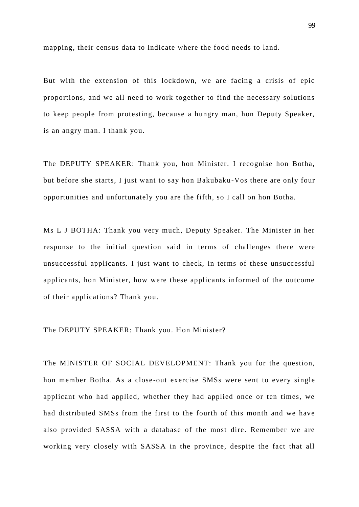mapping, their census data to indicate where the food needs to land.

But with the extension of this lockdown, we are facing a crisis of epic proportions, and we all need to work together to find the necessary solutions to keep people from protesting, because a hungry man, hon Deputy Speaker, is an angry man. I thank you.

The DEPUTY SPEAKER: Thank you, hon Minister. I recognise hon Botha, but before she starts, I just want to say hon Bakubaku -Vos there are only four opportunities and unfortunately you are the fifth, so I call on hon Botha.

Ms L J BOTHA: Thank you very much, Deputy Speaker. The Minister in her response to the initial question said in terms of challenges there were unsuccessful applicants. I just want to check, in terms of these unsuccessful applicants, hon Minister, how were these applicants informed of the outcome of their applications? Thank you.

## The DEPUTY SPEAKER: Thank you. Hon Minister?

The MINISTER OF SOCIAL DEVELOPMENT: Thank you for the question, hon member Botha. As a close -out exercise SMSs were sent to every single applicant who had applied, whether they had applied once or ten times, we had distributed SMSs from the first to the fourth of this month and we have also provided SASSA with a database of the most dire. Remember we are working very closely with SASSA in the province, despite the fact that all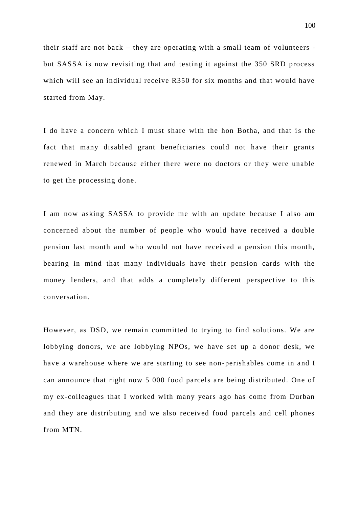their staff are not back – they are operating with a small team of volunteers but SASSA is now revisiting that and testing it against the 350 SRD process which will see an individual receive R350 for six months and that would have started from May.

I do have a concern which I must share with the hon Botha, and that is the fact that many disabled grant beneficiaries could not have their grants renewed in March because either there were no doctors or they were unable to get the processing done.

I am now asking SASSA to provide me with an update because I also am concerned about the number of people who would have received a double pension last month and who would not have received a pension this month, bearing in mind that many individuals have their pension cards with the money lenders, and that adds a completely different perspective to this conversation.

However, as DSD, we remain committed to trying to find solutions. We are lobbying donors, we are lobbying NPOs, we have set up a donor desk, we have a warehouse where we are starting to see non -perishables come in and I can announce that right now 5 000 food parcels are being distributed. One of my ex-colleagues that I worked with many years ago has come from Durban and they are distributing and we also received food parcels and cell phones from MTN.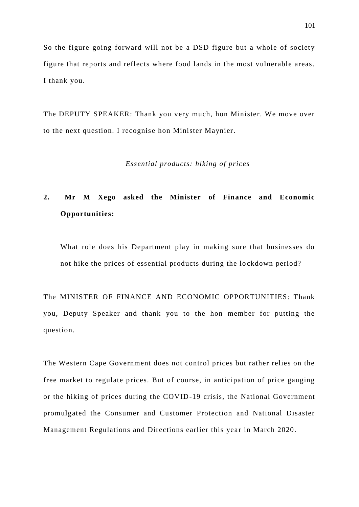So the figure going forward will not be a DSD figure but a whole of society figure that reports and reflects where food lands in the most vulnerable areas. I thank you.

The DEPUTY SPEAKER: Thank you very much, hon Minister. We move over to the next question. I recognise hon Minister Maynier.

#### *Essential products: hiking of prices*

# **2. Mr M Xego asked the Minister of Finance and Economic Opportunities:**

What role does his Department play in making sure that businesses do not hike the prices of essential products during the lo ckdown period?

The MINISTER OF FINANCE AND ECONOMIC OPPORTUNITIES: Thank you, Deputy Speaker and thank you to the hon member for putting the question.

The Western Cape Government does not control prices but rather relies on the free market to regulate prices. But of course, in anticipation of price gauging or the hiking of prices during the COVID-19 crisis, the National Government promulgated the Consumer and Customer Protection and National Disaster Management Regulations and Directions earlier this year in March 2020.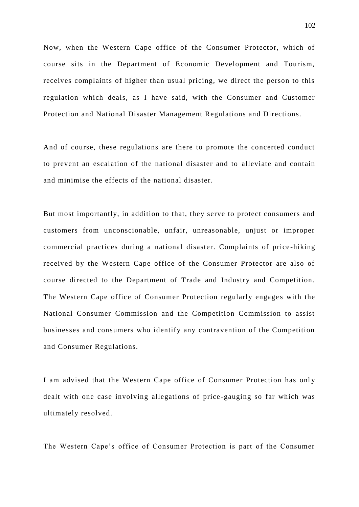Now, when the Western Cape office of the Consumer Protector, which of course sits in the Department of Economic Development and Tourism, receives complaints of higher than usual pricing, we direct the person to this regulation which deals, as I have said, with the Consumer and Customer Protection and National Disaster Management Regulations and Directions.

And of course, these regulations are there to promote the concerted conduct to prevent an escalation of the national disaster and to alleviate and contain and minimise the effects of the national disaster.

But most importantly, in addition to that, they serve to protect consumers and customers from unconscionable, unfair, unreasonable, unjust or improper commercial practices during a national disaster. Complaints of price -hiking received by the Western Cape office of the Consumer Protector are also of course directed to the Department of Trade and Industry and Competition. The Western Cape office of Consumer Protection regularly engages with the National Consumer Commission and the Competition Commission to assist businesses and consumers who identify any contravention of the Competition and Consumer Regulations.

I am advised that the Western Cape office of Consumer Protection has only dealt with one case involving allegations of price -gauging so far which was ultimately resolved.

The Western Cape's office of Consumer Protection is part of the Consumer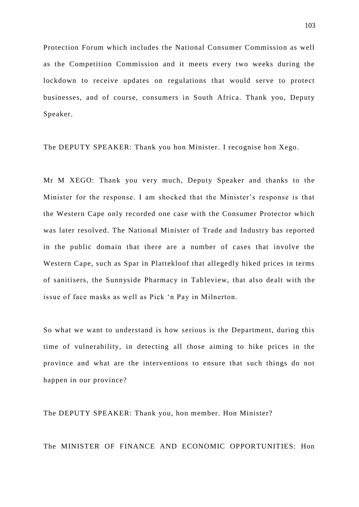Protection Forum which includes the National Consumer Commission as well as the Competition Commission and it meets every two weeks during the lockdown to receive updates on regulations that would serve to protect businesses, and of course, consumers in South Africa. Thank you, Deputy Speaker.

The DEPUTY SPEAKER: Thank you hon Minister. I recognise hon Xego.

Mr M XEGO: Thank you very much, Deputy Speaker and thanks to the Minister for the response. I am shocked that the Minister's response is that the Western Cape only recorded one case with the Consumer Protector which was later resolved. The National Minister of Trade and Industry has reported in the public domain that there are a number of cases that involve the Western Cape, such as Spar in Plattekloof that allegedly hiked prices in terms of sanitisers, the Sunnyside Pharmacy in Tab leview, that also dealt with the issue of face masks as well as Pick 'n Pay in Milnerton.

So what we want to understand is how serious is the Department, during this time of vulnerability, in detecting all those aiming to hike prices in the province and what are the interventions to ensure that such things do not happen in our province?

The DEPUTY SPEAKER: Thank you, hon member. Hon Minister?

The MINISTER OF FINANCE AND ECONOMIC OPPORTUNITIES: Hon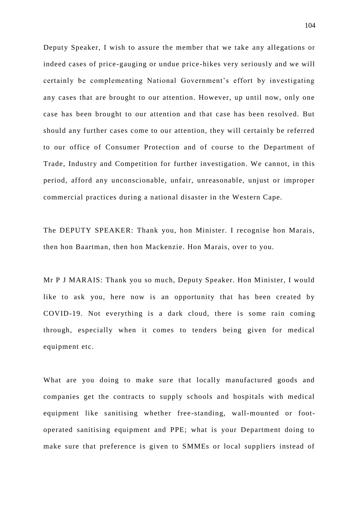Deputy Speaker, I wish to assure the member that we take any allegations or indeed cases of price-gauging or undue price-hikes very seriously and we will certainly be complementing National Government's effort by investigating any cases that are brought to our attention. However, up until now, only one case has been brought to our attention and that case has been resolved. But should any further cases come to our attention, they will certainly be referred to our office of Consumer Protection and of course to the Department of Trade, Industry and Competition for further investigation. We cannot, in this period, afford any unconscionable, unfair, unreasonable, unjust or improper commercial practices during a national disaster in the Western Cape.

The DEPUTY SPEAKER: Thank you, hon Minister. I recognise hon Marais, then hon Baartman, then hon Mackenzie. Hon Marais, over to you.

Mr P J MARAIS: Thank you so much, Deputy Speaker. Hon Minister, I would like to ask you, here now is an opportunity that has been created by COVID-19. Not everything is a dark cloud, there is some rain coming through, especially when it comes to tenders being given for medical equipment etc.

What are you doing to make sure that locally manufactured goods and companies get the contracts to supply schools and hospitals with medical equipment like sanitising whether free-standing, wall-mounted or footoperated sanitising equipment and PPE; what is your Department doing to make sure that preference is given to SMMEs or local suppliers instead of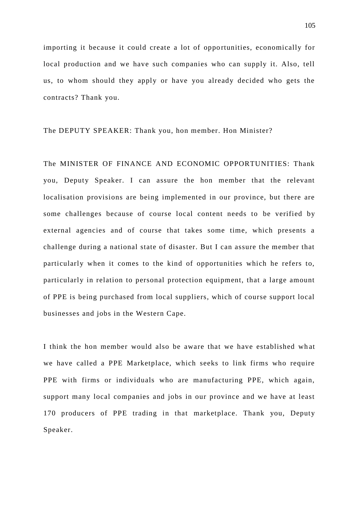importing it because it could create a lot of opportunities, economically for local production and we have such companies who can supply it. Also, tell us, to whom should they apply or have you already decided who gets the contracts? Thank you.

# The DEPUTY SPEAKER: Thank you, hon member. Hon Minister?

The MINISTER OF FINANCE AND ECONOMIC OPPORTUNITIES: Thank you, Deputy Speaker. I can assure the hon member that the relevant localisation provisions are being implemented in our province, but there are some challenges because of course local content needs to be verified by external agencies and of course that takes some time, which presents a challenge during a national state of disaster. But I can assure the member that particularly when it comes to the kind of opportunities which he refers to, particularly in relation to personal protection equipment, that a large amount of PPE is being purchased from local suppliers, which of course support local businesses and jobs in the Western Cape.

I think the hon member would also be aware that we have established wh at we have called a PPE Marketplace, which seeks to link firms who require PPE with firms or individuals who are manufacturing PPE, which again, support many local companies and jobs in our province and we have at least 170 producers of PPE trading in that marketplace. Thank you, Deputy Speaker.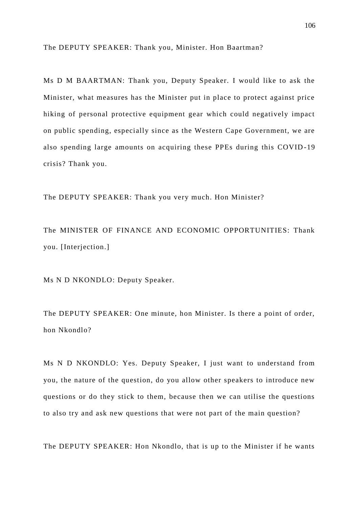The DEPUTY SPEAKER: Thank you, Minister. Hon Baartman?

Ms D M BAARTMAN: Thank you, Deputy Speaker. I would like to ask the Minister, what measures has the Minister put in place to protect against price hiking of personal protective equipment gear which could negatively impact on public spending, especially since as the Western Cape Government, we are also spending large amounts on acquiring these PPEs during this COVID -19 crisis? Thank you.

The DEPUTY SPEAKER: Thank you very much. Hon Minister?

The MINISTER OF FINANCE AND ECONOMIC OPPORTUNITIES: Thank you. [Interjection.]

Ms N D NKONDLO: Deputy Speaker.

The DEPUTY SPEAKER: One minute, hon Minister. Is there a point of order, hon Nkondlo?

Ms N D NKONDLO: Yes. Deputy Speaker, I just want to understand from you, the nature of the question, do you allow other speakers to introduce new questions or do they stick to them, because then we can utilise the questions to also try and ask new questions that were not part of the main question?

The DEPUTY SPEAKER: Hon Nkondlo, that is up to the Minister if he wants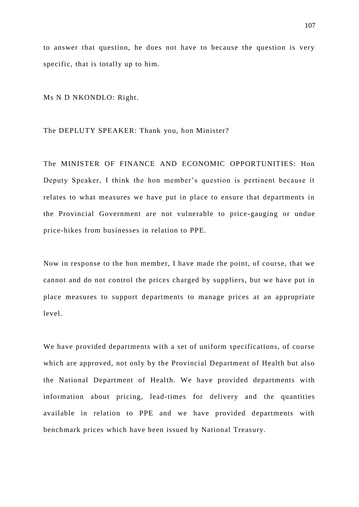to answer that question, he does not have to because the question is very specific, that is totally up to him.

Ms N D NKONDLO: Right.

#### The DEPLUTY SPEAKER: Thank you, hon Minister?

The MINISTER OF FINANCE AND ECONOMIC OPPORTUNITIES: Hon Deputy Speaker, I think the hon member's question is pertinent because it relates to what measures we have put in place to ensure that departments in the Provincial Government are not vulnerable to price-gauging or undue price-hikes from businesses in relation to PPE.

Now in response to the hon member, I have made the point, of course, that we cannot and do not control the prices charged by suppliers, but we have put in place measures to support departments to manage prices at an appropriate level.

We have provided departments with a set of uniform specifications, of course which are approved, not only by the Provincial Department of Health but also the National Department of Health. We have provided departments with information about pricing, lead-times for delivery and the quantities available in relation to PPE and we have provided departments with benchmark prices which have been issued by National Treasury.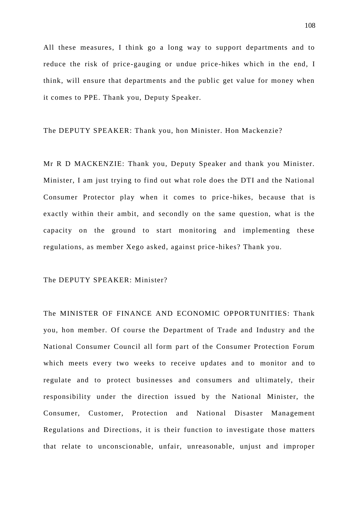All these measures, I think go a long way to support departments and to reduce the risk of price-gauging or undue price-hikes which in the end, I think, will ensure that departments and the public get value for money when it comes to PPE. Thank you, Deputy Speaker.

The DEPUTY SPEAKER: Thank you, hon Minister. Hon Mackenzie?

Mr R D MACKENZIE: Thank you, Deputy Speaker and thank you Minister. Minister, I am just trying to find out what role does the DTI and the National Consumer Protector play when it comes to price -hikes, because that is exactly within their ambit, and secondly on the same question, what is the capacity on the ground to start monitoring and implementing these regulations, as member Xego asked, against price -hikes? Thank you.

# The DEPUTY SPEAKER: Minister?

The MINISTER OF FINANCE AND ECONOMIC OPPORTUNITIES: Thank you, hon member. Of course the Department of Trade and Industry and the National Consumer Council all form part of the Consumer Protection Forum which meets every two weeks to receive updates and to monitor and to regulate and to protect businesses and consumers and ultimately, their responsibility under the direction issued by the National Minister, the Consumer, Customer, Protection and National Disaster Management Regulations and Directions, it is their function to investigate those matters that relate to unconscionable, unfair, unreasonable, unjust and improper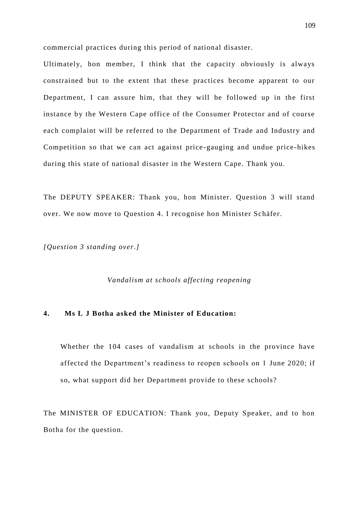commercial practices during this period of national disaster.

Ultimately, hon member, I think that the capacity obviously is always constrained but to the extent that these practices become apparent to our Department, I can assure him, that they will be followed up in the first instance by the Western Cape office of the Consumer Protector and of course each complaint will be referred to the Department of Trade and Industry and Competition so that we can act against price -gauging and undue price-hikes during this state of national disaster in the Western Cape. Thank you.

The DEPUTY SPEAKER: Thank you, hon Minister. Question 3 will stand over. We now move to Question 4. I recognise hon Minister Schäfer.

*[Question 3 standing over.]*

*Vandalism at schools affecting reopening* 

# **4. Ms L J Botha asked the Minister of Education:**

Whether the 104 cases of vandalism at schools in the province have affected the Department's readiness to reopen schools on 1 June 2020; if so, what support did her Department provide to these schools?

The MINISTER OF EDUCATION: Thank you, Deputy Speaker, and to hon Botha for the question.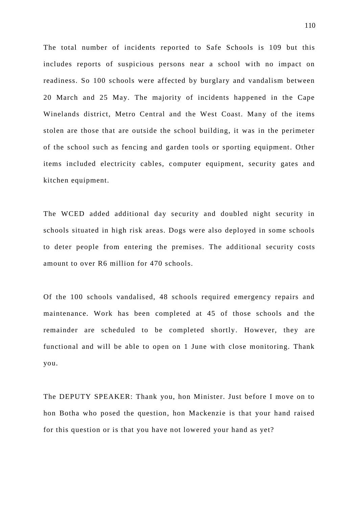The total number of incidents reported to Safe Schools is 109 but this includes reports of suspicious persons near a school with no impact on readiness. So 100 schools were affected by burglary and vandalism between 20 March and 25 May. The majority of incidents happened in the Cape Winelands district, Metro Central and the West Coast. Many of the items stolen are those that are outside the school building, it was in the perimeter of the school such as fencing and garden tools or sporting equipment. Other items included electricity cables, computer equipment, security gates and kitchen equipment.

The WCED added additional day security and doubled night security in schools situated in high risk areas. Dogs were also deployed in some schools to deter people from entering the premises. The additional security costs amount to over R6 million for 470 schools.

Of the 100 schools vandalised, 48 schools required emergency repairs and maintenance. Work has been completed at 45 of those schools and the remainder are scheduled to be completed shortly. However, they are functional and will be able to open on 1 June with close monitoring. Thank you.

The DEPUTY SPEAKER: Thank you, hon Minister. Just before I move on to hon Botha who posed the question, hon Mackenzie is that your hand raised for this question or is that you have not lowered your hand as yet?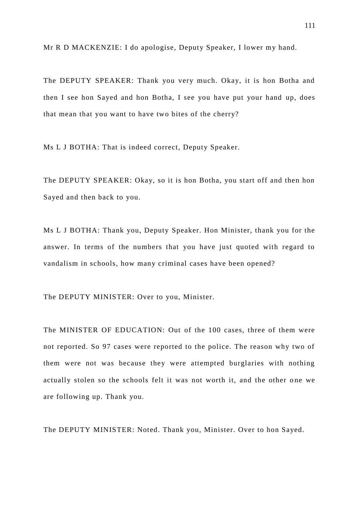Mr R D MACKENZIE: I do apologise, Deputy Speaker, I lower my hand.

The DEPUTY SPEAKER: Thank you very much. Okay, it is hon Botha and then I see hon Sayed and hon Botha, I see you have put your hand up, does that mean that you want to have two bites of the cherry?

Ms L J BOTHA: That is indeed correct, Deputy Speaker.

The DEPUTY SPEAKER: Okay, so it is hon Botha, you start off and then hon Sayed and then back to you.

Ms L J BOTHA: Thank you, Deputy Speaker. Hon Minister, thank you for the answer. In terms of the numbers that you have just quoted with regard to vandalism in schools, how many criminal cases have been opened?

The DEPUTY MINISTER: Over to you, Minister.

The MINISTER OF EDUCATION: Out of the 100 cases, three of them were not reported. So 97 cases were reported to the police. The reason why two of them were not was because they were attempted burglaries with nothing actually stolen so the schools felt it was not worth it, and the other one we are following up. Thank you.

The DEPUTY MINISTER: Noted. Thank you, Minister. Over to hon Sayed.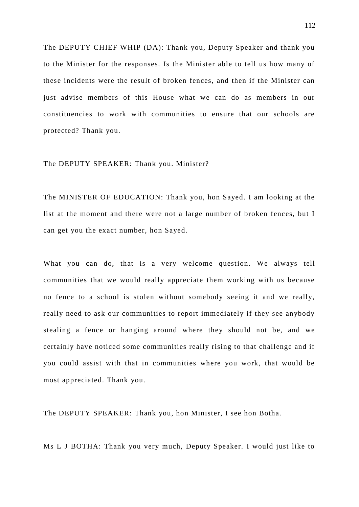The DEPUTY CHIEF WHIP (DA): Thank you, Deputy Speaker and thank you to the Minister for the responses. Is the Minister able to tell us how many of these incidents were the result of broken fences, and then if the Minister can just advise members of this House what we can do as members in our constituencies to work with communities to ensure that our schools are protected? Thank you.

The DEPUTY SPEAKER: Thank you. Minister?

The MINISTER OF EDUCATION: Thank you, hon Sayed. I am looking at the list at the moment and there were not a large number of broken fences, but I can get you the exact number, hon Sayed.

What you can do, that is a very welcome question. We always tell communities that we would really appreciate them working with us because no fence to a school is stolen without somebody seeing it and we really, really need to ask our communities to report immediately if they see anybody stealing a fence or hanging around where they should not be, and we certainly have noticed some communities really rising to that challenge and if you could assist with that in communities where you work, that would be most appreciated. Thank you.

The DEPUTY SPEAKER: Thank you, hon Minister, I see hon Botha.

Ms L J BOTHA: Thank you very much, Deputy Speaker. I would just like to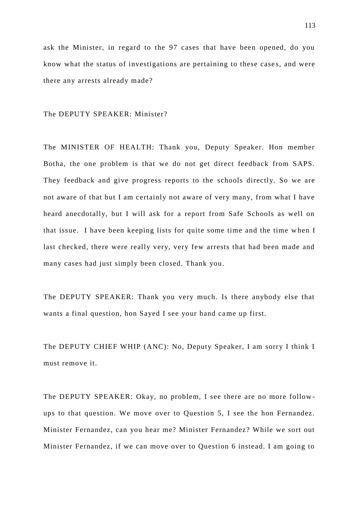ask the Minister, in regard to the 97 cases that have been opened, do you know what the status of investigations are pertaining to these case s, and were there any arrests already made?

The DEPUTY SPEAKER: Minister?

The MINISTER OF HEALTH: Thank you, Deputy Speaker. Hon member Botha, the one problem is that we do not get direct feedback from SAPS. They feedback and give progress reports to the schools directly. So we are not aware of that but I am certainly not aware of very many, from what I have heard anecdotally, but I will ask for a report from Safe Schools as well on that issue. I have been keeping lists for quite some time and the time w hen I last checked, there were really very, very few arrests that had been made and many cases had just simply been closed. Thank you.

The DEPUTY SPEAKER: Thank you very much. Is there anybody else that wants a final question, hon Sayed I see your hand came up first.

The DEPUTY CHIEF WHIP (ANC): No, Deputy Speaker, I am sorry I think I must remove it.

The DEPUTY SPEAKER: Okay, no problem, I see there are no more follow ups to that question. We move over to Question 5, I see the hon Fernandez. Minister Fernandez, can you hear me? Minister Fernandez? While we sort out Minister Fernandez, if we can move over to Question 6 instead. I am going to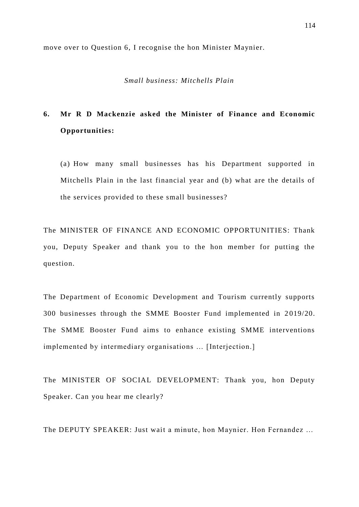move over to Question 6, I recognise the hon Minister Maynier.

## *Small business: Mitchells Plain*

# **6. Mr R D Mackenzie asked the Minister of Finance and Economic Opportunities:**

(a) How many small businesses has his Department supported in Mitchells Plain in the last financial year and (b) what are the details of the services provided to these small businesses?

The MINISTER OF FINANCE AND ECONOMIC OPPORTUNITIES: Thank you, Deputy Speaker and thank you to the hon member for putting the question.

The Department of Economic Development and Tourism currently supports 300 businesses through the SMME Booster Fund implemented in 2 019/20. The SMME Booster Fund aims to enhance existing SMME interventions implemented by intermediary organisations … [Interjection.]

The MINISTER OF SOCIAL DEVELOPMENT: Thank you, hon Deputy Speaker. Can you hear me clearly?

The DEPUTY SPEAKER: Just wait a minute, hon Maynier. Hon Fernandez …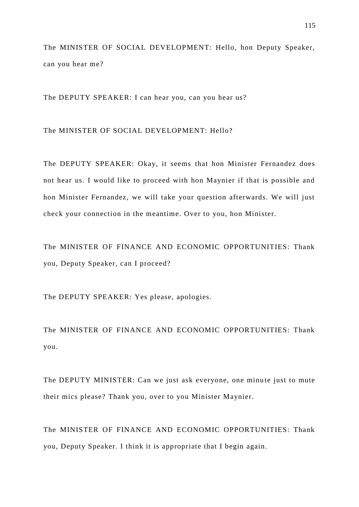The MINISTER OF SOCIAL DEVELOPMENT: Hello, hon Deputy Speaker, can you hear me?

The DEPUTY SPEAKER: I can hear you, can you hear us?

The MINISTER OF SOCIAL DEVELOPMENT: Hello?

The DEPUTY SPEAKER: Okay, it seems that hon Minister Fernandez does not hear us. I would like to proceed with hon Maynier if that is possible and hon Minister Fernandez, we will take your question afterwards. We will just check your connection in the meantime. Over to you, hon Minister.

The MINISTER OF FINANCE AND ECONOMIC OPPORTUNITIES: Thank you, Deputy Speaker, can I proceed?

The DEPUTY SPEAKER: Yes please, apologies.

The MINISTER OF FINANCE AND ECONOMIC OPPORTUNITIES: Thank you.

The DEPUTY MINISTER: Can we just ask everyone, one minute just to mute their mics please? Thank you, over to you Minister Maynier.

The MINISTER OF FINANCE AND ECONOMIC OPPORTUNITIES: Thank you, Deputy Speaker. I think it is appropriate that I begin again.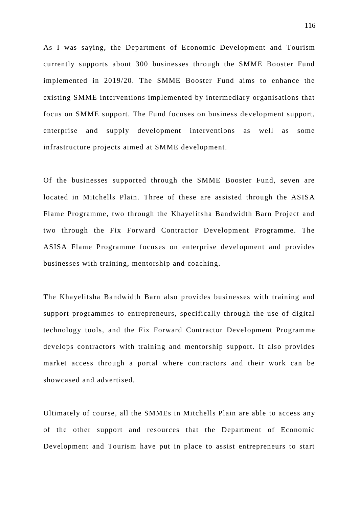As I was saying, the Department of Economic Development and Tourism currently supports about 300 businesses through the SMME Booster Fund implemented in 2019/20. The SMME Booster Fund aims to enhance the existing SMME interventions implemented by intermediary organisations that focus on SMME support. The Fund focuses on business development support, enterprise and supply development interventions as well as some infrastructure projects aimed at SMME development.

Of the businesses supported through the SMME Booster Fund, seven are located in Mitchells Plain. Three of these are assisted through the ASISA Flame Programme, two through the Khayelitsha Bandwidth Barn Project and two through the Fix Forward Contractor Development Programme. The ASISA Flame Programme focuses on enterprise development and provides businesses with training, mentorship and coaching.

The Khayelitsha Bandwidth Barn also provides businesses with training and support programmes to entrepreneurs, specifically through the use of digital technology tools, and the Fix Forward Contractor Devel opment Programme develops contractors with training and mentorship support. It also provides market access through a portal where contractors and their work can be showcased and advertised.

Ultimately of course, all the SMMEs in Mitchells Plain are able to access any of the other support and resources that the Department of Economic Development and Tourism have put in place to assist entrepreneurs to start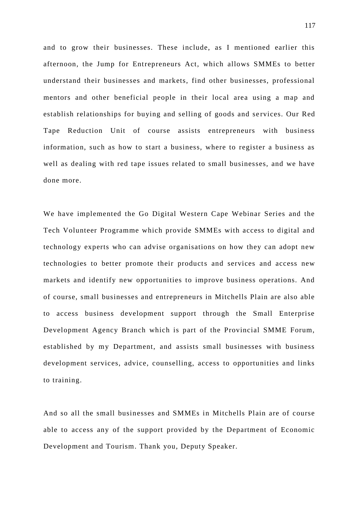and to grow their businesses. These include, as I mentioned earlier this afternoon, the Jump for Entrepreneurs Act, which allows SMMEs to better understand their businesses and markets, find other businesses, professional mentors and other beneficial people in their local area using a map and establish relationships for buying and selling of goods and services. Our Red Tape Reduction Unit of course assists entrepreneurs with business information, such as how to start a business, where to register a business as well as dealing with red tape issues related to small businesses, and we have done more.

We have implemented the Go Digital Western Cape Webinar Series and the Tech Volunteer Programme which provide SMMEs with access to digital and technology experts who can advise organisations on how they can adopt new technologies to better promote their products and services and access new markets and identify new opportunities to improve business operations. And of course, small businesses and entrepreneurs in Mitchells Plain are also able to access business development support through the Small Enterprise Development Agency Branch which is part of the Provincial SMME Forum, established by my Department, and assists small businesses with business development services, advice, counselling, access to opportunities and links to training.

And so all the small businesses and SMMEs in Mitchells Plain are of course able to access any of the support provided by the Department of Economic Development and Tourism. Thank you, Deputy Speaker.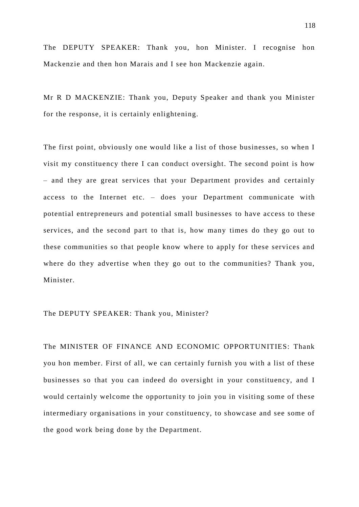The DEPUTY SPEAKER: Thank you, hon Minister. I recognise hon Mackenzie and then hon Marais and I see hon Mackenzie again.

Mr R D MACKENZIE: Thank you, Deputy Speaker and thank you Minister for the response, it is certainly enlightening.

The first point, obviously one would like a list of those businesses, so when I visit my constituency there I can conduct oversight. The second point is how – and they are great services that your Department provides and certainly access to the Internet etc. – does your Department communicate with potential entrepreneurs and potential small businesses to have access to these services, and the second part to that is, how many times do they go out to these communities so that people know where to apply for these services and where do they advertise when they go out to the communities? Thank you, Minister.

## The DEPUTY SPEAKER: Thank you, Minister?

The MINISTER OF FINANCE AND ECONOMIC OPPORTUNITIES: Thank you hon member. First of all, we can certainly furnish you with a list of these businesses so that you can indeed do oversight in your constituency, and I would certainly welcome the opportunity to join you in visiting some of these intermediary organisations in your constituency, to showcase and see some of the good work being done by the Department.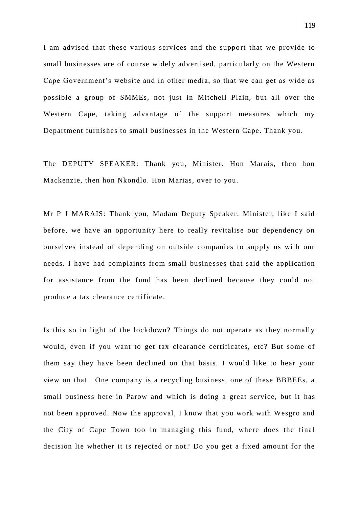I am advised that these various services and the support that we provide to small businesses are of course widely advertised, particularly on the Western Cape Government's website and in other media, so that we can get as wide as possible a group of SMMEs, not just in Mitchell Plain, but all over the Western Cape, taking advantage of the support measures which my Department furnishes to small businesses in the Western Cape. Thank you.

The DEPUTY SPEAKER: Thank you, Minister. Hon Marais, then hon Mackenzie, then hon Nkondlo. Hon Marias, over to you.

Mr P J MARAIS: Thank you, Madam Deputy Speaker. Minister, like I said before, we have an opportunity here to really revitalise our dependency on ourselves instead of depending on outside companies to supply us with our needs. I have had complaints from small busine sses that said the application for assistance from the fund has been declined because they could not produce a tax clearance certificate.

Is this so in light of the lockdown? Things do not operate as they normally would, even if you want to get tax clearance certificates, etc? But some of them say they have been declined on that basis. I would like to hear your view on that. One company is a recycling business, one of these BBBEEs, a small business here in Parow and which is doing a great service, but it has not been approved. Now the approval, I know that you work with Wesgro and the City of Cape Town too in managing this fund, where does the final decision lie whether it is rejected or not? Do you get a fixed amount for the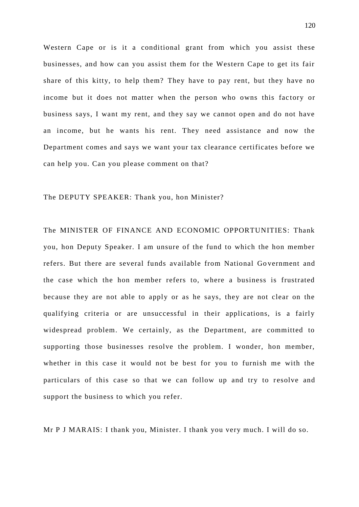Western Cape or is it a conditional grant from which you assist these businesses, and how can you assist them for the Western Cape to get its fair share of this kitty, to help them? They have to pay rent, but they have no income but it does not matter when the person who owns this factory or business says, I want my rent, and they say we cannot open and do not have an income, but he wants his rent. They need assistance and now the Department comes and says we want your tax clearance certificates before we can help you. Can you please comment on that?

#### The DEPUTY SPEAKER: Thank you, hon Minister?

The MINISTER OF FINANCE AND ECONOMIC OPPORTUNITIES: Thank you, hon Deputy Speaker. I am unsure of the fund to which the hon member refers. But there are several funds available from National Go vernment and the case which the hon member refers to, where a business is frustrated because they are not able to apply or as he says, they are not clear on the qualifying criteria or are unsuccessful in their applications, is a fairly widespread problem. We certainly, as the Department, are committed to supporting those businesses resolve the problem. I wonder, hon member, whether in this case it would not be best for you to furnish me with the particulars of this case so that we can follow up and try to resolve and support the business to which you refer.

Mr P J MARAIS: I thank you, Minister. I thank you very much. I will do so.

120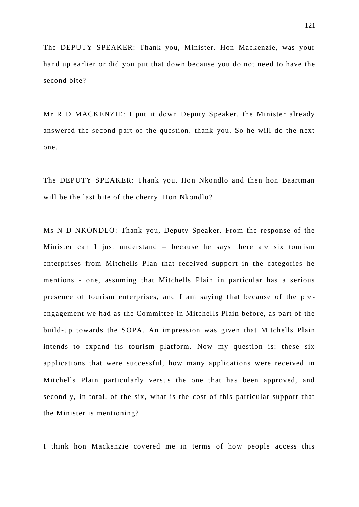The DEPUTY SPEAKER: Thank you, Minister. Hon Mackenzie, was your hand up earlier or did you put that down because you do not need to have the second bite?

Mr R D MACKENZIE: I put it down Deputy Speaker, the Minister already answered the second part of the question, thank you. So he will do the next one.

The DEPUTY SPEAKER: Thank you. Hon Nkondlo and then hon Baartman will be the last bite of the cherry. Hon Nkondlo?

Ms N D NKONDLO: Thank you, Deputy Speaker. From the response of the Minister can I just understand – because he says there are six tourism enterprises from Mitchells Plan that received support in the categories he mentions - one, assuming that Mitchells Plain in particular has a serious presence of tourism enterprises, and I am saying that because of the pre engagement we had as the Committee in Mitchells Plain before, as part of the build-up towards the SOPA. An impression was given that Mitchells Plain intends to expand its tourism platform. Now my question is: these six applications that were successful, how many applications were received in Mitchells Plain particularly versus the one that has been approved, and secondly, in total, of the six, what is the cost of this particular support that the Minister is mentioning?

I think hon Mackenzie covered me in terms of how people access this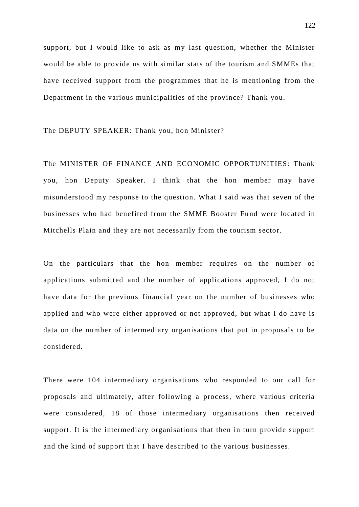support, but I would like to ask as my last question, whether the Minister would be able to provide us with similar stats of the tourism and SMMEs that have received support from the programmes that he is mentioning from the Department in the various municipalities of the province? Thank you.

# The DEPUTY SPEAKER: Thank you, hon Minister?

The MINISTER OF FINANCE AND ECONOMIC OPPORTUNITIES: Thank you, hon Deputy Speaker. I think that the hon member may have misunderstood my response to the question. What I said was that seven of the businesses who had benefited from the SMME Booster Fund were located in Mitchells Plain and they are not necessarily from the tourism sector.

On the particulars that the hon member requires on the number of applications submitted and the number of applications approved, I do not have data for the previous financial year on the number of businesses who applied and who were either approved or not approved, but what I do have is data on the number of intermediary organisations that put in proposals to be considered.

There were 104 intermediary organisations who responded to our call for proposals and ultimately, after following a process, where various criteria were considered, 18 of those intermediary organisations then received support. It is the intermediary organisations that then in turn provide support and the kind of support that I have described to the various businesses.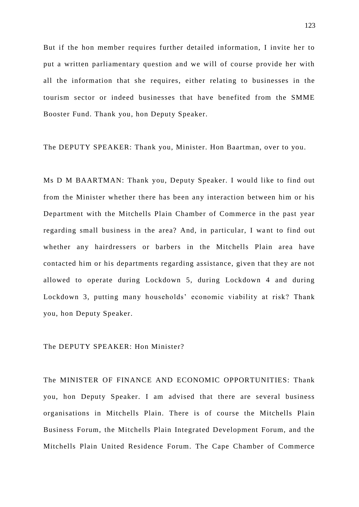But if the hon member requires further detailed information, I invite her to put a written parliamentary question and we will of course provide her with all the information that she requires, either relating to businesses in the tourism sector or indeed businesses that have benefited from the SMME Booster Fund. Thank you, hon Deputy Speaker.

The DEPUTY SPEAKER: Thank you, Minister. Hon Baartman, over to you.

Ms D M BAARTMAN: Thank you, Deputy Speaker. I would like to find out from the Minister whether there has been any interaction between him or his Department with the Mitchells Plain Chamber of Commerce in the past year regarding small business in the area? And, in particular, I want to find out whether any hairdressers or barbers in the Mitchells Plain area have contacted him or his departments regarding assistance, given that they are not allowed to operate during Lockdown 5, during Lockdown 4 and during Lockdown 3, putting many households' economic viability at risk? Thank you, hon Deputy Speaker.

The DEPUTY SPEAKER: Hon Minister?

The MINISTER OF FINANCE AND ECONOMIC OPPORTUNITIES: Thank you, hon Deputy Speaker. I am advised that there are several business organisations in Mitchells Plain. There is of course the Mitchells Plain Business Forum, the Mitchells Plain Integrated Development Forum, and the Mitchells Plain United Residence Forum. The Cape Chamber of Commerce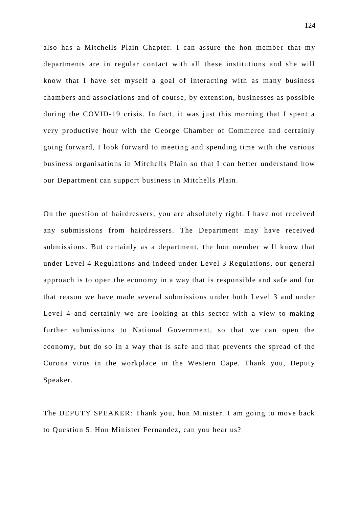also has a Mitchells Plain Chapter. I can assure the hon member that my departments are in regular contact with all these institutions and she will know that I have set myself a goal of interacting with as many business chambers and associations and of course, by extension, businesses as possible during the COVID-19 crisis. In fact, it was just this morning that I spent a very productive hour with the George Chamber of Commerce and certainly going forward, I look forward to meeting and spending time with the various business organisations in Mitchells Plain so that I can better understand how our Department can support business in Mitchells Plain.

On the question of hairdressers, you are absolutely right. I have not received any submissions from hairdressers. The Department may have received submissions. But certainly as a department, the hon member will know that under Level 4 Regulations and indeed under Level 3 Regulations, our general approach is to open the economy in a way that is responsible and safe and for that reason we have made several submissions under both Level 3 and under Level 4 and certainly we are looking at this sector with a view to making further submissions to National Government, so that we can open the economy, but do so in a way that is safe and that prevents the spread of the Corona virus in the workplace in the Western Cape. Thank you, Deputy Speaker.

The DEPUTY SPEAKER: Thank you, hon Minister. I am going to move back to Question 5. Hon Minister Fernandez, can you hear us?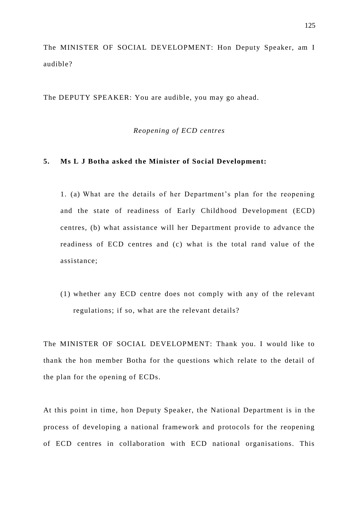The MINISTER OF SOCIAL DEVELOPMENT: Hon Deputy Speaker, am I audible?

The DEPUTY SPEAKER: You are audible, you may go ahead.

# *Reopening of ECD centres*

#### **5. Ms L J Botha asked the Minister of Social Development:**

1. (a) What are the details of her Department's plan for the reopening and the state of readiness of Early Childhood Development (ECD) centres, (b) what assistance will her Department provide to advance the readiness of ECD centres and (c) what is the total rand value of the assistance;

(1) whether any ECD centre does not comply with any of the relevant regulations; if so, what are the relevant details?

The MINISTER OF SOCIAL DEVELOPMENT: Thank you. I would like to thank the hon member Botha for the questions which relate to the detail of the plan for the opening of ECDs.

At this point in time, hon Deputy Speaker, the National Department is in the process of developing a national framework and protocols for the reopening of ECD centres in collaboration with ECD national organisations. This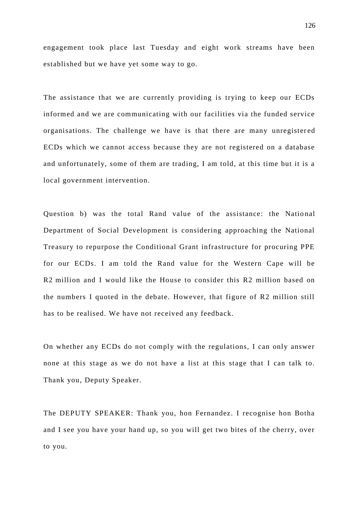engagement took place last Tuesday and eight work streams have been established but we have yet some way to go.

The assistance that we are currently providing is trying to keep our ECDs informed and we are communicating with our facilities via the funded service organisations. The challenge we have is that there are many unregister ed ECDs which we cannot access because they are not registered on a database and unfortunately, some of them are trading, I am told, at this time but it is a local government intervention.

Question b) was the total Rand value of the assistance: the National Department of Social Development is considering approaching the National Treasury to repurpose the Conditional Grant infrastructure for procuring PPE for our ECDs. I am told the Rand value for the Western Cape will be R2 million and I would like the House to consider this R2 million based on the numbers I quoted in the debate. However, that figure of R2 million still has to be realised. We have not received any feedback.

On whether any ECDs do not comply with the regulations, I can only answer none at this stage as we do not have a list at this stage that I can talk to. Thank you, Deputy Speaker.

The DEPUTY SPEAKER: Thank you, hon Fernandez. I recognise hon Botha and I see you have your hand up, so you will get two bites of the cherry, over to you.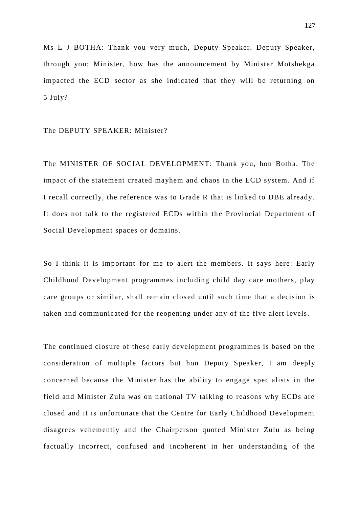Ms L J BOTHA: Thank you very much, Deputy Speaker. Deputy Speaker, through you; Minister, how has the announcement by Minister Motshekga impacted the ECD sector as she indicated that they will be returning on 5 July?

#### The DEPUTY SPEAKER: Minister?

The MINISTER OF SOCIAL DEVELOPMENT: Thank you, hon Botha. The impact of the statement created mayhem and chaos in the ECD system. And if I recall correctly, the reference was to Grade R that is linked to DBE already. It does not talk to the registered ECDs within the Provincial Department of Social Development spaces or domains.

So I think it is important for me to alert the members. It says here: Early Childhood Development programmes including child day care mothers, play care groups or similar, shall remain clos ed until such time that a decision is taken and communicated for the reopening under any of the five alert levels.

The continued closure of these early development programmes is based on the consideration of multiple factors but hon Deputy Speaker, I am deeply concerned because the Minister has the ability to engage specialists in the field and Minister Zulu was on national TV talking to reasons why ECDs are closed and it is unfortunate that the Centre for Early Childhood Development disagrees vehemently and the Chairperson quoted Minister Zulu as being factually incorrect, confused and incoherent in her understanding of the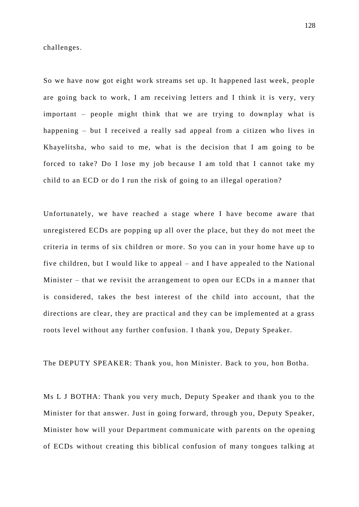challenges.

So we have now got eight work streams set up. It happened last week, people are going back to work, I am receiving letters and I think it is very, very important – people might think that we are trying to downplay what is happening – but I received a really sad appeal from a citizen who lives in Khayelitsha, who said to me, what is the decision that I am going to be forced to take? Do I lose my job because I am told that I cannot take my child to an ECD or do I run the risk of going to an illegal operation?

Unfortunately, we have reached a stage where I have become aware that unregistered ECDs are popping up all over the place, but they do not meet the criteria in terms of six children or more. So you can in your home have up to five children, but I would like to appeal – and I have appealed to the National Minister – that we revisit the arrangement to open our ECDs in a manner that is considered, takes the best interest of the child into account, that the directions are clear, they are practical and they can be implemented at a grass roots level without any further confusion. I thank you, Deputy Speaker.

The DEPUTY SPEAKER: Thank you, hon Minister. Back to you, hon Botha.

Ms L J BOTHA: Thank you very much, Deputy Speaker and thank you to the Minister for that answer. Just in going forward, through you, Deputy Speaker, Minister how will your Department communicate with parents on the opening of ECDs without creating this biblical confusion of many tongues talking at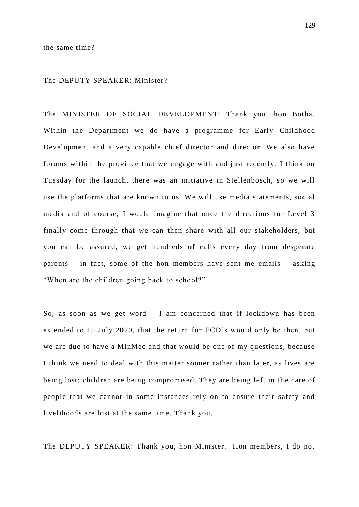#### The DEPUTY SPEAKER: Minister?

The MINISTER OF SOCIAL DEVELOPMENT: Thank you, hon Botha. Within the Department we do have a programme for Early Childhood Development and a very capable chief director and director. We also have forums within the province that we engage with and just recently, I think on Tuesday for the launch, there was an initiative in Stellenbosch, so we will use the platforms that are known to us. We will use media statements, social media and of course, I would imagine that once the directions for Level 3 finally come through that we can then share with all our stakeholders, but you can be assured, we get hundreds of calls every day from desperate parents – in fact, some of the hon members have sent me emails – asking "When are the children going back to school?"

So, as soon as we get word  $-$  I am concerned that if lockdown has been extended to 15 July 2020, that the return for ECD's would only be then, but we are due to have a MinMec and that would be one of my questions, because I think we need to deal with this matter sooner rather than later, as lives are being lost; children are being compromised. They are being left in the care of people that we cannot in some instances rely on to ensure their safety and livelihoods are lost at the same time. Thank you.

The DEPUTY SPEAKER: Thank you, hon Minister. Hon members, I do not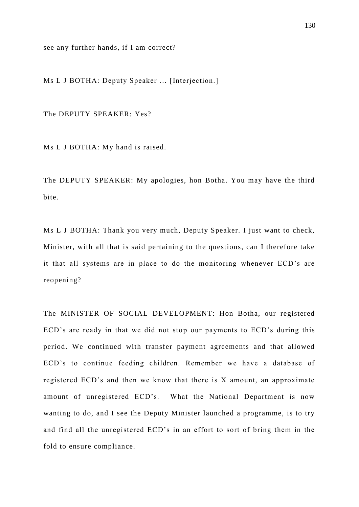see any further hands, if I am correct?

Ms L J BOTHA: Deputy Speaker … [Interjection.]

The DEPUTY SPEAKER: Yes?

Ms L J BOTHA: My hand is raised.

The DEPUTY SPEAKER: My apologies, hon Botha. You may have the third bite.

Ms L J BOTHA: Thank you very much, Deputy Speaker. I just want to check, Minister, with all that is said pertaining to the questions, can I therefore take it that all systems are in place to do the monitoring whenever ECD's are reopening?

The MINISTER OF SOCIAL DEVELOPMENT: Hon Botha, our registered ECD's are ready in that we did not stop our payments to ECD's during this period. We continued with transfer payment agreements and that allowed ECD's to continue feeding children. Remember we have a database of registered ECD's and then we know that there is X amount, an approximate amount of unregistered ECD's. What the National Department is now wanting to do, and I see the Deputy Minister launched a programme, is to try and find all the unregistered ECD's in an effort to sort of bring them in the fold to ensure compliance.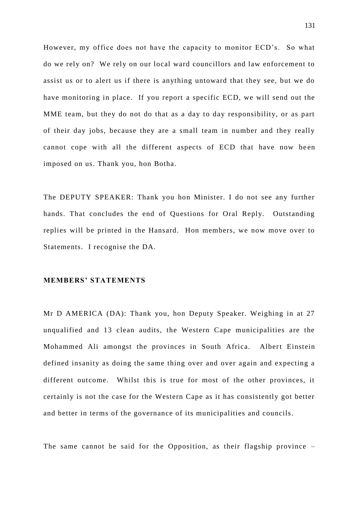However, my office does not have the capacity to monitor ECD's. So what do we rely on? We rely on our local ward councillors and law enforcement to assist us or to alert us if there is anything untoward that they see, but we do have monitoring in place. If you report a specific ECD, we will send out the MME team, but they do not do that as a day to day responsibility, or as part of their day jobs, because they are a small team in number and they really cannot cope with all the different aspects of ECD that have now be en imposed on us. Thank you, hon Botha.

The DEPUTY SPEAKER: Thank you hon Minister. I do not see any further hands. That concludes the end of Questions for Oral Reply. Outstanding replies will be printed in the Hansard. Hon members, we now move over to Statements. I recognise the DA.

### **MEMBERS' STATEMENTS**

Mr D AMERICA (DA): Thank you, hon Deputy Speaker. Weighing in at 27 unqualified and 13 clean audits, the Western Cape municipalities are the Mohammed Ali amongst the provinces in South Africa. Albert Einstein defined insanity as doing the same thing over and over again and expecting a different outcome. Whilst this is true for most of the other provinces, it certainly is not the case for the Western Cape as it has consistently got better and better in terms of the governance of its municipalities and councils.

The same cannot be said for the Opposition, as their flagship province –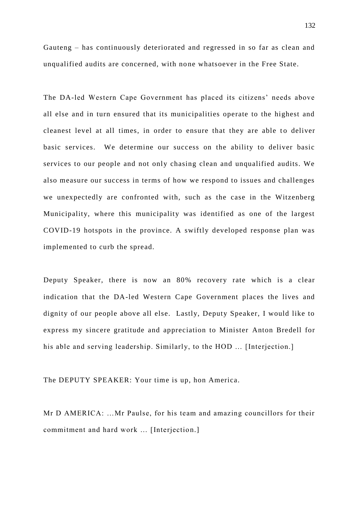Gauteng – has continuously deteriorated and regressed in so far as clean and unqualified audits are concerned, with none whatsoever in the Free State.

The DA-led Western Cape Government has placed its citizens' needs above all else and in turn ensured that its municipalities operate to the highest and cleanest level at all times, in order to ensure that they are able to deliver basic services. We determine our success on the ability to deliver basic services to our people and not only chasing clean and unqualified audits. We also measure our success in terms of how we respond to issues and challenges we unexpectedly are confronted with, such as the case in the Witzenberg Municipality, where this municipality was identified as one of the largest COVID-19 hotspots in the province. A swiftly developed response plan was implemented to curb the spread.

Deputy Speaker, there is now an 80% recovery rate which is a clear indication that the DA-led Western Cape Government places the lives and dignity of our people above all else. Lastly, Deputy Speaker, I would like to express my sincere gratitude and appreciation to Minister Anton Bredell for his able and serving leadership. Similarly, to the HOD … [Interjection.]

The DEPUTY SPEAKER: Your time is up, hon America.

Mr D AMERICA: …Mr Paulse, for his team and amazing councillors for their commitment and hard work … [Interjection.]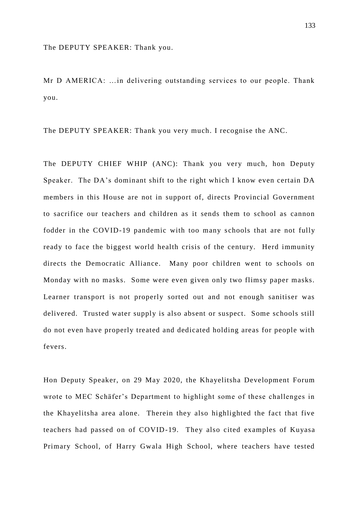The DEPUTY SPEAKER: Thank you.

Mr D AMERICA: …in delivering outstanding services to our people. Thank you.

The DEPUTY SPEAKER: Thank you very much. I recognise the ANC.

The DEPUTY CHIEF WHIP (ANC): Thank you very much, hon Deputy Speaker. The DA's dominant shift to the right which I know even certain DA members in this House are not in support of, directs Provincial Government to sacrifice our teachers and children as it sends them to school as cannon fodder in the COVID-19 pandemic with too many schools that are not fully ready to face the biggest world health crisis of the century. Herd immunity directs the Democratic Alliance. Many poor children went to schools on Monday with no masks. Some were even given only two flimsy paper masks. Learner transport is not properly sorted out and not enough sanitiser was delivered. Trusted water supply is also absent or suspect. Some schools still do not even have properly treated and dedicated holding areas for people with fevers.

Hon Deputy Speaker, on 29 May 2020, the Khayelitsha Development Forum wrote to MEC Schäfer's Department to highlight some of these challenges in the Khayelitsha area alone. Therein they also highlighted the fact that five teachers had passed on of COVID-19. They also cited examples of Kuyasa Primary School, of Harry Gwala High School, where teachers have tested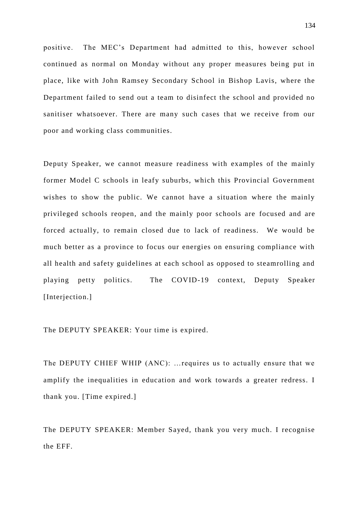positive. The MEC's Department had admitted to this, however school continued as normal on Monday without any proper measures being put in place, like with John Ramsey Secondary School in Bishop Lavis, where the Department failed to send out a team to disinfect the school and provided no sanitiser whatsoever. There are many such cases that we receive from our poor and working class communities.

Deputy Speaker, we cannot measure readiness with examples of the mainly former Model C schools in leafy suburbs, which this Provincial Government wishes to show the public. We cannot have a situation where the mainly privileged schools reopen, and the mainly poor schools are focused and are forced actually, to remain closed due to lack of readiness. We would be much better as a province to focus our energies on ensuring compliance with all health and safety guidelines at each school as opposed to steamrolling and playing petty politics. The COVID-19 context, Deputy Speaker [Interjection.]

The DEPUTY SPEAKER: Your time is expired.

The DEPUTY CHIEF WHIP (ANC): …requires us to actually ensure that we amplify the inequalities in education and work towards a greater redress. I thank you. [Time expired.]

The DEPUTY SPEAKER: Member Sayed, thank you very much. I recognise the EFF.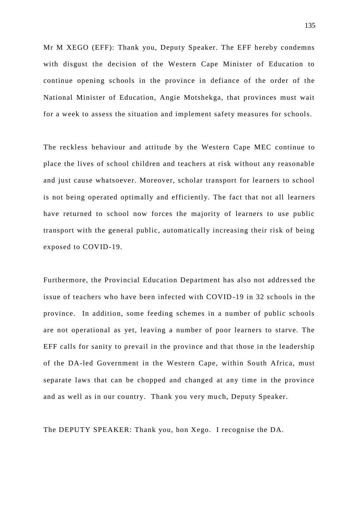Mr M XEGO (EFF): Thank you, Deputy Speaker. The EFF hereby condemns with disgust the decision of the Western Cape Minister of Education to continue opening schools in the province in defiance of the order of the National Minister of Education, Angie Motshekga, that provinces must wait for a week to assess the situation and implement safety measures for schools.

The reckless behaviour and attitude by the Western Cape MEC continue to place the lives of school children and teachers at risk without any reasonable and just cause whatsoever. Moreover, scholar transport for learners to school is not being operated optimally and efficiently. The fact that not all learners have returned to school now forces the majority of learners to use public transport with the general public, automatically increasing their risk of being exposed to COVID-19.

Furthermore, the Provincial Education Department has also not addressed the issue of teachers who have been infected with COVID-19 in 32 schools in the province. In addition, some feeding schemes in a number of public schools are not operational as yet, leaving a number of poor learners to starve. The EFF calls for sanity to prevail in the province and that those in the leadership of the DA-led Government in the Western Cape, within South Africa, must separate laws that can be chopped and changed at any time in the province and as well as in our country. Thank you very much, Deputy Speaker.

The DEPUTY SPEAKER: Thank you, hon Xego. I recognise the DA.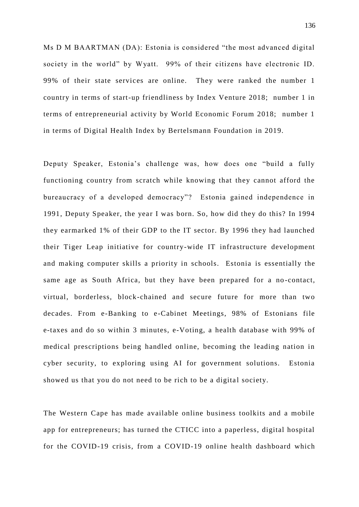Ms D M BAARTMAN (DA): Estonia is considered "the most advanced digital society in the world" by Wyatt. 99% of their citizens have electronic ID. 99% of their state services are online. They were ranked the number 1 country in terms of start-up friendliness by Index Venture 2018; number 1 in terms of entrepreneurial activity by World Economic Forum 2018; number 1 in terms of Digital Health Index by Bertelsmann Foundation in 2019.

Deputy Speaker, Estonia's challenge was, how does one "build a fully functioning country from scratch while knowing that they cannot afford the bureaucracy of a developed democracy"? Estonia gained independence in 1991, Deputy Speaker, the year I was born. So, how did they do this? In 1994 they earmarked 1% of their GDP to the IT sector. By 1996 they had launched their Tiger Leap initiative for country-wide IT infrastructure development and making computer skills a priority in schools. Estonia is essentially the same age as South Africa, but they have been prepared for a no -contact, virtual, borderless, block-chained and secure future for more than two decades. From e-Banking to e-Cabinet Meetings, 98% of Estonians file e-taxes and do so within 3 minutes, e-Voting, a health database with 99% of medical prescriptions being handled online, becoming the leading nation in cyber security, to exploring using AI for government solutions. Estonia showed us that you do not need to be rich to be a digital society.

The Western Cape has made available online business toolkits and a mobile app for entrepreneurs; has turned the CTICC into a paperless, digital hospital for the COVID-19 crisis, from a COVID-19 online health dashboard which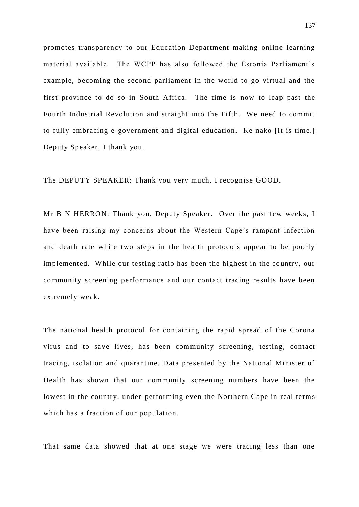promotes transparency to our Education Department making online learning material available. The WCPP has also followed the Estonia Parliament's example, becoming the second parliament in the world to go virtual and the first province to do so in South Africa. The time is now to leap past the Fourth Industrial Revolution and straight into the Fifth. We need to commit to fully embracing e-government and digital education. Ke nako **[**it is time.**]** Deputy Speaker, I thank you.

The DEPUTY SPEAKER: Thank you very much. I recognise GOOD.

Mr B N HERRON: Thank you, Deputy Speaker. Over the past few weeks, I have been raising my concerns about the Western Cape's rampant infection and death rate while two steps in the health protocols appear to be poorly implemented. While our testing ratio has been the highest in the country, our community screening performance and our contact tracing results have been extremely weak.

The national health protocol for containing the rapid spread of the Corona virus and to save lives, has been community screening, testing, contact tracing, isolation and quarantine. Data presented by the National Minister of Health has shown that our community screening numbers have been the lowest in the country, under-performing even the Northern Cape in real terms which has a fraction of our population.

That same data showed that at one stage we were tracing less than one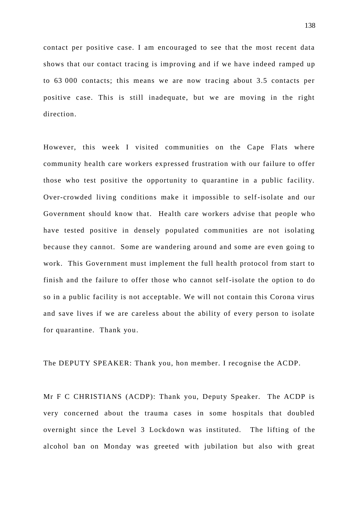contact per positive case. I am encouraged to see that the most recent data shows that our contact tracing is improving and if we have indeed ramped up to 63 000 contacts; this means we are now tracing about 3.5 contacts per positive case. This is still inadequate, but we are moving in the right direction.

However, this week I visited communities on the Cape Flats where community health care workers expressed frustration with our failure to offer those who test positive the opportunity to quarantine in a public facility. Over-crowded living conditions make it impossible to self-isolate and our Government should know that. Health care workers advise that people who have tested positive in densely populated communities are not isolating because they cannot. Some are wandering around and some are even going to work. This Government must implement the full health protocol from start to finish and the failure to offer those who cannot self-isolate the option to do so in a public facility is not acceptable. We will not contain this Corona virus and save lives if we are careless about the ability of every person to isolate for quarantine. Thank you.

The DEPUTY SPEAKER: Thank you, hon member. I recognise the ACDP.

Mr F C CHRISTIANS (ACDP): Thank you, Deputy Speaker. The ACDP is very concerned about the trauma cases in some hospitals that doubled overnight since the Level 3 Lockdown was instituted. The lifting of the alcohol ban on Monday was greeted with jubilation but also with great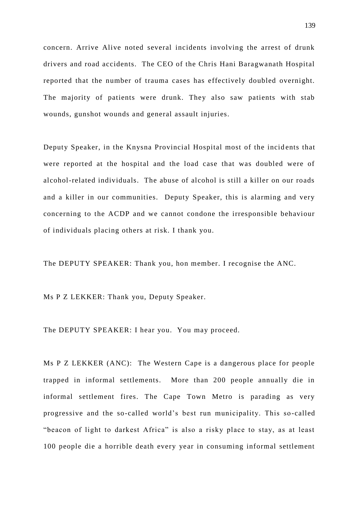concern. Arrive Alive noted several incidents involving the arrest of drunk drivers and road accidents. The CEO of the Chris Hani Baragwanath Hospital reported that the number of trauma cases has effectively doubled overnight. The majority of patients were drunk. They also saw patients with stab wounds, gunshot wounds and general assault injuries.

Deputy Speaker, in the Knysna Provincial Hospital most of the incidents that were reported at the hospital and the load case that was doubled were of alcohol-related individuals. The abuse of alcohol is still a killer on our roads and a killer in our communities. Deputy Speaker, this is alarming and very concerning to the ACDP and we cannot condone the irresponsible behaviour of individuals placing others at risk. I thank you.

The DEPUTY SPEAKER: Thank you, hon member. I recognise the ANC.

Ms P Z LEKKER: Thank you, Deputy Speaker.

The DEPUTY SPEAKER: I hear you. You may proceed.

Ms P Z LEKKER (ANC): The Western Cape is a dangerous place for people trapped in informal settlements. More than 200 people annually die in informal settlement fires. The Cape Town Metro is parading as very progressive and the so-called world's best run municipality. This so-called "beacon of light to darkest Africa" is also a risky place to stay, as at least 100 people die a horrible death every year in consuming informal settlement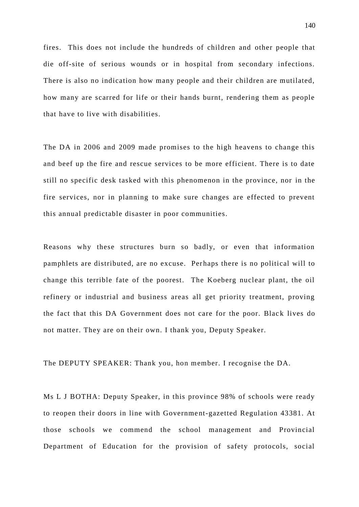fires. This does not include the hundreds of children and other people that die off-site of serious wounds or in hospital from secondary infections. There is also no indication how many people and their children are mutilated, how many are scarred for life or their hands burnt, rendering them as people that have to live with disabilities.

The DA in 2006 and 2009 made promises to the high heavens to change this and beef up the fire and rescue services to be more efficient. There is to date still no specific desk tasked with this phenomenon in the province, nor in the fire services, nor in planning to make sure changes are effected to prevent this annual predictable disaster in poor communities.

Reasons why these structures burn so badly, or even that information pamphlets are distributed, are no excuse. Perhaps there is no political will to change this terrible fate of the poorest. The Koeberg nuclear plant, the oil refinery or industrial and business areas all get priority treatment, proving the fact that this DA Government does not care for the poor. Black lives do not matter. They are on their own. I thank you, Deputy Speaker.

The DEPUTY SPEAKER: Thank you, hon member. I recognise the DA.

Ms L J BOTHA: Deputy Speaker, in this province 98% of schools were ready to reopen their doors in line with Government-gazetted Regulation 43381. At those schools we commend the school management and Provincial Department of Education for the provision of safety protocols, social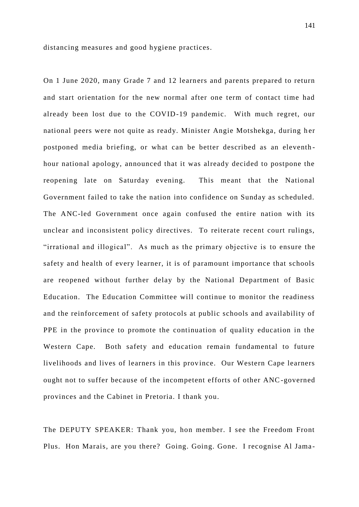distancing measures and good hygiene practices.

On 1 June 2020, many Grade 7 and 12 learners and parents prepared to return and start orientation for the new normal after one term of contact time had already been lost due to the COVID-19 pandemic. With much regret, our national peers were not quite as ready. Minister Angie Motshekga, during her postponed media briefing, or what can be better described as an eleventh hour national apology, announced that it was already decided to postpone the reopening late on Saturday evening. This meant that the National Government failed to take the nation into confidence on Sunday as scheduled. The ANC-led Government once again confused the entire nation with its unclear and inconsistent policy directives. To reiterate recent court rulings, "irrational and illogical". As much as the primary objective is to ensure the safety and health of every learner, it is of paramount importance that schools are reopened without further delay by the National Department of Basic Education. The Education Committee will continue to monitor the readiness and the reinforcement of safety protocols at public schools and availability of PPE in the province to promote the continuation of quality education in the Western Cape. Both safety and education remain fundamental to future livelihoods and lives of learners in this province. Our Western Cape learners ought not to suffer because of the incompetent efforts of other ANC-governed provinces and the Cabinet in Pretoria. I thank you.

The DEPUTY SPEAKER: Thank you, hon member. I see the Freedom Front Plus. Hon Marais, are you there? Going. Going. Gone. I recognise Al Jama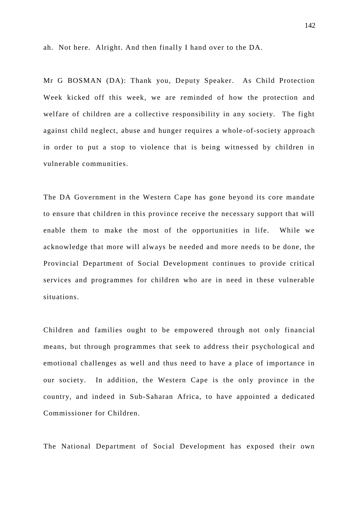ah. Not here. Alright. And then finally I hand over to the DA.

Mr G BOSMAN (DA): Thank you, Deputy Speaker. As Child Protection Week kicked off this week, we are reminded of how the protection and welfare of children are a collective responsibility in any society. The fight against child neglect, abuse and hunger requires a whole -of-society approach in order to put a stop to violence that is being witnessed by children in vulnerable communities.

The DA Government in the Western Cape has gone beyond its core mandate to ensure that children in this province receive the necessary support that will enable them to make the most of the opportunities in life. While we acknowledge that more will always be n eeded and more needs to be done, the Provincial Department of Social Development continues to provide critical services and programmes for children who are in need in these vulnerable situations.

Children and families ought to be empowered through not only financial means, but through programmes that seek to address their psychological and emotional challenges as well and thus need to have a place of importance in our society. In addition, the Western Cape is the only province in the country, and indeed in Sub-Saharan Africa, to have appointed a dedicated Commissioner for Children.

The National Department of Social Development has exposed their own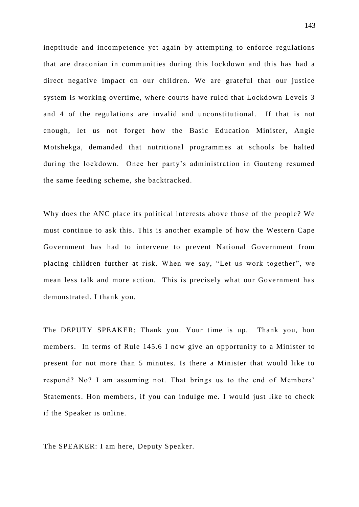ineptitude and incompetence yet again by attempting to enforce regulations that are draconian in communities during this lockdown and this has had a direct negative impact on our children. We are grateful that our justice system is working overtime, where courts have ruled that Lockdown Levels 3 and 4 of the regulations are invalid and unconstitutional. If that is not enough, let us not forget how the Basic Education Minister, Angie Motshekga, demanded that nutritional programmes at schools be halted during the lockdown. Once her party's administration in Gauteng resumed the same feeding scheme, she backtracked.

Why does the ANC place its political interests above those of the people? We must continue to ask this. This is another example of how the Western Cape Government has had to intervene to prevent National Government from placing children further at risk. When we say, "Let us work together", we mean less talk and more action. This is precisely what our Government has demonstrated. I thank you.

The DEPUTY SPEAKER: Thank you. Your time is up. Thank you, hon members. In terms of Rule 145.6 I now give an opportunity to a Minister to present for not more than 5 minutes. Is there a Minister that would like to respond? No? I am assuming not. That brings us to the end of Members' Statements. Hon members, if you can indulge me. I would just like to check if the Speaker is online.

The SPEAKER: I am here, Deputy Speaker.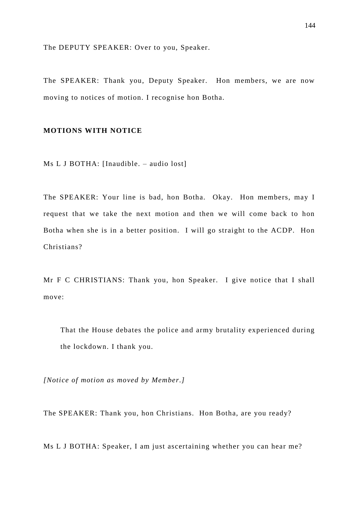The DEPUTY SPEAKER: Over to you, Speaker.

The SPEAKER: Thank you, Deputy Speaker. Hon members, we are now moving to notices of motion. I recognise hon Botha.

# **MOTIONS WITH NOTICE**

Ms L J BOTHA: [Inaudible. – audio lost]

The SPEAKER: Your line is bad, hon Botha. Okay. Hon members, may I request that we take the next motion and then we will come back to hon Botha when she is in a better position. I will go straight to the ACDP. Hon Christians?

Mr F C CHRISTIANS: Thank you, hon Speaker. I give notice that I shall move:

That the House debates the police and army brutality experienced during the lockdown. I thank you.

*[Notice of motion as moved by Member.]*

The SPEAKER: Thank you, hon Christians. Hon Botha, are you ready?

Ms L J BOTHA: Speaker, I am just ascertaining whether you can hear me?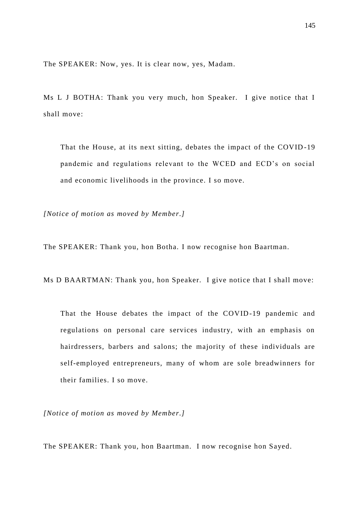The SPEAKER: Now, yes. It is clear now, yes, Madam.

Ms L J BOTHA: Thank you very much, hon Speaker. I give notice that I shall move:

That the House, at its next sitting, debates the impact of the COVID -19 pandemic and regulations relevant to the WCED and ECD's on social and economic livelihoods in the province. I so move.

*[Notice of motion as moved by Member.]*

The SPEAKER: Thank you, hon Botha. I now recognise hon Baartman.

Ms D BAARTMAN: Thank you, hon Speaker. I give notice that I shall move:

That the House debates the impact of the COVID-19 pandemic and regulations on personal care services industry, with an emphasis on hairdressers, barbers and salons; the majority of these individuals are self-employed entrepreneurs, many of whom are sole breadwinners for their families. I so move.

*[Notice of motion as moved by Member.]*

The SPEAKER: Thank you, hon Baartman. I now recognise hon Sayed.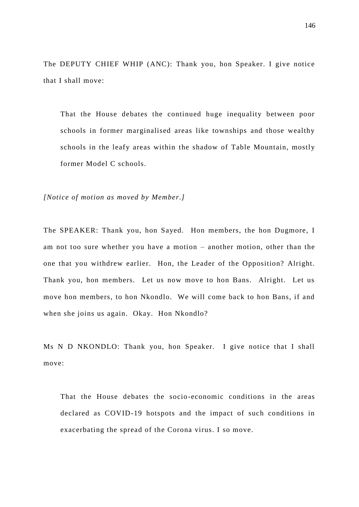The DEPUTY CHIEF WHIP (ANC): Thank you, hon Speaker. I give notice that I shall move:

That the House debates the continued huge inequality between poor schools in former marginalised areas like townships and those wealthy schools in the leafy areas within the shadow of Table Mountain, mostly former Model C schools.

*[Notice of motion as moved by Member.]*

The SPEAKER: Thank you, hon Sayed. Hon members, the hon Dugmore, I am not too sure whether you have a motion – another motion, other than the one that you withdrew earlier. Hon, the Leader of the Opposition? Alright. Thank you, hon members. Let us now move to hon Bans. Alright. Let us move hon members, to hon Nkondlo. We will come back to hon Bans, if and when she joins us again. Okay. Hon Nkondlo?

Ms N D NKONDLO: Thank you, hon Speaker. I give notice that I shall move:

That the House debates the socio-economic conditions in the areas declared as COVID-19 hotspots and the impact of such conditions in exacerbating the spread of the Corona virus. I so move.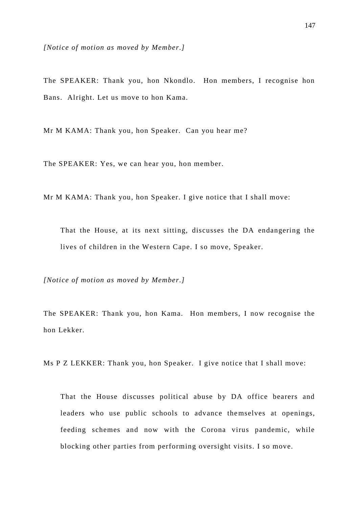*[Notice of motion as moved by Member.]*

The SPEAKER: Thank you, hon Nkondlo. Hon members, I recognise hon Bans. Alright. Let us move to hon Kama.

Mr M KAMA: Thank you, hon Speaker. Can you hear me?

The SPEAKER: Yes, we can hear you, hon member.

Mr M KAMA: Thank you, hon Speaker. I give notice that I shall move:

That the House, at its next sitting, discusses the DA endangering the lives of children in the Western Cape. I so move, Speaker.

*[Notice of motion as moved by Member.]*

The SPEAKER: Thank you, hon Kama. Hon members, I now recognise the hon Lekker.

Ms P Z LEKKER: Thank you, hon Speaker. I give notice that I shall move:

That the House discusses political abuse by DA office bearers and leaders who use public schools to advance themselves at openings, feeding schemes and now with the Corona virus pandemic, while blocking other parties from performing oversight visits. I so move.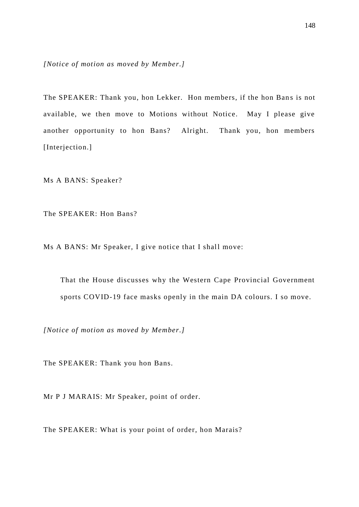*[Notice of motion as moved by Member.]*

The SPEAKER: Thank you, hon Lekker. Hon members, if the hon Bans is not available, we then move to Motions without Notice. May I please give another opportunity to hon Bans? Alright. Thank you, hon members [Interjection.]

Ms A BANS: Speaker?

The SPEAKER: Hon Bans?

Ms A BANS: Mr Speaker, I give notice that I shall move:

That the House discusses why the Western Cape Provincial Government sports COVID-19 face masks openly in the main DA colours. I so move.

*[Notice of motion as moved by Member.]*

The SPEAKER: Thank you hon Bans.

Mr P J MARAIS: Mr Speaker, point of order.

The SPEAKER: What is your point of order, hon Marais?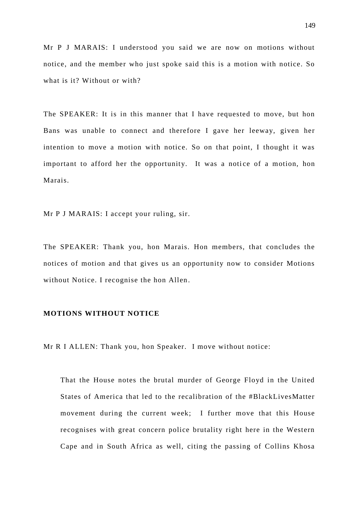Mr P J MARAIS: I understood you said we are now on motions without notice, and the member who just spoke said this is a motion with notice. So what is it? Without or with?

The SPEAKER: It is in this manner that I have requested to move, but hon Bans was unable to connect and therefore I gave her leeway, given her intention to move a motion with notice. So on that point, I thought it was important to afford her the opportunity. It was a notice of a motion, hon Marais.

Mr P J MARAIS: I accept your ruling, sir.

The SPEAKER: Thank you, hon Marais. Hon members, that concludes the notices of motion and that gives us an opportunity now to consider Motions without Notice. I recognise the hon Allen.

## **MOTIONS WITHOUT NOTICE**

Mr R I ALLEN: Thank you, hon Speaker. I move without notice:

That the House notes the brutal murder of George Floyd in the United States of America that led to the recalibration of the #BlackLivesMatter movement during the current week; I further move that this House recognises with great concern police brutality right here in the Western Cape and in South Africa as well, citing the passing of Collins Khosa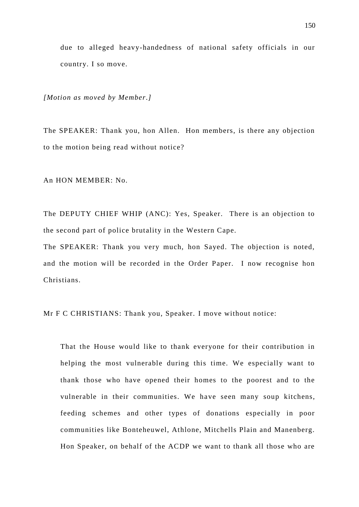due to alleged heavy-handedness of national safety officials in our country. I so move.

*[Motion as moved by Member.]*

The SPEAKER: Thank you, hon Allen. Hon members, is there any objection to the motion being read without notice?

An HON MEMBER: No.

The DEPUTY CHIEF WHIP (ANC): Yes, Speaker. There is an objection to the second part of police brutality in the Western Cape.

The SPEAKER: Thank you very much, hon Sayed. The objection is noted, and the motion will be recorded in the Order Paper. I now recognise hon Christians.

Mr F C CHRISTIANS: Thank you, Speaker. I move without notice:

That the House would like to thank everyone for their contribution in helping the most vulnerable during this time. We especially want to thank those who have opened their homes to the poorest and to the vulnerable in their communities. We have seen many soup kitchens, feeding schemes and other types of donations especially in poor communities like Bonteheuwel, Athlone, Mitchells Plain and Manenberg. Hon Speaker, on behalf of the ACDP we want to thank all those who are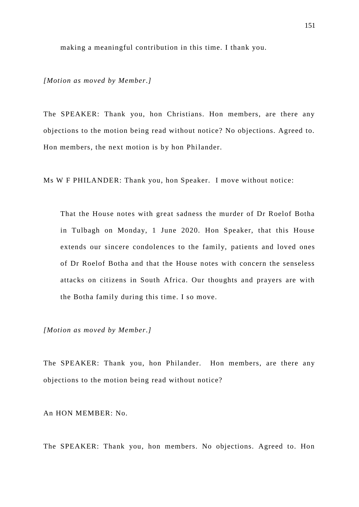making a meaningful contribution in this time. I thank you.

*[Motion as moved by Member.]*

The SPEAKER: Thank you, hon Christians. Hon members, are there any objections to the motion being read without notice? No objections. Agreed to. Hon members, the next motion is by hon Philander.

Ms W F PHILANDER: Thank you, hon Speaker. I move without notice:

That the House notes with great sadness the murder of Dr Roelof Botha in Tulbagh on Monday, 1 June 2020. Hon Speaker, that this House extends our sincere condolences to the family, patients and loved ones of Dr Roelof Botha and that the House notes with concern the senseless attacks on citizens in South Africa. Our thoughts and prayers are with the Botha family during this time. I so move.

*[Motion as moved by Member.]*

The SPEAKER: Thank you, hon Philander. Hon members, are there any objections to the motion being read without notice?

An HON MEMBER: No.

The SPEAKER: Thank you, hon members. No objections. Agreed to. Hon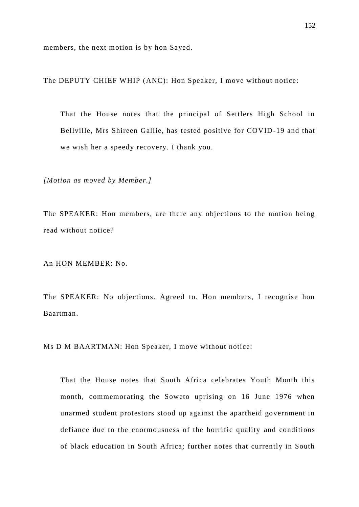members, the next motion is by hon Sayed.

The DEPUTY CHIEF WHIP (ANC): Hon Speaker, I move without notice:

That the House notes that the principal of Settlers High School in Bellville, Mrs Shireen Gallie, has tested positive for COVID -19 and that we wish her a speedy recovery. I thank you.

*[Motion as moved by Member.]*

The SPEAKER: Hon members, are there any objections to the motion being read without notice?

An HON MEMBER: No.

The SPEAKER: No objections. Agreed to. Hon members, I recognise hon Baartman.

Ms D M BAARTMAN: Hon Speaker, I move without notice:

That the House notes that South Africa celebrates Youth Month this month, commemorating the Soweto uprising on 16 June 1976 when unarmed student protestors stood up against the apartheid government in defiance due to the enormousness of the horrific quality and conditions of black education in South Africa; further notes that currently in South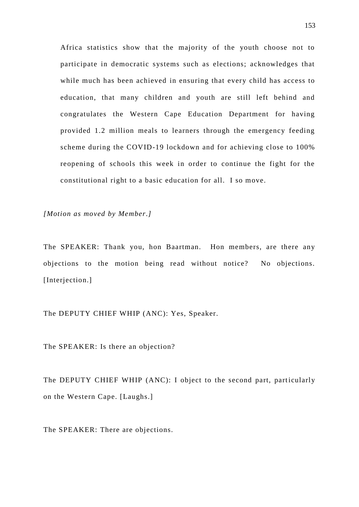Africa statistics show that the majority of the youth choose not to participate in democratic systems such as elections; acknowledges that while much has been achieved in ensuring that every child has access to education, that many children and youth are still left behind and congratulates the Western Cape Education Department for having provided 1.2 million meals to learners through the emergency feeding scheme during the COVID-19 lockdown and for achieving close to 100% reopening of schools this week in order to continue the fight for the constitutional right to a basic education for all. I so move.

*[Motion as moved by Member.]*

The SPEAKER: Thank you, hon Baartman. Hon members, are there any objections to the motion being read without notice? No objections. [Interjection.]

The DEPUTY CHIEF WHIP (ANC): Yes, Speaker.

The SPEAKER: Is there an objection?

The DEPUTY CHIEF WHIP (ANC): I object to the second part, particularly on the Western Cape. [Laughs.]

The SPEAKER: There are objections.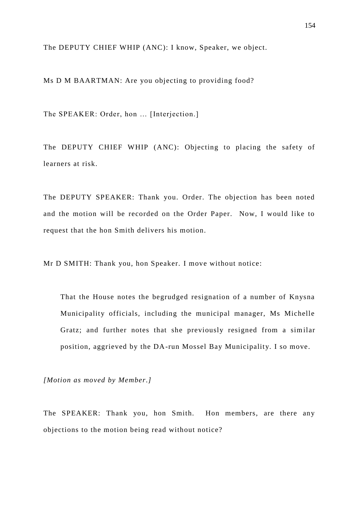The DEPUTY CHIEF WHIP (ANC): I know, Speaker, we object.

Ms D M BAARTMAN: Are you objecting to providing food?

The SPEAKER: Order, hon ... [Interjection.]

The DEPUTY CHIEF WHIP (ANC): Objecting to placing the safety of learners at risk.

The DEPUTY SPEAKER: Thank you. Order. The objection has been noted and the motion will be recorded on the Order Paper. Now, I would like to request that the hon Smith delivers his motion.

Mr D SMITH: Thank you, hon Speaker. I move without notice:

That the House notes the begrudged resignation of a number of Knysna Municipality officials, including the municipal manager, Ms Michelle Gratz; and further notes that she previously resigned from a similar position, aggrieved by the DA-run Mossel Bay Municipality. I so move.

*[Motion as moved by Member.]*

The SPEAKER: Thank you, hon Smith. Hon members, are there any objections to the motion being read without notice?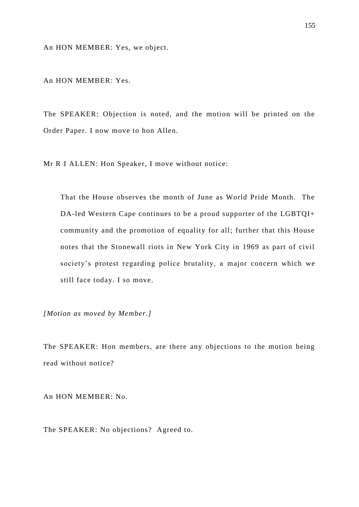An HON MEMBER: Yes, we object.

An HON MEMBER: Yes.

The SPEAKER: Objection is noted, and the motion will be printed on the Order Paper. I now move to hon Allen.

Mr R I ALLEN: Hon Speaker, I move without notice:

That the House observes the month of June as World Pride Month. The DA-led Western Cape continues to be a proud supporter of the LGBTQI+ community and the promotion of equality for all; further that this House notes that the Stonewall riots in New York City in 1969 as part of civil society's protest regarding police brutality, a major concern which we still face today. I so move.

*[Motion as moved by Member.]*

The SPEAKER: Hon members, are there any objections to the motion being read without notice?

An HON MEMBER: No.

The SPEAKER: No objections? Agreed to.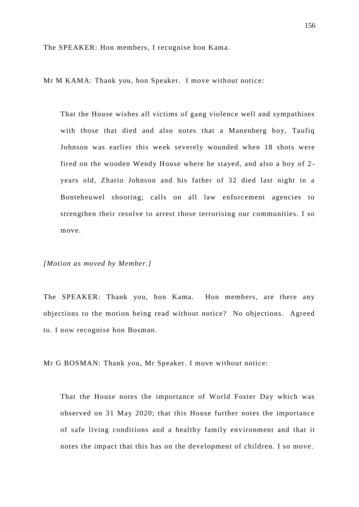The SPEAKER: Hon members, I recognise hon Kama.

Mr M KAMA: Thank you, hon Speaker. I move without notice:

That the House wishes all victims of gang violence well and sympathises with those that died and also notes that a Manenberg boy, Taufiq Johnson was earlier this week severely wounded when 18 shots were fired on the wooden Wendy House where he stayed, and also a boy of 2 years old, Zhario Johnson and his father of 32 died last night in a Bonteheuwel shooting; calls on all law enforcement agencies to strengthen their resolve to arrest those terrorising our communities. I so move.

## *[Motion as moved by Member.]*

The SPEAKER: Thank you, hon Kama. Hon members, are there any objections to the motion being read without notice? No objections. Agreed to. I now recognise hon Bosman.

Mr G BOSMAN: Thank you, Mr Speaker. I move without notice:

That the House notes the importance of World Foster Day which was observed on 31 May 2020; that this House further notes the importance of safe living conditions and a healthy family env ironment and that it notes the impact that this has on the development of children. I so move.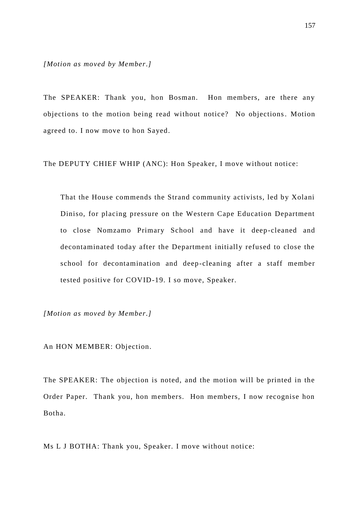The SPEAKER: Thank you, hon Bosman. Hon members, are there any objections to the motion being read without notice? No objections. Motion agreed to. I now move to hon Sayed.

The DEPUTY CHIEF WHIP (ANC): Hon Speaker, I move without notice:

That the House commends the Strand community activists, led by Xolani Diniso, for placing pressure on the Western Cape Education Department to close Nomzamo Primary School and have it deep -cleaned and decontaminated today after the Department initially refused to close the school for decontamination and deep-cleaning after a staff member tested positive for COVID-19. I so move, Speaker.

*[Motion as moved by Member.]*

An HON MEMBER: Objection.

The SPEAKER: The objection is noted, and the motion will be printed in the Order Paper. Thank you, hon members. Hon members, I now recognise hon Botha.

Ms L J BOTHA: Thank you, Speaker. I move without notice: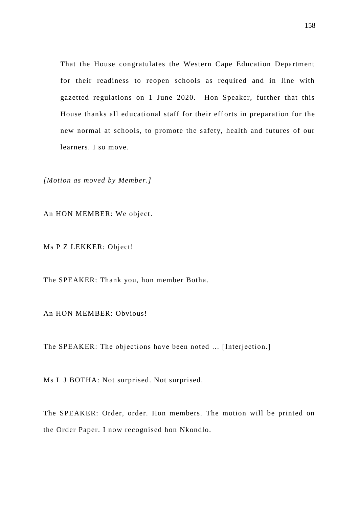That the House congratulates the Western Cape Education Department for their readiness to reopen schools as required and in line with gazetted regulations on 1 June 2020. Hon Speaker, further that this House thanks all educational staff for their efforts in preparation for the new normal at schools, to promote the safety, health and futures of our learners. I so move.

*[Motion as moved by Member.]*

An HON MEMBER: We object.

Ms P Z LEKKER: Object!

The SPEAKER: Thank you, hon member Botha.

An HON MEMBER: Obvious!

The SPEAKER: The objections have been noted … [Interjection.]

Ms L J BOTHA: Not surprised. Not surprised.

The SPEAKER: Order, order. Hon members. The motion will be printed on the Order Paper. I now recognised hon Nkondlo.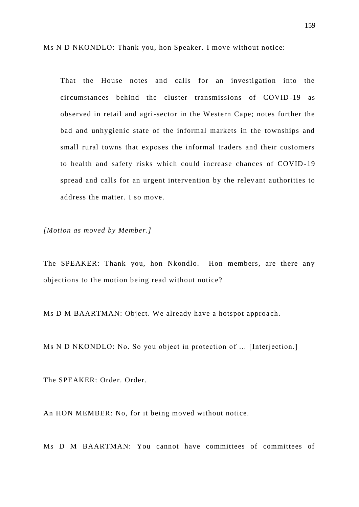Ms N D NKONDLO: Thank you, hon Speaker. I move without notice:

That the House notes and calls for an investigation into the circumstances behind the cluster transmissions of COVID -19 as observed in retail and agri-sector in the Western Cape; notes further the bad and unhygienic state of the informal markets in the townships and small rural towns that exposes the informal traders and their customers to health and safety risks which could increase chances of COVID -19 spread and calls for an urgent intervention by the relev ant authorities to address the matter. I so move.

*[Motion as moved by Member.]*

The SPEAKER: Thank you, hon Nkondlo. Hon members, are there any objections to the motion being read without notice?

Ms D M BAARTMAN: Object. We already have a hotspot approach.

Ms N D NKONDLO: No. So you object in protection of … [Interjection.]

The SPEAKER: Order. Order.

An HON MEMBER: No, for it being moved without notice.

Ms D M BAARTMAN: You cannot have committees of committees of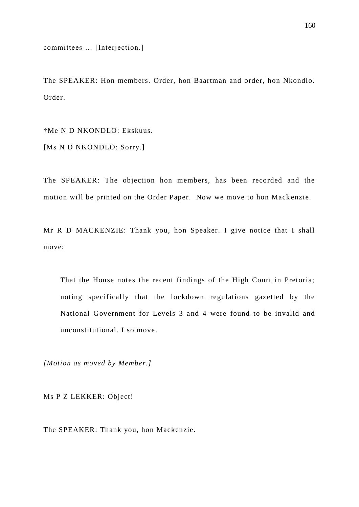committees … [Interjection.]

The SPEAKER: Hon members. Order, hon Baartman and order, hon Nkondlo. Order.

†Me N D NKONDLO: Ekskuus. **[**Ms N D NKONDLO: Sorry.**]**

The SPEAKER: The objection hon members, has been recorded and the motion will be printed on the Order Paper. Now we move to hon Mack enzie.

Mr R D MACKENZIE: Thank you, hon Speaker. I give notice that I shall move:

That the House notes the recent findings of the High Court in Pretoria; noting specifically that the lockdown regulations gazetted by the National Government for Levels 3 and 4 were found to be invalid and unconstitutional. I so move.

*[Motion as moved by Member.]*

Ms P Z LEKKER: Object!

The SPEAKER: Thank you, hon Mackenzie.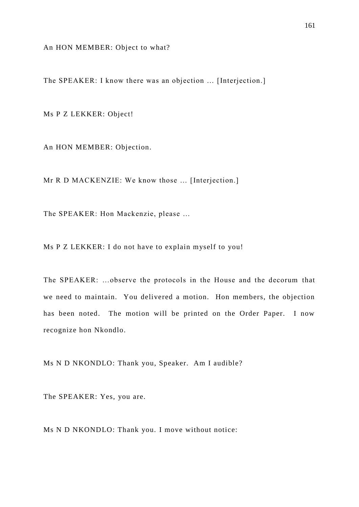An HON MEMBER: Object to what?

The SPEAKER: I know there was an objection … [Interjection.]

Ms P Z LEKKER: Object!

An HON MEMBER: Objection.

Mr R D MACKENZIE: We know those … [Interjection.]

The SPEAKER: Hon Mackenzie, please …

Ms P Z LEKKER: I do not have to explain myself to you!

The SPEAKER: …observe the protocols in the House and the decorum that we need to maintain. You delivered a motion. Hon members, the objection has been noted. The motion will be printed on the Order Paper. I now recognize hon Nkondlo.

Ms N D NKONDLO: Thank you, Speaker. Am I audible?

The SPEAKER: Yes, you are.

Ms N D NKONDLO: Thank you. I move without notice: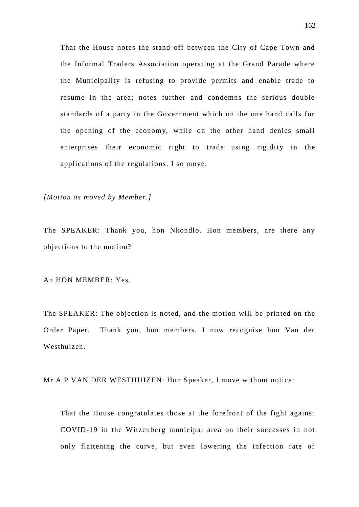That the House notes the stand-off between the City of Cape Town and the Informal Traders Association operating at the Grand Parade where the Municipality is refusing to provide permits and enable trade to resume in the area; notes further and condemns the serious double standards of a party in the Government which on the one hand calls for the opening of the economy, while on the other hand denies small enterprises their economic right to trade using rigidity in the applications of the regulations. I so move.

*[Motion as moved by Member.]*

The SPEAKER: Thank you, hon Nkondlo. Hon members, are there any objections to the motion?

An HON MEMBER: Yes.

The SPEAKER: The objection is noted, and the motion will be printed on the Order Paper. Thank you, hon members. I now recognise hon Van der Westhuizen.

Mr A P VAN DER WESTHUIZEN: Hon Speaker, I move without notice:

That the House congratulates those at the forefront of the fight against COVID-19 in the Witzenberg municipal area on their successes in not only flattening the curve, but even lowering the infection rate of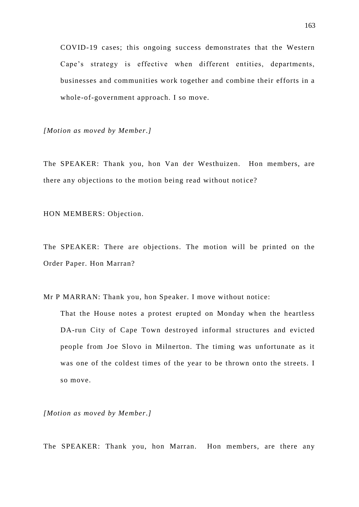COVID-19 cases; this ongoing success demonstrates that the Western Cape's strategy is effective when different entities, departments, businesses and communities work together and combine their efforts in a whole-of-government approach. I so move.

*[Motion as moved by Member.]*

The SPEAKER: Thank you, hon Van der Westhuizen. Hon members, are there any objections to the motion being read without notice?

HON MEMBERS: Objection.

The SPEAKER: There are objections. The motion will be printed on the Order Paper. Hon Marran?

Mr P MARRAN: Thank you, hon Speaker. I move without notice:

That the House notes a protest erupted on Monday when the heartless DA-run City of Cape Town destroyed informal structures and evicted people from Joe Slovo in Milnerton. The timing was unfortunate as it was one of the coldest times of the year to be thrown onto the streets. I so move.

*[Motion as moved by Member.]*

The SPEAKER: Thank you, hon Marran. Hon members, are there any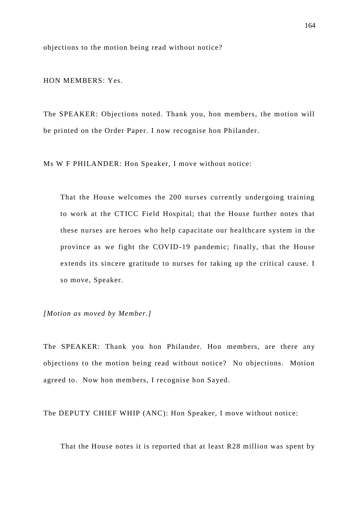objections to the motion being read without notice?

HON MEMBERS: Yes.

The SPEAKER: Objections noted. Thank you, hon members, the motion will be printed on the Order Paper. I now recognise hon Philander.

Ms W F PHILANDER: Hon Speaker, I move without notice:

That the House welcomes the 200 nurses currently undergoing training to work at the CTICC Field Hospital; that the House further notes that these nurses are heroes who help capacitate our healthcare system in the province as we fight the COVID-19 pandemic; finally, that the House extends its sincere gratitude to nurses for taking up the critical cause. I so move, Speaker.

*[Motion as moved by Member.]*

The SPEAKER: Thank you hon Philander. Hon members, are there any objections to the motion being read without notice? No objections. Motion agreed to. Now hon members, I recognise hon Sayed.

The DEPUTY CHIEF WHIP (ANC): Hon Speaker, I move without notice:

That the House notes it is reported that at least R28 million was spent by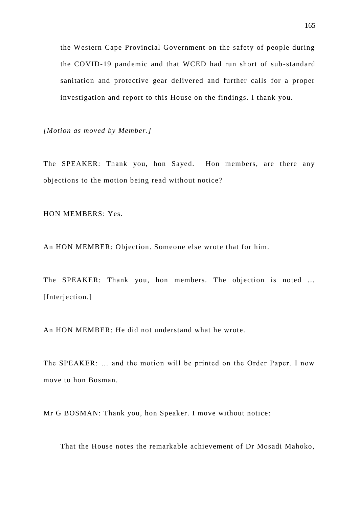the Western Cape Provincial Government on the safety of people during the COVID-19 pandemic and that WCED had run short of sub -standard sanitation and protective gear delivered and further calls for a proper investigation and report to this House on the findings. I thank you.

*[Motion as moved by Member.]*

The SPEAKER: Thank you, hon Sayed. Hon members, are there any objections to the motion being read without notice?

HON MEMBERS: Yes.

An HON MEMBER: Objection. Someone else wrote that for him.

The SPEAKER: Thank you, hon members. The objection is noted ... [Interjection.]

An HON MEMBER: He did not understand what he wrote.

The SPEAKER: … and the motion will be printed on the Order Paper. I now move to hon Bosman.

Mr G BOSMAN: Thank you, hon Speaker. I move without notice:

That the House notes the remarkable achievement of Dr Mosadi Mahoko,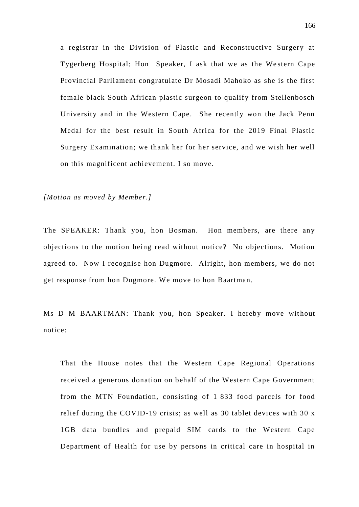a registrar in the Division of Plastic and Reconstructive Surgery at Tygerberg Hospital; Hon Speaker, I ask that we as the Western Cape Provincial Parliament congratulate Dr Mosadi Mahoko as she is the first female black South African plastic surgeon to qualify from Stellenbosch University and in the Western Cape. She recently won the Jack Penn Medal for the best result in South Africa for the 2019 Final Plastic Surgery Examination; we thank her for her service, and we wish her well on this magnificent achievement. I so move.

*[Motion as moved by Member.]*

The SPEAKER: Thank you, hon Bosman. Hon members, are there any objections to the motion being read without notice? No objections. Motion agreed to. Now I recognise hon Dugmore. Alright, hon members, we do not get response from hon Dugmore. We move to hon Baartman.

Ms D M BAARTMAN: Thank you, hon Speaker. I hereby move without notice:

That the House notes that the Western Cape Regional Operations received a generous donation on behalf of the Western Cape Government from the MTN Foundation, consisting of 1 833 food parcels for food relief during the COVID-19 crisis; as well as 30 tablet devices with 30 x 1GB data bundles and prepaid SIM cards to the Western Cape Department of Health for use by persons in critical care in hospital in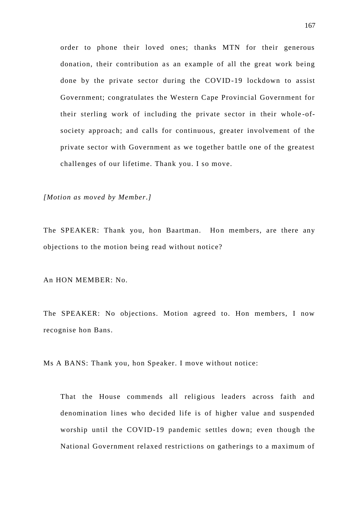order to phone their loved ones; thanks MTN for their generous donation, their contribution as an example of all the great work being done by the private sector during the COVID-19 lockdown to assist Government; congratulates the Western Cape Provincial Government for their sterling work of including the private sector in their whole -ofsociety approach; and calls for continuous, greater involvement of the private sector with Government as we together battle one of the greatest challenges of our lifetime. Thank you. I so move.

*[Motion as moved by Member.]*

The SPEAKER: Thank you, hon Baartman. Hon members, are there any objections to the motion being read without notice?

An HON MEMBER: No.

The SPEAKER: No objections. Motion agreed to. Hon members, I now recognise hon Bans.

Ms A BANS: Thank you, hon Speaker. I move without notice:

That the House commends all religious leaders across faith and denomination lines who decided life is of higher value and suspended worship until the COVID-19 pandemic settles down; even though the National Government relaxed restrictions on gatherings to a maximum of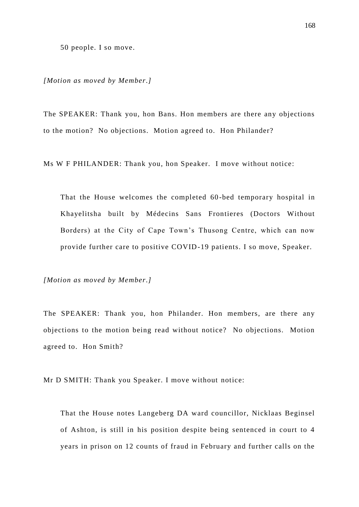50 people. I so move.

*[Motion as moved by Member.]*

The SPEAKER: Thank you, hon Bans. Hon members are there any objections to the motion? No objections. Motion agreed to. Hon Philander?

Ms W F PHILANDER: Thank you, hon Speaker. I move without notice:

That the House welcomes the completed 60 -bed temporary hospital in Khayelitsha built by Médecins Sans Frontieres (Doctors Without Borders) at the City of Cape Town's Thusong Centre, which can now provide further care to positive COVID-19 patients. I so move, Speaker.

*[Motion as moved by Member.]*

The SPEAKER: Thank you, hon Philander. Hon members, are there any objections to the motion being read without notice? No objections. Motion agreed to. Hon Smith?

Mr D SMITH: Thank you Speaker. I move without notice:

That the House notes Langeberg DA ward councillor, Nicklaas Beginsel of Ashton, is still in his position despite being sentenced in court to 4 years in prison on 12 counts of fraud in February and further calls on the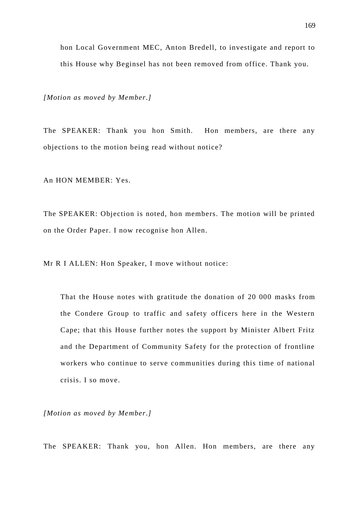this House why Beginsel has not been removed from office. Thank you.

hon Local Government MEC, Anton Bredell, to investigate and report to

*[Motion as moved by Member.]*

The SPEAKER: Thank you hon Smith. Hon members, are there any objections to the motion being read without notice?

An HON MEMBER: Yes.

The SPEAKER: Objection is noted, hon members. The motion will be printed on the Order Paper. I now recognise hon Allen.

Mr R I ALLEN: Hon Speaker, I move without notice:

That the House notes with gratitude the donation of 20 000 masks from the Condere Group to traffic and safety officers here in the Western Cape; that this House further notes the support by Minister Albert Fritz and the Department of Community Safety for the protection of frontline workers who continue to serve communities during this time of national crisis. I so move.

*[Motion as moved by Member.]*

The SPEAKER: Thank you, hon Allen. Hon members, are there any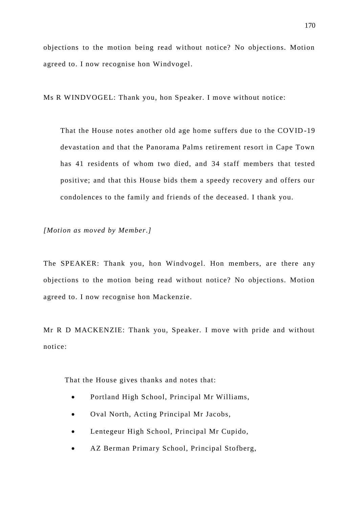objections to the motion being read without notice? No objections. Motion agreed to. I now recognise hon Windvogel.

Ms R WINDVOGEL: Thank you, hon Speaker. I move without notice:

That the House notes another old age home suffers due to the COVID -19 devastation and that the Panorama Palms retirement resort in Cape Town has 41 residents of whom two died, and 34 staff members that tested positive; and that this House bids them a speedy recovery and offers our condolences to the family and friends of the deceased. I thank you.

*[Motion as moved by Member.]*

The SPEAKER: Thank you, hon Windvogel. Hon members, are there any objections to the motion being read without notice? No objections. Motion agreed to. I now recognise hon Mackenzie.

Mr R D MACKENZIE: Thank you, Speaker. I move with pride and without notice:

That the House gives thanks and notes that:

- Portland High School, Principal Mr Williams,
- Oval North, Acting Principal Mr Jacobs,
- Lentegeur High School, Principal Mr Cupido,
- AZ Berman Primary School, Principal Stofberg,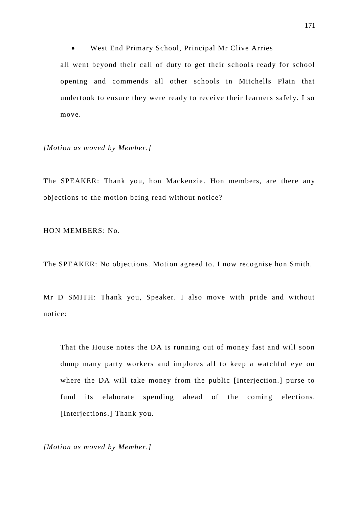West End Primary School, Principal Mr Clive Arries

all went beyond their call of duty to get their schools ready for school opening and commends all other schools in Mitchells Plain that undertook to ensure they were ready to receive their learners safely. I so move.

*[Motion as moved by Member.]*

The SPEAKER: Thank you, hon Mackenzie . Hon members, are there any objections to the motion being read without notice?

HON MEMBERS: No.

The SPEAKER: No objections. Motion agreed to. I now recognise hon Smith.

Mr D SMITH: Thank you, Speaker. I also move with pride and without notice:

That the House notes the DA is running out of money fast and will soon dump many party workers and implores all to keep a watchful eye on where the DA will take money from the public [Interjection.] purse to fund its elaborate spending ahead of the coming elections. [Interjections.] Thank you.

*[Motion as moved by Member.]*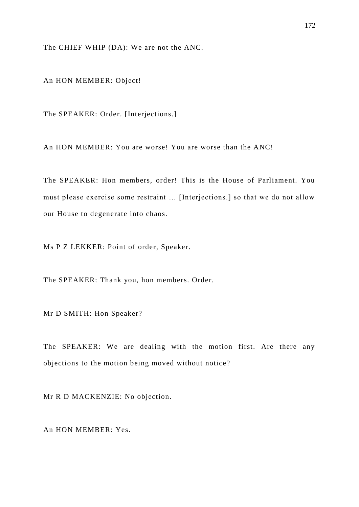The CHIEF WHIP (DA): We are not the ANC.

An HON MEMBER: Object!

The SPEAKER: Order. [Interjections.]

An HON MEMBER: You are worse! You are worse than the ANC!

The SPEAKER: Hon members, order! This is the House of Parliament. You must please exercise some restraint … [Interjections.] so that we do not allow our House to degenerate into chaos.

Ms P Z LEKKER: Point of order, Speaker.

The SPEAKER: Thank you, hon members. Order.

Mr D SMITH: Hon Speaker?

The SPEAKER: We are dealing with the motion first. Are there any objections to the motion being moved without notice?

Mr R D MACKENZIE: No objection.

An HON MEMBER: Yes.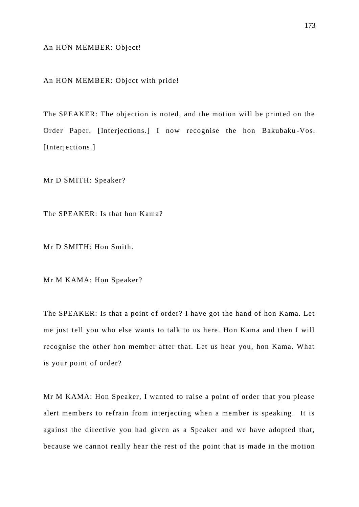An HON MEMBER: Object!

An HON MEMBER: Object with pride!

The SPEAKER: The objection is noted, and the motion will be printed on the Order Paper. [Interjections.] I now recognise the hon Bakubaku -Vos. [Interjections.]

Mr D SMITH: Speaker?

The SPEAKER: Is that hon Kama?

Mr D SMITH: Hon Smith.

Mr M KAMA: Hon Speaker?

The SPEAKER: Is that a point of order? I have got the hand of hon Kama. Let me just tell you who else wants to talk to us here. Hon Kama and then I will recognise the other hon member after that. Let us hear you, hon Kama. What is your point of order?

Mr M KAMA: Hon Speaker, I wanted to raise a point of order that you please alert members to refrain from interjecting when a member is speaking. It is against the directive you had given as a Speaker and we have adopted that, because we cannot really hear the rest of the point that is made in the motion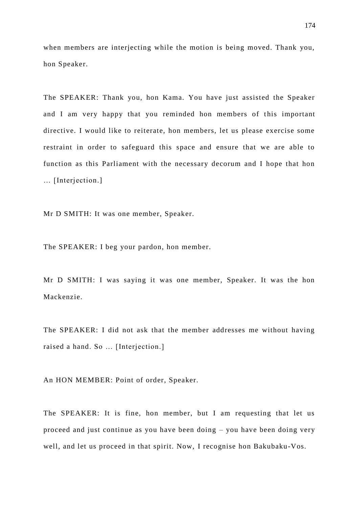when members are interjecting while the motion is being moved. Thank you, hon Speaker.

The SPEAKER: Thank you, hon Kama. You have just assisted the Speaker and I am very happy that you reminded hon members of this important directive. I would like to reiterate, hon members, let us please exercise some restraint in order to safeguard this space and ensure that we are able to function as this Parliament with the necessary decorum and I hope that hon … [Interjection.]

Mr D SMITH: It was one member, Speaker.

The SPEAKER: I beg your pardon, hon member.

Mr D SMITH: I was saying it was one member, Speaker. It was the hon Mackenzie.

The SPEAKER: I did not ask that the member addresses me without having raised a hand. So … [Interjection.]

An HON MEMBER: Point of order, Speaker.

The SPEAKER: It is fine, hon member, but I am requesting that let us proceed and just continue as you have been doing – you have been doing very well, and let us proceed in that spirit. Now, I recognise hon Bakubaku-Vos.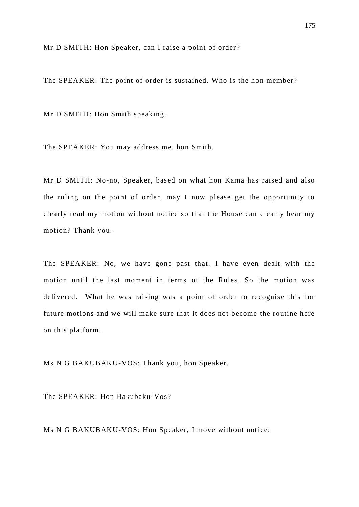Mr D SMITH: Hon Speaker, can I raise a point of order?

The SPEAKER: The point of order is sustained. Who is the hon member?

Mr D SMITH: Hon Smith speaking.

The SPEAKER: You may address me, hon Smith.

Mr D SMITH: No-no, Speaker, based on what hon Kama has raised and also the ruling on the point of order, may I now please get the opportunity to clearly read my motion without notice so that the House can clearly hear my motion? Thank you.

The SPEAKER: No, we have gone past that. I have even dealt with the motion until the last moment in terms of the Rules. So the motion was delivered. What he was raising was a point of order to recognise this for future motions and we will make sure that it does not become the routine here on this platform.

Ms N G BAKUBAKU-VOS: Thank you, hon Speaker.

The SPEAKER: Hon Bakubaku-Vos?

Ms N G BAKUBAKU-VOS: Hon Speaker, I move without notice: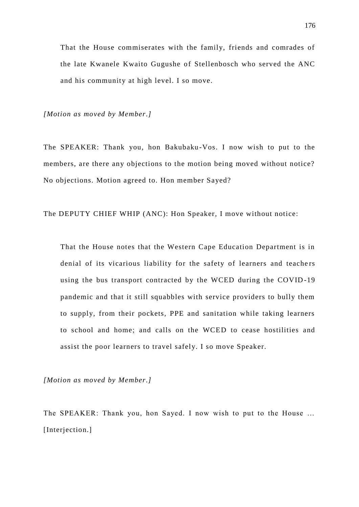That the House commiserates with the family, friends and comrades of the late Kwanele Kwaito Gugushe of Stellenbosch who served the ANC and his community at high level. I so move.

*[Motion as moved by Member.]*

The SPEAKER: Thank you, hon Bakubaku -Vos. I now wish to put to the members, are there any objections to the motion being moved without notice? No objections. Motion agreed to. Hon member Sayed?

The DEPUTY CHIEF WHIP (ANC): Hon Speaker, I move without notice:

That the House notes that the Western Cape Education Department is in denial of its vicarious liability for the safety of learners and teachers using the bus transport contracted by the WCED during the COVID -19 pandemic and that it still squabbles with service providers to bully them to supply, from their pockets, PPE and sanitation while taking learners to school and home; and calls on the WCED to cease hostilities and assist the poor learners to travel safely. I so move Speaker.

*[Motion as moved by Member.]*

The SPEAKER: Thank you, hon Sayed. I now wish to put to the House … [Interjection.]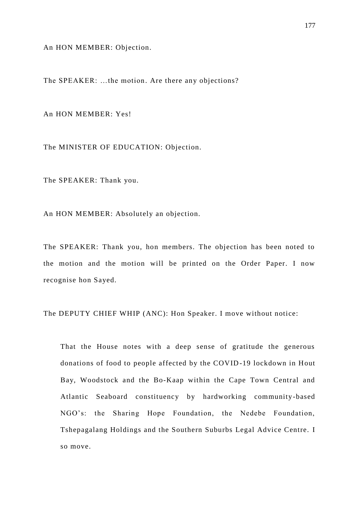An HON MEMBER: Objection.

The SPEAKER: …the motion. Are there any objections?

An HON MEMBER: Yes!

The MINISTER OF EDUCATION: Objection.

The SPEAKER: Thank you.

An HON MEMBER: Absolutely an objection.

The SPEAKER: Thank you, hon members. The objection has been noted to the motion and the motion will be printed on the Order Paper. I now recognise hon Sayed.

The DEPUTY CHIEF WHIP (ANC): Hon Speaker. I move without notice:

That the House notes with a deep sense of gratitude the generous donations of food to people affected by the COVID-19 lockdown in Hout Bay, Woodstock and the Bo-Kaap within the Cape Town Central and Atlantic Seaboard constituency by hardworking community-based NGO's: the Sharing Hope Foundation, the Nedebe Foundation, Tshepagalang Holdings and the Southern Suburbs Legal Advice Centre. I so move.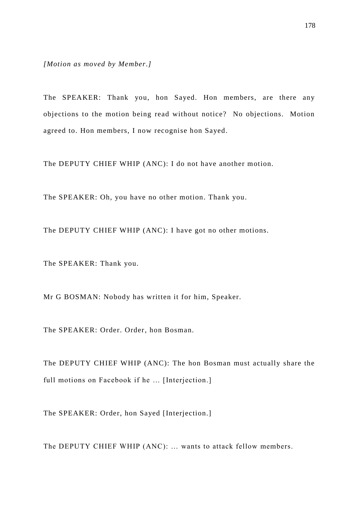*[Motion as moved by Member.]*

The SPEAKER: Thank you, hon Sayed. Hon members, are there any objections to the motion being read without notice? No objections. Motion agreed to. Hon members, I now recognise hon Sayed.

The DEPUTY CHIEF WHIP (ANC): I do not have another motion.

The SPEAKER: Oh, you have no other motion. Thank you.

The DEPUTY CHIEF WHIP (ANC): I have got no other motions.

The SPEAKER: Thank you.

Mr G BOSMAN: Nobody has written it for him, Speaker.

The SPEAKER: Order. Order, hon Bosman.

The DEPUTY CHIEF WHIP (ANC): The hon Bosman must actually share the full motions on Facebook if he … [Interjection.]

The SPEAKER: Order, hon Sayed [Interjection.]

The DEPUTY CHIEF WHIP (ANC): … wants to attack fellow members.